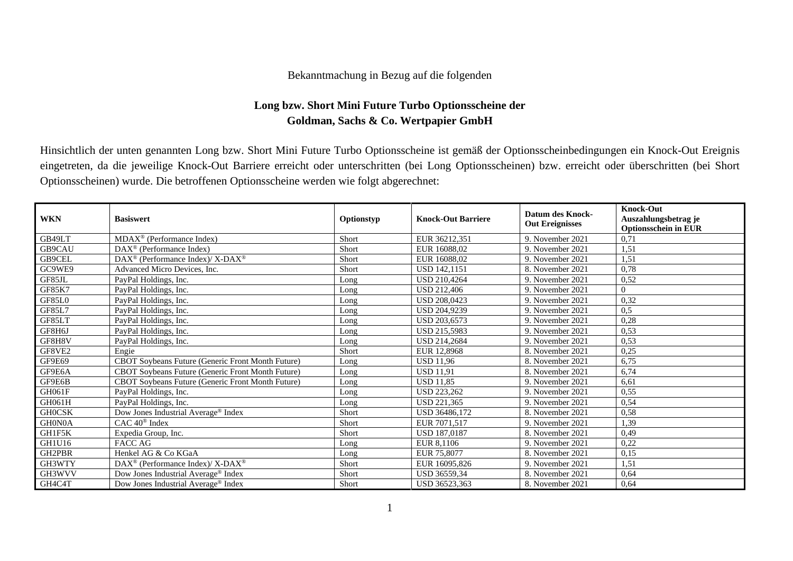## Bekanntmachung in Bezug auf die folgenden

## **Long bzw. Short Mini Future Turbo Optionsscheine der Goldman, Sachs & Co. Wertpapier GmbH**

Hinsichtlich der unten genannten Long bzw. Short Mini Future Turbo Optionsscheine ist gemäß der Optionsscheinbedingungen ein Knock-Out Ereignis eingetreten, da die jeweilige Knock-Out Barriere erreicht oder unterschritten (bei Long Optionsscheinen) bzw. erreicht oder überschritten (bei Short Optionsscheinen) wurde. Die betroffenen Optionsscheine werden wie folgt abgerechnet:

| <b>WKN</b>    | <b>Basiswert</b>                                            | Optionstyp | <b>Knock-Out Barriere</b> | <b>Datum des Knock-</b><br><b>Out Ereignisses</b> | <b>Knock-Out</b><br>Auszahlungsbetrag je<br><b>Optionsschein in EUR</b> |
|---------------|-------------------------------------------------------------|------------|---------------------------|---------------------------------------------------|-------------------------------------------------------------------------|
| GB49LT        | $MDAX^{\circledcirc}$ (Performance Index)                   | Short      | EUR 36212.351             | 9. November 2021                                  | 0,71                                                                    |
| GB9CAU        | $DAX^{\circledast}$ (Performance Index)                     | Short      | EUR 16088.02              | 9. November 2021                                  | 1,51                                                                    |
| GB9CEL        | $DAX^{\circledast}$ (Performance Index)/ X-DAX <sup>®</sup> | Short      | EUR 16088.02              | 9. November 2021                                  | 1,51                                                                    |
| GC9WE9        | Advanced Micro Devices, Inc.                                | Short      | <b>USD 142.1151</b>       | 8. November 2021                                  | 0,78                                                                    |
| GF85JL        | PayPal Holdings, Inc.                                       | Long       | USD 210,4264              | 9. November 2021                                  | 0,52                                                                    |
| <b>GF85K7</b> | PayPal Holdings, Inc.                                       | Long       | <b>USD 212.406</b>        | 9. November 2021                                  | $\Omega$                                                                |
| GF85L0        | PayPal Holdings, Inc.                                       | Long       | <b>USD 208,0423</b>       | 9. November 2021                                  | 0,32                                                                    |
| GF85L7        | PayPal Holdings, Inc.                                       | Long       | USD 204,9239              | 9. November 2021                                  | 0.5                                                                     |
| GF85LT        | PayPal Holdings, Inc.                                       | Long       | USD 203,6573              | 9. November 2021                                  | 0,28                                                                    |
| GF8H6J        | PayPal Holdings, Inc.                                       | Long       | <b>USD 215.5983</b>       | 9. November 2021                                  | 0,53                                                                    |
| GF8H8V        | PayPal Holdings, Inc.                                       | Long       | USD 214,2684              | 9. November 2021                                  | 0,53                                                                    |
| GF8VE2        | Engie                                                       | Short      | EUR 12,8968               | 8. November 2021                                  | 0,25                                                                    |
| GF9E69        | CBOT Soybeans Future (Generic Front Month Future)           | Long       | <b>USD 11.96</b>          | 8. November 2021                                  | 6,75                                                                    |
| GF9E6A        | <b>CBOT Soybeans Future (Generic Front Month Future)</b>    | Long       | <b>USD 11.91</b>          | 8. November 2021                                  | 6,74                                                                    |
| GF9E6B        | CBOT Soybeans Future (Generic Front Month Future)           | Long       | <b>USD 11.85</b>          | 9. November 2021                                  | 6,61                                                                    |
| <b>GH061F</b> | PayPal Holdings, Inc.                                       | Long       | USD 223,262               | 9. November 2021                                  | 0,55                                                                    |
| GH061H        | PayPal Holdings, Inc.                                       | Long       | <b>USD 221.365</b>        | 9. November 2021                                  | 0,54                                                                    |
| <b>GHOCSK</b> | Dow Jones Industrial Average <sup>®</sup> Index             | Short      | USD 36486,172             | 8. November 2021                                  | 0,58                                                                    |
| GH0N0A        | $CAC 40^{\circledast}$ Index                                | Short      | EUR 7071,517              | 9. November 2021                                  | 1,39                                                                    |
| GH1F5K        | Expedia Group, Inc.                                         | Short      | <b>USD 187,0187</b>       | 8. November 2021                                  | 0,49                                                                    |
| GH1U16        | FACC AG                                                     | Long       | EUR 8,1106                | 9. November 2021                                  | 0,22                                                                    |
| GH2PBR        | Henkel AG & Co KGaA                                         | Long       | EUR 75,8077               | 8. November 2021                                  | 0,15                                                                    |
| GH3WTY        | DAX <sup>®</sup> (Performance Index)/X-DAX <sup>®</sup>     | Short      | EUR 16095,826             | 9. November 2021                                  | 1,51                                                                    |
| GH3WVV        | Dow Jones Industrial Average <sup>®</sup> Index             | Short      | <b>USD 36559.34</b>       | 8. November 2021                                  | 0,64                                                                    |
| GH4C4T        | Dow Jones Industrial Average® Index                         | Short      | USD 36523,363             | 8. November 2021                                  | 0,64                                                                    |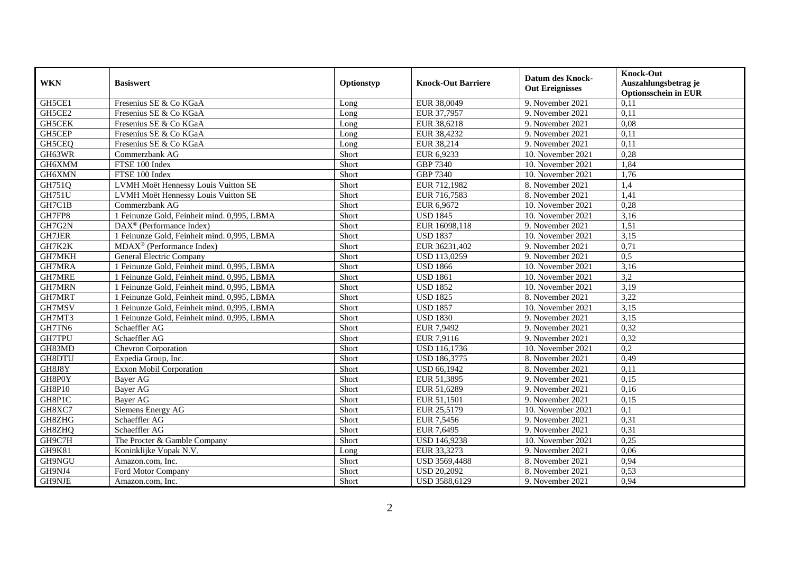| <b>Out Ereignisses</b><br><b>Optionsschein in EUR</b><br>GH5CE1<br>Fresenius SE & Co KGaA<br>EUR 38,0049<br>0,11<br>9. November 2021<br>Long<br>GH5CE2<br>0,11<br>Fresenius SE & Co KGaA<br>EUR 37,7957<br>9. November 2021<br>Long<br>Fresenius SE & Co KGaA<br>GH5CEK<br>EUR 38,6218<br>9. November 2021<br>0,08<br>Long<br>GH5CEP<br>EUR 38,4232<br>9. November 2021<br>0,11<br>Fresenius SE & Co KGaA<br>Long<br>GH5CEQ<br>EUR 38,214<br>Fresenius SE & Co KGaA<br>9. November 2021<br>0,11<br>Long<br>GH63WR<br>EUR 6,9233<br>0,28<br>Commerzbank AG<br>Short<br>10. November 2021<br>GH6XMM<br>GBP 7340<br>1,84<br>FTSE 100 Index<br>Short<br>10. November 2021<br><b>GBP 7340</b><br>GH6XMN<br>FTSE 100 Index<br>Short<br>10. November 2021<br>1,76<br>GH751Q<br>LVMH Moët Hennessy Louis Vuitton SE<br>Short<br>EUR 712,1982<br>8. November 2021<br>1,4<br><b>GH751U</b><br>EUR 716,7583<br>LVMH Moët Hennessy Louis Vuitton SE<br>Short<br>8. November 2021<br>1,41<br>GH7C1B<br>EUR 6,9672<br>0,28<br>Commerzbank AG<br>Short<br>10. November 2021<br>GH7FP8<br>1 Feinunze Gold, Feinheit mind. 0,995, LBMA<br>Short<br><b>USD 1845</b><br>3,16<br>10. November 2021<br>GH7G2N<br>$\overline{\text{DAX}^{\circledast}}$ (Performance Index)<br>Short<br>EUR 16098,118<br>9. November 2021<br>1,51<br>GH7JER<br>1 Feinunze Gold, Feinheit mind. 0,995, LBMA<br>Short<br><b>USD 1837</b><br>3,15<br>10. November 2021<br>GH7K2K<br>$MDAX^{\circledR}$ (Performance Index)<br>Short<br>EUR 36231,402<br>0,71<br>9. November 2021<br>GH7MKH<br>General Electric Company<br>USD 113,0259<br>Short<br>9. November 2021<br>0,5<br>GH7MRA<br>1 Feinunze Gold, Feinheit mind. 0,995, LBMA<br>Short<br><b>USD 1866</b><br>3,16<br>10. November 2021<br><b>GH7MRE</b><br><b>USD 1861</b><br>3,2<br>1 Feinunze Gold, Feinheit mind. 0,995, LBMA<br>Short<br>10. November 2021<br><b>GH7MRN</b><br><b>USD 1852</b><br>3,19<br>1 Feinunze Gold, Feinheit mind. 0,995, LBMA<br>Short<br>10. November 2021<br>3,22<br>GH7MRT<br>1 Feinunze Gold, Feinheit mind. 0,995, LBMA<br>Short<br><b>USD 1825</b><br>8. November 2021<br><b>USD 1857</b><br>3,15<br>GH7MSV<br>1 Feinunze Gold, Feinheit mind. 0,995, LBMA<br>Short<br>10. November 2021<br>GH7MT3<br><b>USD 1830</b><br>3,15<br>1 Feinunze Gold, Feinheit mind. 0,995, LBMA<br>Short<br>9. November 2021<br>GH7TN6<br>Schaeffler AG<br>Short<br>EUR 7,9492<br>9. November 2021<br>0,32<br><b>GH7TPU</b><br>EUR 7,9116<br>Schaeffler AG<br>Short<br>9. November 2021<br>0,32<br>GH83MD<br>0,2<br><b>Chevron Corporation</b><br>Short<br>USD 116,1736<br>10. November 2021<br>GH8DTU<br>USD 186,3775<br>8. November 2021<br>0,49<br>Expedia Group, Inc.<br>Short<br>GH8J8Y<br><b>USD 66,1942</b><br><b>Exxon Mobil Corporation</b><br>Short<br>8. November 2021<br>0,11<br>GH8P0Y<br>EUR 51,3895<br>0,15<br><b>Baver AG</b><br>Short<br>9. November 2021<br><b>GH8P10</b><br>EUR 51,6289<br><b>Bayer AG</b><br>Short<br>9. November 2021<br>0,16<br>GH8P1C<br>Bayer AG<br>EUR 51,1501<br>Short<br>9. November 2021<br>0,15<br>GH8XC7<br>Siemens Energy AG<br>Short<br>EUR 25,5179<br>0,1<br>10. November 2021<br>GH8ZHG<br>EUR 7,5456<br>0,31<br>Schaeffler AG<br>Short<br>9. November 2021<br>GH8ZHQ<br>Schaeffler AG<br>Short<br>EUR 7,6495<br>9. November 2021<br>0,31<br>GH9C7H<br>Short<br>USD 146,9238<br>10. November 2021<br>0,25<br>The Procter & Gamble Company<br><b>GH9K81</b><br>Koninklijke Vopak N.V.<br>EUR 33,3273<br>9. November 2021<br>0,06<br>Long<br>Short<br>USD 3569,4488<br>0,94<br>GH9NGU<br>Amazon.com, Inc.<br>8. November 2021<br>GH9NJ4<br><b>USD 20,2092</b><br>0,53<br>Ford Motor Company<br>Short<br>8. November 2021 |            |                  |            |                           | <b>Datum des Knock-</b> | <b>Knock-Out</b>     |
|------------------------------------------------------------------------------------------------------------------------------------------------------------------------------------------------------------------------------------------------------------------------------------------------------------------------------------------------------------------------------------------------------------------------------------------------------------------------------------------------------------------------------------------------------------------------------------------------------------------------------------------------------------------------------------------------------------------------------------------------------------------------------------------------------------------------------------------------------------------------------------------------------------------------------------------------------------------------------------------------------------------------------------------------------------------------------------------------------------------------------------------------------------------------------------------------------------------------------------------------------------------------------------------------------------------------------------------------------------------------------------------------------------------------------------------------------------------------------------------------------------------------------------------------------------------------------------------------------------------------------------------------------------------------------------------------------------------------------------------------------------------------------------------------------------------------------------------------------------------------------------------------------------------------------------------------------------------------------------------------------------------------------------------------------------------------------------------------------------------------------------------------------------------------------------------------------------------------------------------------------------------------------------------------------------------------------------------------------------------------------------------------------------------------------------------------------------------------------------------------------------------------------------------------------------------------------------------------------------------------------------------------------------------------------------------------------------------------------------------------------------------------------------------------------------------------------------------------------------------------------------------------------------------------------------------------------------------------------------------------------------------------------------------------------------------------------------------------------------------------------------------------------------------------------------------------------------------------------------------------------------------------------------------------------------------------------------------------------------------------------------------------------------------------------------------------------------------------------------------------------------------------------------------------------------------------------------------------------------------------------------------------------------------------------------------------------|------------|------------------|------------|---------------------------|-------------------------|----------------------|
|                                                                                                                                                                                                                                                                                                                                                                                                                                                                                                                                                                                                                                                                                                                                                                                                                                                                                                                                                                                                                                                                                                                                                                                                                                                                                                                                                                                                                                                                                                                                                                                                                                                                                                                                                                                                                                                                                                                                                                                                                                                                                                                                                                                                                                                                                                                                                                                                                                                                                                                                                                                                                                                                                                                                                                                                                                                                                                                                                                                                                                                                                                                                                                                                                                                                                                                                                                                                                                                                                                                                                                                                                                                                                                      | <b>WKN</b> | <b>Basiswert</b> | Optionstyp | <b>Knock-Out Barriere</b> |                         | Auszahlungsbetrag je |
|                                                                                                                                                                                                                                                                                                                                                                                                                                                                                                                                                                                                                                                                                                                                                                                                                                                                                                                                                                                                                                                                                                                                                                                                                                                                                                                                                                                                                                                                                                                                                                                                                                                                                                                                                                                                                                                                                                                                                                                                                                                                                                                                                                                                                                                                                                                                                                                                                                                                                                                                                                                                                                                                                                                                                                                                                                                                                                                                                                                                                                                                                                                                                                                                                                                                                                                                                                                                                                                                                                                                                                                                                                                                                                      |            |                  |            |                           |                         |                      |
|                                                                                                                                                                                                                                                                                                                                                                                                                                                                                                                                                                                                                                                                                                                                                                                                                                                                                                                                                                                                                                                                                                                                                                                                                                                                                                                                                                                                                                                                                                                                                                                                                                                                                                                                                                                                                                                                                                                                                                                                                                                                                                                                                                                                                                                                                                                                                                                                                                                                                                                                                                                                                                                                                                                                                                                                                                                                                                                                                                                                                                                                                                                                                                                                                                                                                                                                                                                                                                                                                                                                                                                                                                                                                                      |            |                  |            |                           |                         |                      |
|                                                                                                                                                                                                                                                                                                                                                                                                                                                                                                                                                                                                                                                                                                                                                                                                                                                                                                                                                                                                                                                                                                                                                                                                                                                                                                                                                                                                                                                                                                                                                                                                                                                                                                                                                                                                                                                                                                                                                                                                                                                                                                                                                                                                                                                                                                                                                                                                                                                                                                                                                                                                                                                                                                                                                                                                                                                                                                                                                                                                                                                                                                                                                                                                                                                                                                                                                                                                                                                                                                                                                                                                                                                                                                      |            |                  |            |                           |                         |                      |
|                                                                                                                                                                                                                                                                                                                                                                                                                                                                                                                                                                                                                                                                                                                                                                                                                                                                                                                                                                                                                                                                                                                                                                                                                                                                                                                                                                                                                                                                                                                                                                                                                                                                                                                                                                                                                                                                                                                                                                                                                                                                                                                                                                                                                                                                                                                                                                                                                                                                                                                                                                                                                                                                                                                                                                                                                                                                                                                                                                                                                                                                                                                                                                                                                                                                                                                                                                                                                                                                                                                                                                                                                                                                                                      |            |                  |            |                           |                         |                      |
|                                                                                                                                                                                                                                                                                                                                                                                                                                                                                                                                                                                                                                                                                                                                                                                                                                                                                                                                                                                                                                                                                                                                                                                                                                                                                                                                                                                                                                                                                                                                                                                                                                                                                                                                                                                                                                                                                                                                                                                                                                                                                                                                                                                                                                                                                                                                                                                                                                                                                                                                                                                                                                                                                                                                                                                                                                                                                                                                                                                                                                                                                                                                                                                                                                                                                                                                                                                                                                                                                                                                                                                                                                                                                                      |            |                  |            |                           |                         |                      |
|                                                                                                                                                                                                                                                                                                                                                                                                                                                                                                                                                                                                                                                                                                                                                                                                                                                                                                                                                                                                                                                                                                                                                                                                                                                                                                                                                                                                                                                                                                                                                                                                                                                                                                                                                                                                                                                                                                                                                                                                                                                                                                                                                                                                                                                                                                                                                                                                                                                                                                                                                                                                                                                                                                                                                                                                                                                                                                                                                                                                                                                                                                                                                                                                                                                                                                                                                                                                                                                                                                                                                                                                                                                                                                      |            |                  |            |                           |                         |                      |
|                                                                                                                                                                                                                                                                                                                                                                                                                                                                                                                                                                                                                                                                                                                                                                                                                                                                                                                                                                                                                                                                                                                                                                                                                                                                                                                                                                                                                                                                                                                                                                                                                                                                                                                                                                                                                                                                                                                                                                                                                                                                                                                                                                                                                                                                                                                                                                                                                                                                                                                                                                                                                                                                                                                                                                                                                                                                                                                                                                                                                                                                                                                                                                                                                                                                                                                                                                                                                                                                                                                                                                                                                                                                                                      |            |                  |            |                           |                         |                      |
|                                                                                                                                                                                                                                                                                                                                                                                                                                                                                                                                                                                                                                                                                                                                                                                                                                                                                                                                                                                                                                                                                                                                                                                                                                                                                                                                                                                                                                                                                                                                                                                                                                                                                                                                                                                                                                                                                                                                                                                                                                                                                                                                                                                                                                                                                                                                                                                                                                                                                                                                                                                                                                                                                                                                                                                                                                                                                                                                                                                                                                                                                                                                                                                                                                                                                                                                                                                                                                                                                                                                                                                                                                                                                                      |            |                  |            |                           |                         |                      |
|                                                                                                                                                                                                                                                                                                                                                                                                                                                                                                                                                                                                                                                                                                                                                                                                                                                                                                                                                                                                                                                                                                                                                                                                                                                                                                                                                                                                                                                                                                                                                                                                                                                                                                                                                                                                                                                                                                                                                                                                                                                                                                                                                                                                                                                                                                                                                                                                                                                                                                                                                                                                                                                                                                                                                                                                                                                                                                                                                                                                                                                                                                                                                                                                                                                                                                                                                                                                                                                                                                                                                                                                                                                                                                      |            |                  |            |                           |                         |                      |
|                                                                                                                                                                                                                                                                                                                                                                                                                                                                                                                                                                                                                                                                                                                                                                                                                                                                                                                                                                                                                                                                                                                                                                                                                                                                                                                                                                                                                                                                                                                                                                                                                                                                                                                                                                                                                                                                                                                                                                                                                                                                                                                                                                                                                                                                                                                                                                                                                                                                                                                                                                                                                                                                                                                                                                                                                                                                                                                                                                                                                                                                                                                                                                                                                                                                                                                                                                                                                                                                                                                                                                                                                                                                                                      |            |                  |            |                           |                         |                      |
|                                                                                                                                                                                                                                                                                                                                                                                                                                                                                                                                                                                                                                                                                                                                                                                                                                                                                                                                                                                                                                                                                                                                                                                                                                                                                                                                                                                                                                                                                                                                                                                                                                                                                                                                                                                                                                                                                                                                                                                                                                                                                                                                                                                                                                                                                                                                                                                                                                                                                                                                                                                                                                                                                                                                                                                                                                                                                                                                                                                                                                                                                                                                                                                                                                                                                                                                                                                                                                                                                                                                                                                                                                                                                                      |            |                  |            |                           |                         |                      |
|                                                                                                                                                                                                                                                                                                                                                                                                                                                                                                                                                                                                                                                                                                                                                                                                                                                                                                                                                                                                                                                                                                                                                                                                                                                                                                                                                                                                                                                                                                                                                                                                                                                                                                                                                                                                                                                                                                                                                                                                                                                                                                                                                                                                                                                                                                                                                                                                                                                                                                                                                                                                                                                                                                                                                                                                                                                                                                                                                                                                                                                                                                                                                                                                                                                                                                                                                                                                                                                                                                                                                                                                                                                                                                      |            |                  |            |                           |                         |                      |
|                                                                                                                                                                                                                                                                                                                                                                                                                                                                                                                                                                                                                                                                                                                                                                                                                                                                                                                                                                                                                                                                                                                                                                                                                                                                                                                                                                                                                                                                                                                                                                                                                                                                                                                                                                                                                                                                                                                                                                                                                                                                                                                                                                                                                                                                                                                                                                                                                                                                                                                                                                                                                                                                                                                                                                                                                                                                                                                                                                                                                                                                                                                                                                                                                                                                                                                                                                                                                                                                                                                                                                                                                                                                                                      |            |                  |            |                           |                         |                      |
|                                                                                                                                                                                                                                                                                                                                                                                                                                                                                                                                                                                                                                                                                                                                                                                                                                                                                                                                                                                                                                                                                                                                                                                                                                                                                                                                                                                                                                                                                                                                                                                                                                                                                                                                                                                                                                                                                                                                                                                                                                                                                                                                                                                                                                                                                                                                                                                                                                                                                                                                                                                                                                                                                                                                                                                                                                                                                                                                                                                                                                                                                                                                                                                                                                                                                                                                                                                                                                                                                                                                                                                                                                                                                                      |            |                  |            |                           |                         |                      |
|                                                                                                                                                                                                                                                                                                                                                                                                                                                                                                                                                                                                                                                                                                                                                                                                                                                                                                                                                                                                                                                                                                                                                                                                                                                                                                                                                                                                                                                                                                                                                                                                                                                                                                                                                                                                                                                                                                                                                                                                                                                                                                                                                                                                                                                                                                                                                                                                                                                                                                                                                                                                                                                                                                                                                                                                                                                                                                                                                                                                                                                                                                                                                                                                                                                                                                                                                                                                                                                                                                                                                                                                                                                                                                      |            |                  |            |                           |                         |                      |
|                                                                                                                                                                                                                                                                                                                                                                                                                                                                                                                                                                                                                                                                                                                                                                                                                                                                                                                                                                                                                                                                                                                                                                                                                                                                                                                                                                                                                                                                                                                                                                                                                                                                                                                                                                                                                                                                                                                                                                                                                                                                                                                                                                                                                                                                                                                                                                                                                                                                                                                                                                                                                                                                                                                                                                                                                                                                                                                                                                                                                                                                                                                                                                                                                                                                                                                                                                                                                                                                                                                                                                                                                                                                                                      |            |                  |            |                           |                         |                      |
|                                                                                                                                                                                                                                                                                                                                                                                                                                                                                                                                                                                                                                                                                                                                                                                                                                                                                                                                                                                                                                                                                                                                                                                                                                                                                                                                                                                                                                                                                                                                                                                                                                                                                                                                                                                                                                                                                                                                                                                                                                                                                                                                                                                                                                                                                                                                                                                                                                                                                                                                                                                                                                                                                                                                                                                                                                                                                                                                                                                                                                                                                                                                                                                                                                                                                                                                                                                                                                                                                                                                                                                                                                                                                                      |            |                  |            |                           |                         |                      |
|                                                                                                                                                                                                                                                                                                                                                                                                                                                                                                                                                                                                                                                                                                                                                                                                                                                                                                                                                                                                                                                                                                                                                                                                                                                                                                                                                                                                                                                                                                                                                                                                                                                                                                                                                                                                                                                                                                                                                                                                                                                                                                                                                                                                                                                                                                                                                                                                                                                                                                                                                                                                                                                                                                                                                                                                                                                                                                                                                                                                                                                                                                                                                                                                                                                                                                                                                                                                                                                                                                                                                                                                                                                                                                      |            |                  |            |                           |                         |                      |
|                                                                                                                                                                                                                                                                                                                                                                                                                                                                                                                                                                                                                                                                                                                                                                                                                                                                                                                                                                                                                                                                                                                                                                                                                                                                                                                                                                                                                                                                                                                                                                                                                                                                                                                                                                                                                                                                                                                                                                                                                                                                                                                                                                                                                                                                                                                                                                                                                                                                                                                                                                                                                                                                                                                                                                                                                                                                                                                                                                                                                                                                                                                                                                                                                                                                                                                                                                                                                                                                                                                                                                                                                                                                                                      |            |                  |            |                           |                         |                      |
|                                                                                                                                                                                                                                                                                                                                                                                                                                                                                                                                                                                                                                                                                                                                                                                                                                                                                                                                                                                                                                                                                                                                                                                                                                                                                                                                                                                                                                                                                                                                                                                                                                                                                                                                                                                                                                                                                                                                                                                                                                                                                                                                                                                                                                                                                                                                                                                                                                                                                                                                                                                                                                                                                                                                                                                                                                                                                                                                                                                                                                                                                                                                                                                                                                                                                                                                                                                                                                                                                                                                                                                                                                                                                                      |            |                  |            |                           |                         |                      |
|                                                                                                                                                                                                                                                                                                                                                                                                                                                                                                                                                                                                                                                                                                                                                                                                                                                                                                                                                                                                                                                                                                                                                                                                                                                                                                                                                                                                                                                                                                                                                                                                                                                                                                                                                                                                                                                                                                                                                                                                                                                                                                                                                                                                                                                                                                                                                                                                                                                                                                                                                                                                                                                                                                                                                                                                                                                                                                                                                                                                                                                                                                                                                                                                                                                                                                                                                                                                                                                                                                                                                                                                                                                                                                      |            |                  |            |                           |                         |                      |
|                                                                                                                                                                                                                                                                                                                                                                                                                                                                                                                                                                                                                                                                                                                                                                                                                                                                                                                                                                                                                                                                                                                                                                                                                                                                                                                                                                                                                                                                                                                                                                                                                                                                                                                                                                                                                                                                                                                                                                                                                                                                                                                                                                                                                                                                                                                                                                                                                                                                                                                                                                                                                                                                                                                                                                                                                                                                                                                                                                                                                                                                                                                                                                                                                                                                                                                                                                                                                                                                                                                                                                                                                                                                                                      |            |                  |            |                           |                         |                      |
|                                                                                                                                                                                                                                                                                                                                                                                                                                                                                                                                                                                                                                                                                                                                                                                                                                                                                                                                                                                                                                                                                                                                                                                                                                                                                                                                                                                                                                                                                                                                                                                                                                                                                                                                                                                                                                                                                                                                                                                                                                                                                                                                                                                                                                                                                                                                                                                                                                                                                                                                                                                                                                                                                                                                                                                                                                                                                                                                                                                                                                                                                                                                                                                                                                                                                                                                                                                                                                                                                                                                                                                                                                                                                                      |            |                  |            |                           |                         |                      |
|                                                                                                                                                                                                                                                                                                                                                                                                                                                                                                                                                                                                                                                                                                                                                                                                                                                                                                                                                                                                                                                                                                                                                                                                                                                                                                                                                                                                                                                                                                                                                                                                                                                                                                                                                                                                                                                                                                                                                                                                                                                                                                                                                                                                                                                                                                                                                                                                                                                                                                                                                                                                                                                                                                                                                                                                                                                                                                                                                                                                                                                                                                                                                                                                                                                                                                                                                                                                                                                                                                                                                                                                                                                                                                      |            |                  |            |                           |                         |                      |
|                                                                                                                                                                                                                                                                                                                                                                                                                                                                                                                                                                                                                                                                                                                                                                                                                                                                                                                                                                                                                                                                                                                                                                                                                                                                                                                                                                                                                                                                                                                                                                                                                                                                                                                                                                                                                                                                                                                                                                                                                                                                                                                                                                                                                                                                                                                                                                                                                                                                                                                                                                                                                                                                                                                                                                                                                                                                                                                                                                                                                                                                                                                                                                                                                                                                                                                                                                                                                                                                                                                                                                                                                                                                                                      |            |                  |            |                           |                         |                      |
|                                                                                                                                                                                                                                                                                                                                                                                                                                                                                                                                                                                                                                                                                                                                                                                                                                                                                                                                                                                                                                                                                                                                                                                                                                                                                                                                                                                                                                                                                                                                                                                                                                                                                                                                                                                                                                                                                                                                                                                                                                                                                                                                                                                                                                                                                                                                                                                                                                                                                                                                                                                                                                                                                                                                                                                                                                                                                                                                                                                                                                                                                                                                                                                                                                                                                                                                                                                                                                                                                                                                                                                                                                                                                                      |            |                  |            |                           |                         |                      |
|                                                                                                                                                                                                                                                                                                                                                                                                                                                                                                                                                                                                                                                                                                                                                                                                                                                                                                                                                                                                                                                                                                                                                                                                                                                                                                                                                                                                                                                                                                                                                                                                                                                                                                                                                                                                                                                                                                                                                                                                                                                                                                                                                                                                                                                                                                                                                                                                                                                                                                                                                                                                                                                                                                                                                                                                                                                                                                                                                                                                                                                                                                                                                                                                                                                                                                                                                                                                                                                                                                                                                                                                                                                                                                      |            |                  |            |                           |                         |                      |
|                                                                                                                                                                                                                                                                                                                                                                                                                                                                                                                                                                                                                                                                                                                                                                                                                                                                                                                                                                                                                                                                                                                                                                                                                                                                                                                                                                                                                                                                                                                                                                                                                                                                                                                                                                                                                                                                                                                                                                                                                                                                                                                                                                                                                                                                                                                                                                                                                                                                                                                                                                                                                                                                                                                                                                                                                                                                                                                                                                                                                                                                                                                                                                                                                                                                                                                                                                                                                                                                                                                                                                                                                                                                                                      |            |                  |            |                           |                         |                      |
|                                                                                                                                                                                                                                                                                                                                                                                                                                                                                                                                                                                                                                                                                                                                                                                                                                                                                                                                                                                                                                                                                                                                                                                                                                                                                                                                                                                                                                                                                                                                                                                                                                                                                                                                                                                                                                                                                                                                                                                                                                                                                                                                                                                                                                                                                                                                                                                                                                                                                                                                                                                                                                                                                                                                                                                                                                                                                                                                                                                                                                                                                                                                                                                                                                                                                                                                                                                                                                                                                                                                                                                                                                                                                                      |            |                  |            |                           |                         |                      |
|                                                                                                                                                                                                                                                                                                                                                                                                                                                                                                                                                                                                                                                                                                                                                                                                                                                                                                                                                                                                                                                                                                                                                                                                                                                                                                                                                                                                                                                                                                                                                                                                                                                                                                                                                                                                                                                                                                                                                                                                                                                                                                                                                                                                                                                                                                                                                                                                                                                                                                                                                                                                                                                                                                                                                                                                                                                                                                                                                                                                                                                                                                                                                                                                                                                                                                                                                                                                                                                                                                                                                                                                                                                                                                      |            |                  |            |                           |                         |                      |
|                                                                                                                                                                                                                                                                                                                                                                                                                                                                                                                                                                                                                                                                                                                                                                                                                                                                                                                                                                                                                                                                                                                                                                                                                                                                                                                                                                                                                                                                                                                                                                                                                                                                                                                                                                                                                                                                                                                                                                                                                                                                                                                                                                                                                                                                                                                                                                                                                                                                                                                                                                                                                                                                                                                                                                                                                                                                                                                                                                                                                                                                                                                                                                                                                                                                                                                                                                                                                                                                                                                                                                                                                                                                                                      |            |                  |            |                           |                         |                      |
|                                                                                                                                                                                                                                                                                                                                                                                                                                                                                                                                                                                                                                                                                                                                                                                                                                                                                                                                                                                                                                                                                                                                                                                                                                                                                                                                                                                                                                                                                                                                                                                                                                                                                                                                                                                                                                                                                                                                                                                                                                                                                                                                                                                                                                                                                                                                                                                                                                                                                                                                                                                                                                                                                                                                                                                                                                                                                                                                                                                                                                                                                                                                                                                                                                                                                                                                                                                                                                                                                                                                                                                                                                                                                                      |            |                  |            |                           |                         |                      |
|                                                                                                                                                                                                                                                                                                                                                                                                                                                                                                                                                                                                                                                                                                                                                                                                                                                                                                                                                                                                                                                                                                                                                                                                                                                                                                                                                                                                                                                                                                                                                                                                                                                                                                                                                                                                                                                                                                                                                                                                                                                                                                                                                                                                                                                                                                                                                                                                                                                                                                                                                                                                                                                                                                                                                                                                                                                                                                                                                                                                                                                                                                                                                                                                                                                                                                                                                                                                                                                                                                                                                                                                                                                                                                      |            |                  |            |                           |                         |                      |
|                                                                                                                                                                                                                                                                                                                                                                                                                                                                                                                                                                                                                                                                                                                                                                                                                                                                                                                                                                                                                                                                                                                                                                                                                                                                                                                                                                                                                                                                                                                                                                                                                                                                                                                                                                                                                                                                                                                                                                                                                                                                                                                                                                                                                                                                                                                                                                                                                                                                                                                                                                                                                                                                                                                                                                                                                                                                                                                                                                                                                                                                                                                                                                                                                                                                                                                                                                                                                                                                                                                                                                                                                                                                                                      |            |                  |            |                           |                         |                      |
|                                                                                                                                                                                                                                                                                                                                                                                                                                                                                                                                                                                                                                                                                                                                                                                                                                                                                                                                                                                                                                                                                                                                                                                                                                                                                                                                                                                                                                                                                                                                                                                                                                                                                                                                                                                                                                                                                                                                                                                                                                                                                                                                                                                                                                                                                                                                                                                                                                                                                                                                                                                                                                                                                                                                                                                                                                                                                                                                                                                                                                                                                                                                                                                                                                                                                                                                                                                                                                                                                                                                                                                                                                                                                                      |            |                  |            |                           |                         |                      |
|                                                                                                                                                                                                                                                                                                                                                                                                                                                                                                                                                                                                                                                                                                                                                                                                                                                                                                                                                                                                                                                                                                                                                                                                                                                                                                                                                                                                                                                                                                                                                                                                                                                                                                                                                                                                                                                                                                                                                                                                                                                                                                                                                                                                                                                                                                                                                                                                                                                                                                                                                                                                                                                                                                                                                                                                                                                                                                                                                                                                                                                                                                                                                                                                                                                                                                                                                                                                                                                                                                                                                                                                                                                                                                      |            |                  |            |                           |                         |                      |
|                                                                                                                                                                                                                                                                                                                                                                                                                                                                                                                                                                                                                                                                                                                                                                                                                                                                                                                                                                                                                                                                                                                                                                                                                                                                                                                                                                                                                                                                                                                                                                                                                                                                                                                                                                                                                                                                                                                                                                                                                                                                                                                                                                                                                                                                                                                                                                                                                                                                                                                                                                                                                                                                                                                                                                                                                                                                                                                                                                                                                                                                                                                                                                                                                                                                                                                                                                                                                                                                                                                                                                                                                                                                                                      |            |                  |            |                           |                         |                      |
|                                                                                                                                                                                                                                                                                                                                                                                                                                                                                                                                                                                                                                                                                                                                                                                                                                                                                                                                                                                                                                                                                                                                                                                                                                                                                                                                                                                                                                                                                                                                                                                                                                                                                                                                                                                                                                                                                                                                                                                                                                                                                                                                                                                                                                                                                                                                                                                                                                                                                                                                                                                                                                                                                                                                                                                                                                                                                                                                                                                                                                                                                                                                                                                                                                                                                                                                                                                                                                                                                                                                                                                                                                                                                                      |            |                  |            |                           |                         |                      |
|                                                                                                                                                                                                                                                                                                                                                                                                                                                                                                                                                                                                                                                                                                                                                                                                                                                                                                                                                                                                                                                                                                                                                                                                                                                                                                                                                                                                                                                                                                                                                                                                                                                                                                                                                                                                                                                                                                                                                                                                                                                                                                                                                                                                                                                                                                                                                                                                                                                                                                                                                                                                                                                                                                                                                                                                                                                                                                                                                                                                                                                                                                                                                                                                                                                                                                                                                                                                                                                                                                                                                                                                                                                                                                      | GH9NJE     | Amazon.com, Inc. | Short      | USD 3588,6129             | 9. November 2021        | 0,94                 |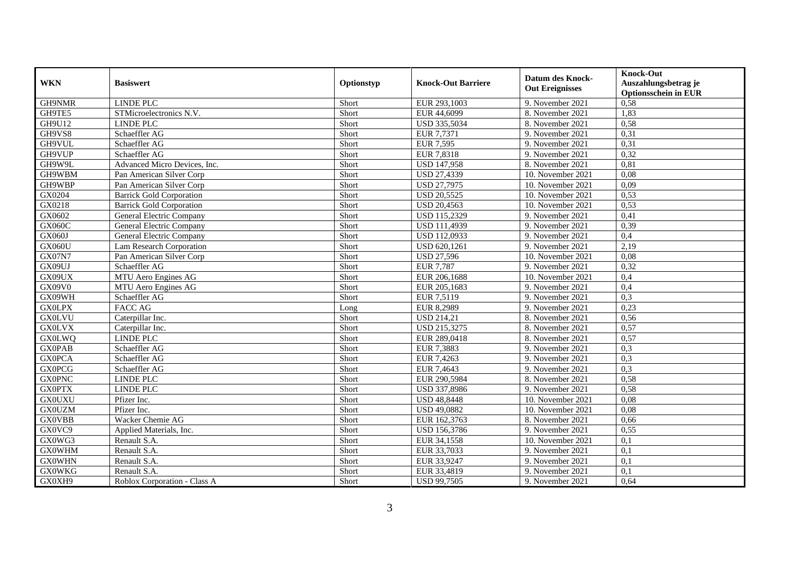| <b>WKN</b>    | <b>Basiswert</b>                | Optionstyp | <b>Knock-Out Barriere</b> | <b>Datum des Knock-</b><br><b>Out Ereignisses</b> | <b>Knock-Out</b><br>Auszahlungsbetrag je<br><b>Optionsschein in EUR</b> |
|---------------|---------------------------------|------------|---------------------------|---------------------------------------------------|-------------------------------------------------------------------------|
| GH9NMR        | <b>LINDE PLC</b>                | Short      | EUR 293,1003              | 9. November 2021                                  | 0,58                                                                    |
| GH9TE5        | STMicroelectronics N.V.         | Short      | EUR 44,6099               | 8. November 2021                                  | 1,83                                                                    |
| <b>GH9U12</b> | <b>LINDE PLC</b>                | Short      | USD 335,5034              | 8. November 2021                                  | 0,58                                                                    |
| GH9VS8        | Schaeffler AG                   | Short      | EUR 7,7371                | 9. November 2021                                  | 0,31                                                                    |
| GH9VUL        | Schaeffler AG                   | Short      | <b>EUR 7,595</b>          | 9. November 2021                                  | 0,31                                                                    |
| GH9VUP        | Schaeffler AG                   | Short      | EUR 7,8318                | 9. November 2021                                  | 0,32                                                                    |
| GH9W9L        | Advanced Micro Devices, Inc.    | Short      | <b>USD 147,958</b>        | 8. November 2021                                  | 0,81                                                                    |
| GH9WBM        | Pan American Silver Corp        | Short      | <b>USD 27,4339</b>        | 10. November 2021                                 | 0,08                                                                    |
| GH9WBP        | Pan American Silver Corp        | Short      | <b>USD 27,7975</b>        | 10. November 2021                                 | 0,09                                                                    |
| GX0204        | <b>Barrick Gold Corporation</b> | Short      | <b>USD 20,5525</b>        | 10. November 2021                                 | 0,53                                                                    |
| GX0218        | <b>Barrick Gold Corporation</b> | Short      | <b>USD 20,4563</b>        | 10. November 2021                                 | 0,53                                                                    |
| GX0602        | General Electric Company        | Short      | <b>USD 115,2329</b>       | 9. November 2021                                  | 0,41                                                                    |
| <b>GX060C</b> | General Electric Company        | Short      | USD 111,4939              | 9. November 2021                                  | 0,39                                                                    |
| <b>GX060J</b> | General Electric Company        | Short      | USD 112,0933              | 9. November 2021                                  | 0,4                                                                     |
| GX060U        | Lam Research Corporation        | Short      | USD 620,1261              | 9. November 2021                                  | 2,19                                                                    |
| <b>GX07N7</b> | Pan American Silver Corp        | Short      | <b>USD 27,596</b>         | 10. November 2021                                 | 0,08                                                                    |
| GX09UJ        | Schaeffler AG                   | Short      | <b>EUR 7,787</b>          | 9. November 2021                                  | 0,32                                                                    |
| GX09UX        | MTU Aero Engines AG             | Short      | EUR 206,1688              | 10. November 2021                                 | 0,4                                                                     |
| GX09V0        | MTU Aero Engines AG             | Short      | EUR 205,1683              | 9. November 2021                                  | 0,4                                                                     |
| GX09WH        | Schaeffler AG                   | Short      | EUR 7,5119                | 9. November 2021                                  | 0,3                                                                     |
| <b>GX0LPX</b> | <b>FACC AG</b>                  | Long       | EUR 8,2989                | 9. November 2021                                  | 0,23                                                                    |
| <b>GX0LVU</b> | Caterpillar Inc.                | Short      | <b>USD 214,21</b>         | 8. November 2021                                  | 0,56                                                                    |
| <b>GX0LVX</b> | Caterpillar Inc.                | Short      | USD 215,3275              | 8. November 2021                                  | 0,57                                                                    |
| <b>GX0LWQ</b> | <b>LINDE PLC</b>                | Short      | EUR 289,0418              | 8. November 2021                                  | 0,57                                                                    |
| <b>GX0PAB</b> | Schaeffler AG                   | Short      | EUR 7,3883                | 9. November 2021                                  | 0,3                                                                     |
| <b>GX0PCA</b> | Schaeffler AG                   | Short      | EUR 7,4263                | 9. November 2021                                  | 0,3                                                                     |
| <b>GX0PCG</b> | Schaeffler AG                   | Short      | EUR 7,4643                | 9. November 2021                                  | 0,3                                                                     |
| <b>GX0PNC</b> | <b>LINDE PLC</b>                | Short      | EUR 290,5984              | 8. November 2021                                  | 0.58                                                                    |
| <b>GX0PTX</b> | <b>LINDE PLC</b>                | Short      | USD 337,8986              | 9. November 2021                                  | 0,58                                                                    |
| <b>GX0UXU</b> | Pfizer Inc.                     | Short      | <b>USD 48,8448</b>        | 10. November 2021                                 | 0.08                                                                    |
| <b>GX0UZM</b> | Pfizer Inc.                     | Short      | <b>USD 49,0882</b>        | 10. November 2021                                 | 0,08                                                                    |
| <b>GX0VBB</b> | Wacker Chemie AG                | Short      | EUR 162,3763              | 8. November 2021                                  | 0,66                                                                    |
| GX0VC9        | Applied Materials, Inc.         | Short      | USD 156,3786              | 9. November 2021                                  | 0,55                                                                    |
| GX0WG3        | Renault S.A.                    | Short      | EUR 34,1558               | 10. November 2021                                 | 0,1                                                                     |
| <b>GX0WHM</b> | Renault S.A.                    | Short      | EUR 33,7033               | 9. November 2021                                  | 0,1                                                                     |
| <b>GX0WHN</b> | Renault S.A.                    | Short      | EUR 33,9247               | 9. November 2021                                  | 0,1                                                                     |
| <b>GX0WKG</b> | Renault S.A.                    | Short      | EUR 33,4819               | 9. November 2021                                  | 0,1                                                                     |
| GX0XH9        | Roblox Corporation - Class A    | Short      | <b>USD 99,7505</b>        | 9. November 2021                                  | 0,64                                                                    |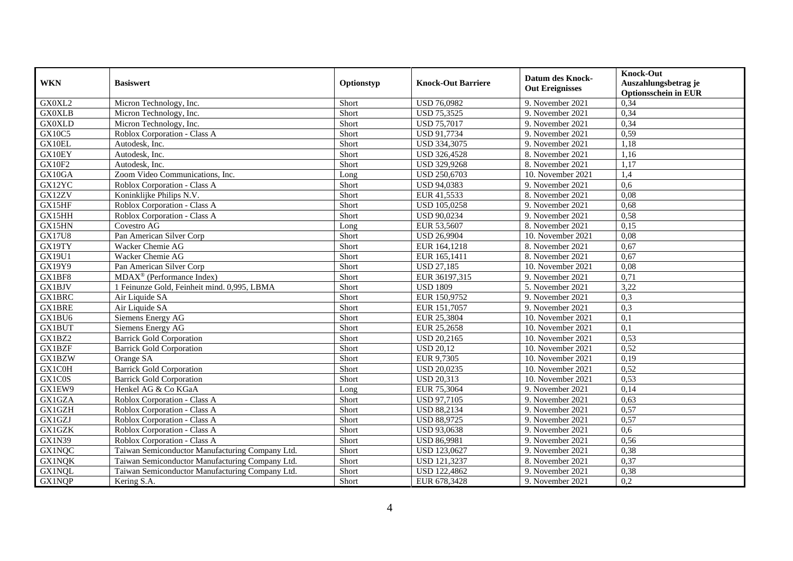| <b>WKN</b>    | <b>Basiswert</b>                                | Optionstyp | <b>Knock-Out Barriere</b> | <b>Datum des Knock-</b><br><b>Out Ereignisses</b> | <b>Knock-Out</b><br>Auszahlungsbetrag je<br><b>Optionsschein in EUR</b> |
|---------------|-------------------------------------------------|------------|---------------------------|---------------------------------------------------|-------------------------------------------------------------------------|
| GX0XL2        | Micron Technology, Inc.                         | Short      | <b>USD 76,0982</b>        | 9. November 2021                                  | 0,34                                                                    |
| <b>GX0XLB</b> | Micron Technology, Inc.                         | Short      | <b>USD 75,3525</b>        | 9. November 2021                                  | 0,34                                                                    |
| <b>GX0XLD</b> | Micron Technology, Inc.                         | Short      | <b>USD 75,7017</b>        | 9. November 2021                                  | 0,34                                                                    |
| <b>GX10C5</b> | Roblox Corporation - Class A                    | Short      | USD 91,7734               | 9. November 2021                                  | 0,59                                                                    |
| GX10EL        | Autodesk, Inc.                                  | Short      | USD 334,3075              | 9. November 2021                                  | 1,18                                                                    |
| GX10EY        | Autodesk, Inc.                                  | Short      | <b>USD 326,4528</b>       | 8. November 2021                                  | 1,16                                                                    |
| <b>GX10F2</b> | Autodesk, Inc.                                  | Short      | USD 329,9268              | 8. November 2021                                  | 1,17                                                                    |
| GX10GA        | Zoom Video Communications, Inc.                 | Long       | <b>USD 250,6703</b>       | 10. November 2021                                 | 1,4                                                                     |
| GX12YC        | Roblox Corporation - Class A                    | Short      | <b>USD 94,0383</b>        | 9. November 2021                                  | 0.6                                                                     |
| GX12ZV        | Koninklijke Philips N.V.                        | Short      | EUR 41,5533               | 8. November 2021                                  | 0,08                                                                    |
| GX15HF        | Roblox Corporation - Class A                    | Short      | <b>USD 105,0258</b>       | 9. November 2021                                  | 0,68                                                                    |
| GX15HH        | Roblox Corporation - Class A                    | Short      | <b>USD 90,0234</b>        | 9. November 2021                                  | 0,58                                                                    |
| GX15HN        | Covestro AG                                     | Long       | EUR 53,5607               | 8. November 2021                                  | 0,15                                                                    |
| <b>GX17U8</b> | Pan American Silver Corp                        | Short      | <b>USD 26,9904</b>        | 10. November 2021                                 | 0,08                                                                    |
| GX19TY        | Wacker Chemie AG                                | Short      | EUR 164,1218              | 8. November 2021                                  | 0,67                                                                    |
| GX19U1        | Wacker Chemie AG                                | Short      | EUR 165,1411              | 8. November 2021                                  | 0,67                                                                    |
| GX19Y9        | Pan American Silver Corp                        | Short      | <b>USD 27,185</b>         | 10. November 2021                                 | 0.08                                                                    |
| GX1BF8        | MDAX <sup>®</sup> (Performance Index)           | Short      | EUR 36197,315             | 9. November 2021                                  | 0,71                                                                    |
| GX1BJV        | 1 Feinunze Gold, Feinheit mind. 0,995, LBMA     | Short      | <b>USD 1809</b>           | 5. November 2021                                  | 3,22                                                                    |
| <b>GX1BRC</b> | Air Liquide SA                                  | Short      | EUR 150,9752              | 9. November 2021                                  | 0,3                                                                     |
| <b>GX1BRE</b> | Air Liquide SA                                  | Short      | EUR 151,7057              | 9. November 2021                                  | 0,3                                                                     |
| GX1BU6        | Siemens Energy AG                               | Short      | EUR 25,3804               | 10. November 2021                                 | 0,1                                                                     |
| GX1BUT        | Siemens Energy AG                               | Short      | EUR 25,2658               | 10. November 2021                                 | 0,1                                                                     |
| GX1BZ2        | <b>Barrick Gold Corporation</b>                 | Short      | <b>USD 20,2165</b>        | 10. November 2021                                 | 0,53                                                                    |
| GX1BZF        | <b>Barrick Gold Corporation</b>                 | Short      | <b>USD 20.12</b>          | 10. November 2021                                 | 0,52                                                                    |
| GX1BZW        | Orange SA                                       | Short      | EUR 9,7305                | 10. November 2021                                 | 0,19                                                                    |
| GX1C0H        | <b>Barrick Gold Corporation</b>                 | Short      | <b>USD 20,0235</b>        | 10. November 2021                                 | 0,52                                                                    |
| GX1C0S        | <b>Barrick Gold Corporation</b>                 | Short      | <b>USD 20,313</b>         | 10. November 2021                                 | 0,53                                                                    |
| GX1EW9        | Henkel AG & Co KGaA                             | Long       | EUR 75,3064               | 9. November 2021                                  | 0,14                                                                    |
| GX1GZA        | Roblox Corporation - Class A                    | Short      | <b>USD 97,7105</b>        | 9. November 2021                                  | 0.63                                                                    |
| GX1GZH        | Roblox Corporation - Class A                    | Short      | <b>USD 88,2134</b>        | 9. November 2021                                  | 0,57                                                                    |
| GX1GZJ        | Roblox Corporation - Class A                    | Short      | <b>USD 88,9725</b>        | 9. November 2021                                  | 0,57                                                                    |
| <b>GX1GZK</b> | Roblox Corporation - Class A                    | Short      | USD 93,0638               | 9. November 2021                                  | 0.6                                                                     |
| <b>GX1N39</b> | Roblox Corporation - Class A                    | Short      | <b>USD 86,9981</b>        | 9. November 2021                                  | 0,56                                                                    |
| <b>GX1NQC</b> | Taiwan Semiconductor Manufacturing Company Ltd. | Short      | USD 123,0627              | 9. November 2021                                  | 0,38                                                                    |
| <b>GX1NQK</b> | Taiwan Semiconductor Manufacturing Company Ltd. | Short      | USD 121,3237              | 8. November 2021                                  | 0,37                                                                    |
| <b>GX1NQL</b> | Taiwan Semiconductor Manufacturing Company Ltd. | Short      | <b>USD 122,4862</b>       | 9. November 2021                                  | 0,38                                                                    |
| <b>GX1NQP</b> | Kering S.A.                                     | Short      | EUR 678,3428              | 9. November 2021                                  | 0,2                                                                     |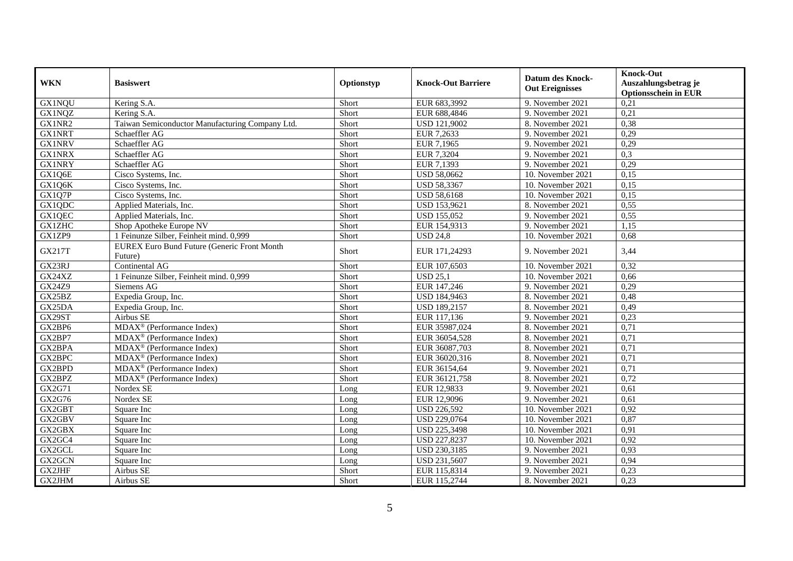| <b>WKN</b>    | <b>Basiswert</b>                                              | Optionstyp | <b>Knock-Out Barriere</b> | <b>Datum des Knock-</b><br><b>Out Ereignisses</b> | <b>Knock-Out</b><br>Auszahlungsbetrag je<br><b>Optionsschein in EUR</b> |
|---------------|---------------------------------------------------------------|------------|---------------------------|---------------------------------------------------|-------------------------------------------------------------------------|
| <b>GX1NQU</b> | Kering S.A.                                                   | Short      | EUR 683,3992              | 9. November 2021                                  | 0,21                                                                    |
| <b>GX1NQZ</b> | Kering S.A.                                                   | Short      | EUR 688,4846              | 9. November 2021                                  | 0,21                                                                    |
| GX1NR2        | Taiwan Semiconductor Manufacturing Company Ltd.               | Short      | USD 121,9002              | 8. November 2021                                  | 0,38                                                                    |
| <b>GX1NRT</b> | Schaeffler AG                                                 | Short      | EUR 7,2633                | 9. November 2021                                  | 0,29                                                                    |
| <b>GX1NRV</b> | Schaeffler AG                                                 | Short      | EUR 7,1965                | 9. November 2021                                  | 0,29                                                                    |
| <b>GX1NRX</b> | Schaeffler AG                                                 | Short      | EUR 7,3204                | 9. November 2021                                  | 0,3                                                                     |
| <b>GX1NRY</b> | Schaeffler AG                                                 | Short      | EUR 7,1393                | 9. November 2021                                  | 0,29                                                                    |
| GX1Q6E        | Cisco Systems, Inc.                                           | Short      | <b>USD 58,0662</b>        | 10. November 2021                                 | 0,15                                                                    |
| GX1Q6K        | Cisco Systems, Inc.                                           | Short      | <b>USD 58,3367</b>        | 10. November 2021                                 | 0,15                                                                    |
| GX1Q7P        | Cisco Systems, Inc.                                           | Short      | <b>USD 58,6168</b>        | 10. November 2021                                 | 0,15                                                                    |
| GX1QDC        | Applied Materials, Inc.                                       | Short      | USD 153,9621              | 8. November 2021                                  | 0,55                                                                    |
| GX1QEC        | Applied Materials, Inc.                                       | Short      | <b>USD 155,052</b>        | 9. November 2021                                  | 0,55                                                                    |
| <b>GX1ZHC</b> | Shop Apotheke Europe NV                                       | Short      | EUR 154,9313              | 9. November 2021                                  | 1,15                                                                    |
| GX1ZP9        | 1 Feinunze Silber, Feinheit mind. 0,999                       | Short      | <b>USD 24,8</b>           | 10. November 2021                                 | 0,68                                                                    |
| GX217T        | <b>EUREX Euro Bund Future (Generic Front Month</b><br>Future) | Short      | EUR 171,24293             | 9. November 2021                                  | 3,44                                                                    |
| GX23RJ        | Continental AG                                                | Short      | EUR 107,6503              | 10. November 2021                                 | 0,32                                                                    |
| GX24XZ        | 1 Feinunze Silber, Feinheit mind. 0,999                       | Short      | <b>USD 25,1</b>           | 10. November 2021                                 | 0,66                                                                    |
| GX24Z9        | Siemens AG                                                    | Short      | EUR 147,246               | 9. November 2021                                  | 0,29                                                                    |
| GX25BZ        | Expedia Group, Inc.                                           | Short      | USD 184,9463              | 8. November 2021                                  | 0,48                                                                    |
| GX25DA        | Expedia Group, Inc.                                           | Short      | USD 189,2157              | 8. November 2021                                  | 0,49                                                                    |
| GX29ST        | Airbus SE                                                     | Short      | EUR 117,136               | 9. November 2021                                  | 0,23                                                                    |
| GX2BP6        | $\overline{\text{MDAX}^{\circledast}$ (Performance Index)     | Short      | EUR 35987,024             | 8. November 2021                                  | 0,71                                                                    |
| GX2BP7        | MDAX <sup>®</sup> (Performance Index)                         | Short      | EUR 36054,528             | 8. November 2021                                  | 0,71                                                                    |
| GX2BPA        | $MDAX^{\circledR}$ (Performance Index)                        | Short      | EUR 36087,703             | 8. November 2021                                  | 0,71                                                                    |
| GX2BPC        | MDAX <sup>®</sup> (Performance Index)                         | Short      | EUR 36020,316             | 8. November 2021                                  | 0,71                                                                    |
| GX2BPD        | MDAX <sup>®</sup> (Performance Index)                         | Short      | EUR 36154,64              | 9. November 2021                                  | 0,71                                                                    |
| GX2BPZ        | MDAX <sup>®</sup> (Performance Index)                         | Short      | EUR 36121,758             | 8. November 2021                                  | 0,72                                                                    |
| GX2G71        | Nordex SE                                                     | Long       | EUR 12,9833               | 9. November 2021                                  | 0,61                                                                    |
| GX2G76        | Nordex SE                                                     | Long       | EUR 12,9096               | 9. November 2021                                  | 0,61                                                                    |
| GX2GBT        | Square Inc                                                    | Long       | <b>USD 226,592</b>        | 10. November 2021                                 | 0,92                                                                    |
| GX2GBV        | Square Inc                                                    | Long       | <b>USD 229,0764</b>       | 10. November 2021                                 | 0,87                                                                    |
| GX2GBX        | Square Inc                                                    | Long       | <b>USD 225,3498</b>       | 10. November 2021                                 | 0,91                                                                    |
| GX2GC4        | Square Inc                                                    | Long       | USD 227,8237              | 10. November 2021                                 | 0,92                                                                    |
| GX2GCL        | Square Inc                                                    | Long       | USD 230,3185              | 9. November 2021                                  | 0,93                                                                    |
| GX2GCN        | Square Inc                                                    | Long       | USD 231,5607              | 9. November 2021                                  | 0,94                                                                    |
| GX2JHF        | Airbus SE                                                     | Short      | EUR 115,8314              | 9. November 2021                                  | 0,23                                                                    |
| GX2JHM        | Airbus SE                                                     | Short      | EUR 115,2744              | 8. November 2021                                  | 0,23                                                                    |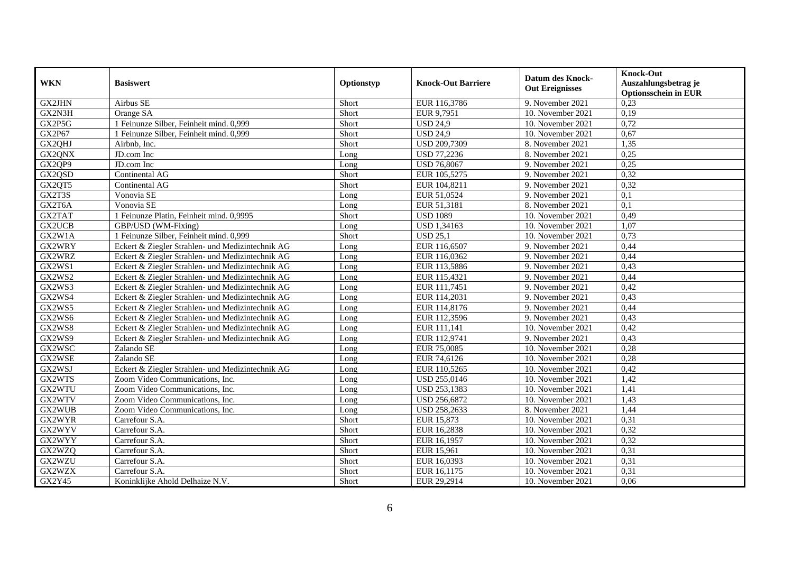| <b>WKN</b>    | <b>Basiswert</b>                                 | Optionstyp | <b>Knock-Out Barriere</b> | <b>Datum des Knock-</b><br><b>Out Ereignisses</b> | <b>Knock-Out</b><br>Auszahlungsbetrag je<br><b>Optionsschein in EUR</b> |
|---------------|--------------------------------------------------|------------|---------------------------|---------------------------------------------------|-------------------------------------------------------------------------|
| <b>GX2JHN</b> | Airbus SE                                        | Short      | EUR 116,3786              | 9. November 2021                                  | 0,23                                                                    |
| GX2N3H        | Orange SA                                        | Short      | EUR 9,7951                | 10. November 2021                                 | 0,19                                                                    |
| GX2P5G        | 1 Feinunze Silber, Feinheit mind. 0,999          | Short      | <b>USD 24,9</b>           | 10. November 2021                                 | 0,72                                                                    |
| GX2P67        | 1 Feinunze Silber, Feinheit mind. 0,999          | Short      | <b>USD 24,9</b>           | 10. November 2021                                 | 0,67                                                                    |
| GX2QHJ        | Airbnb, Inc.                                     | Short      | <b>USD 209,7309</b>       | 8. November 2021                                  | 1,35                                                                    |
| GX2QNX        | JD.com Inc                                       | Long       | USD 77,2236               | 8. November 2021                                  | 0,25                                                                    |
| GX2QP9        | JD.com Inc                                       | Long       | <b>USD 76,8067</b>        | 9. November 2021                                  | 0,25                                                                    |
| GX2QSD        | Continental AG                                   | Short      | EUR 105,5275              | 9. November 2021                                  | 0,32                                                                    |
| GX2QT5        | Continental AG                                   | Short      | EUR 104,8211              | 9. November 2021                                  | 0,32                                                                    |
| GX2T3S        | Vonovia SE                                       | Long       | EUR 51,0524               | 9. November 2021                                  | 0,1                                                                     |
| GX2T6A        | Vonovia SE                                       | Long       | EUR 51,3181               | 8. November 2021                                  | 0,1                                                                     |
| GX2TAT        | 1 Feinunze Platin, Feinheit mind. 0,9995         | Short      | <b>USD 1089</b>           | 10. November 2021                                 | 0,49                                                                    |
| <b>GX2UCB</b> | GBP/USD (WM-Fixing)                              | Long       | <b>USD 1,34163</b>        | 10. November 2021                                 | 1,07                                                                    |
| GX2W1A        | 1 Feinunze Silber, Feinheit mind. 0,999          | Short      | <b>USD 25,1</b>           | 10. November 2021                                 | 0,73                                                                    |
| GX2WRY        | Eckert & Ziegler Strahlen- und Medizintechnik AG | Long       | EUR 116,6507              | 9. November 2021                                  | 0,44                                                                    |
| GX2WRZ        | Eckert & Ziegler Strahlen- und Medizintechnik AG | Long       | EUR 116,0362              | 9. November 2021                                  | 0,44                                                                    |
| GX2WS1        | Eckert & Ziegler Strahlen- und Medizintechnik AG | Long       | EUR 113,5886              | 9. November 2021                                  | 0,43                                                                    |
| GX2WS2        | Eckert & Ziegler Strahlen- und Medizintechnik AG | Long       | EUR 115,4321              | 9. November 2021                                  | 0,44                                                                    |
| GX2WS3        | Eckert & Ziegler Strahlen- und Medizintechnik AG | Long       | EUR 111,7451              | 9. November 2021                                  | 0,42                                                                    |
| GX2WS4        | Eckert & Ziegler Strahlen- und Medizintechnik AG | Long       | EUR 114,2031              | 9. November 2021                                  | 0,43                                                                    |
| GX2WS5        | Eckert & Ziegler Strahlen- und Medizintechnik AG | Long       | EUR 114,8176              | 9. November 2021                                  | 0,44                                                                    |
| GX2WS6        | Eckert & Ziegler Strahlen- und Medizintechnik AG | Long       | EUR 112,3596              | 9. November 2021                                  | 0,43                                                                    |
| GX2WS8        | Eckert & Ziegler Strahlen- und Medizintechnik AG | Long       | EUR 111,141               | 10. November 2021                                 | 0,42                                                                    |
| GX2WS9        | Eckert & Ziegler Strahlen- und Medizintechnik AG | Long       | EUR 112,9741              | 9. November 2021                                  | 0,43                                                                    |
| GX2WSC        | Zalando SE                                       | Long       | EUR 75,0085               | 10. November 2021                                 | 0,28                                                                    |
| GX2WSE        | Zalando SE                                       | Long       | EUR 74,6126               | 10. November 2021                                 | 0,28                                                                    |
| GX2WSJ        | Eckert & Ziegler Strahlen- und Medizintechnik AG | Long       | EUR 110,5265              | 10. November 2021                                 | 0,42                                                                    |
| GX2WTS        | Zoom Video Communications, Inc.                  | Long       | USD 255,0146              | 10. November 2021                                 | 1,42                                                                    |
| GX2WTU        | Zoom Video Communications, Inc.                  | Long       | USD 253,1383              | 10. November 2021                                 | 1,41                                                                    |
| GX2WTV        | Zoom Video Communications, Inc.                  | Long       | USD 256,6872              | 10. November 2021                                 | 1,43                                                                    |
| GX2WUB        | Zoom Video Communications, Inc.                  | Long       | USD 258,2633              | 8. November 2021                                  | 1,44                                                                    |
| GX2WYR        | Carrefour S.A.                                   | Short      | EUR 15,873                | 10. November 2021                                 | 0,31                                                                    |
| GX2WYV        | Carrefour S.A.                                   | Short      | EUR 16,2838               | 10. November 2021                                 | 0,32                                                                    |
| GX2WYY        | Carrefour S.A.                                   | Short      | EUR 16,1957               | 10. November 2021                                 | 0,32                                                                    |
| GX2WZQ        | Carrefour S.A.                                   | Short      | EUR 15,961                | 10. November 2021                                 | 0,31                                                                    |
| GX2WZU        | Carrefour S.A.                                   | Short      | EUR 16,0393               | 10. November 2021                                 | 0,31                                                                    |
| GX2WZX        | Carrefour S.A.                                   | Short      | EUR 16,1175               | 10. November 2021                                 | 0,31                                                                    |
| GX2Y45        | Koninklijke Ahold Delhaize N.V.                  | Short      | EUR 29,2914               | 10. November 2021                                 | 0,06                                                                    |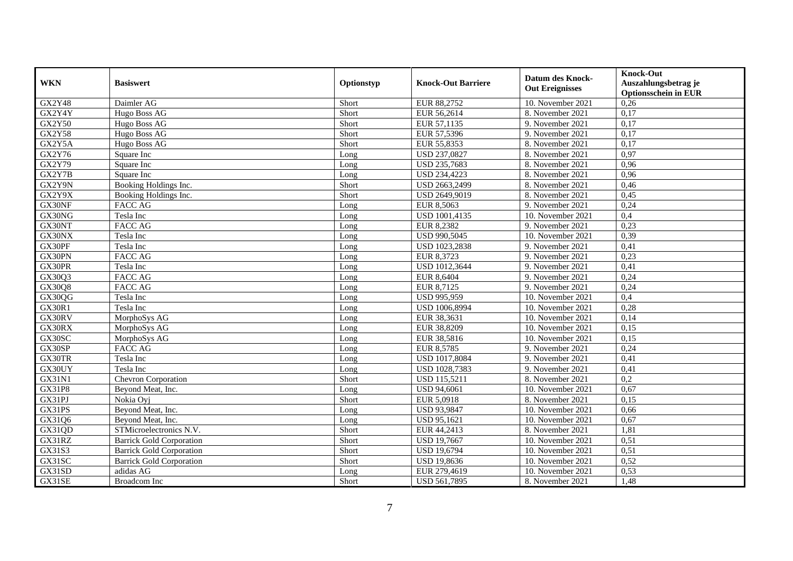| <b>WKN</b>    | <b>Basiswert</b>                | Optionstyp | <b>Knock-Out Barriere</b> | <b>Datum des Knock-</b><br><b>Out Ereignisses</b> | <b>Knock-Out</b><br>Auszahlungsbetrag je<br><b>Optionsschein in EUR</b> |
|---------------|---------------------------------|------------|---------------------------|---------------------------------------------------|-------------------------------------------------------------------------|
| <b>GX2Y48</b> | Daimler AG                      | Short      | EUR 88,2752               | 10. November 2021                                 | 0,26                                                                    |
| GX2Y4Y        | Hugo Boss AG                    | Short      | EUR 56,2614               | 8. November 2021                                  | 0,17                                                                    |
| <b>GX2Y50</b> | Hugo Boss AG                    | Short      | EUR 57,1135               | 9. November 2021                                  | 0,17                                                                    |
| <b>GX2Y58</b> | Hugo Boss AG                    | Short      | EUR 57,5396               | 9. November 2021                                  | 0,17                                                                    |
| GX2Y5A        | Hugo Boss AG                    | Short      | EUR 55,8353               | 8. November 2021                                  | 0,17                                                                    |
| GX2Y76        | Square Inc                      | Long       | USD 237,0827              | 8. November 2021                                  | 0.97                                                                    |
| GX2Y79        | Square Inc                      | Long       | USD 235,7683              | 8. November 2021                                  | 0,96                                                                    |
| GX2Y7B        | Square Inc                      | Long       | <b>USD 234,4223</b>       | 8. November 2021                                  | 0,96                                                                    |
| GX2Y9N        | Booking Holdings Inc.           | Short      | USD 2663,2499             | 8. November 2021                                  | 0,46                                                                    |
| GX2Y9X        | Booking Holdings Inc.           | Short      | USD 2649,9019             | 8. November 2021                                  | 0,45                                                                    |
| GX30NF        | <b>FACC AG</b>                  | Long       | <b>EUR 8,5063</b>         | 9. November 2021                                  | 0,24                                                                    |
| GX30NG        | Tesla Inc                       | Long       | <b>USD 1001,4135</b>      | 10. November 2021                                 | 0,4                                                                     |
| GX30NT        | <b>FACC AG</b>                  | Long       | EUR 8,2382                | 9. November 2021                                  | 0,23                                                                    |
| GX30NX        | Tesla Inc                       | Long       | USD 990,5045              | 10. November 2021                                 | 0,39                                                                    |
| GX30PF        | Tesla Inc                       | Long       | USD 1023,2838             | 9. November 2021                                  | 0,41                                                                    |
| GX30PN        | <b>FACC AG</b>                  | Long       | EUR 8,3723                | 9. November 2021                                  | 0,23                                                                    |
| GX30PR        | Tesla Inc                       | Long       | USD 1012,3644             | 9. November 2021                                  | 0,41                                                                    |
| GX30Q3        | FACC AG                         | Long       | EUR 8,6404                | 9. November 2021                                  | 0,24                                                                    |
| GX30Q8        | <b>FACC AG</b>                  | Long       | EUR 8,7125                | 9. November 2021                                  | 0,24                                                                    |
| GX30QG        | Tesla Inc                       | Long       | <b>USD 995,959</b>        | 10. November 2021                                 | 0,4                                                                     |
| <b>GX30R1</b> | Tesla Inc                       | Long       | USD 1006,8994             | 10. November 2021                                 | 0,28                                                                    |
| GX30RV        | MorphoSys AG                    | Long       | EUR 38,3631               | $10.$ November 2021                               | 0,14                                                                    |
| GX30RX        | MorphoSys AG                    | Long       | EUR 38,8209               | 10. November 2021                                 | 0,15                                                                    |
| GX30SC        | MorphoSys AG                    | Long       | EUR 38,5816               | $10.$ November 2021                               | 0,15                                                                    |
| GX30SP        | <b>FACC AG</b>                  | Long       | <b>EUR 8,5785</b>         | 9. November 2021                                  | 0,24                                                                    |
| GX30TR        | Tesla Inc                       | Long       | USD 1017,8084             | 9. November 2021                                  | 0,41                                                                    |
| GX30UY        | Tesla Inc                       | Long       | USD 1028,7383             | 9. November 2021                                  | 0,41                                                                    |
| GX31N1        | Chevron Corporation             | Short      | <b>USD 115,5211</b>       | 8. November 2021                                  | 0,2                                                                     |
| GX31P8        | Beyond Meat, Inc.               | Long       | <b>USD 94,6061</b>        | 10. November 2021                                 | 0,67                                                                    |
| GX31PJ        | Nokia Ovi                       | Short      | EUR 5,0918                | 8. November 2021                                  | 0,15                                                                    |
| GX31PS        | Beyond Meat, Inc.               | Long       | USD 93,9847               | 10. November 2021                                 | 0,66                                                                    |
| GX31Q6        | Beyond Meat, Inc.               | Long       | USD 95,1621               | 10. November 2021                                 | 0,67                                                                    |
| GX31QD        | STMicroelectronics N.V.         | Short      | EUR 44,2413               | 8. November 2021                                  | 1,81                                                                    |
| GX31RZ        | <b>Barrick Gold Corporation</b> | Short      | <b>USD 19,7667</b>        | 10. November 2021                                 | 0,51                                                                    |
| GX31S3        | <b>Barrick Gold Corporation</b> | Short      | <b>USD 19,6794</b>        | 10. November 2021                                 | 0,51                                                                    |
| GX31SC        | <b>Barrick Gold Corporation</b> | Short      | <b>USD 19,8636</b>        | 10. November 2021                                 | 0,52                                                                    |
| GX31SD        | adidas AG                       | Long       | EUR 279,4619              | 10. November 2021                                 | 0,53                                                                    |
| GX31SE        | Broadcom Inc                    | Short      | USD 561,7895              | 8. November 2021                                  | 1,48                                                                    |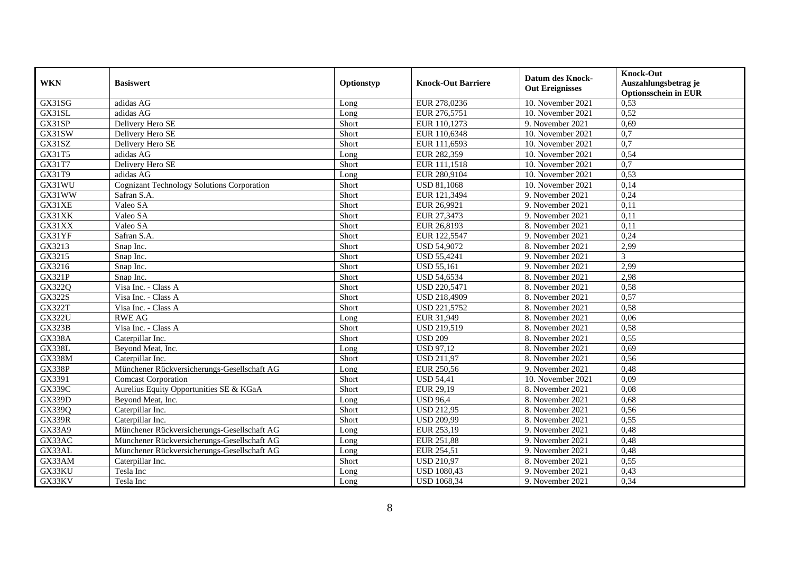| <b>WKN</b>    | <b>Basiswert</b>                                  | Optionstyp | <b>Knock-Out Barriere</b> | <b>Datum des Knock-</b><br><b>Out Ereignisses</b> | <b>Knock-Out</b><br>Auszahlungsbetrag je<br><b>Optionsschein in EUR</b> |
|---------------|---------------------------------------------------|------------|---------------------------|---------------------------------------------------|-------------------------------------------------------------------------|
| GX31SG        | adidas AG                                         | Long       | EUR 278,0236              | 10. November 2021                                 | 0,53                                                                    |
| GX31SL        | adidas AG                                         | Long       | EUR 276,5751              | 10. November 2021                                 | 0,52                                                                    |
| GX31SP        | Delivery Hero SE                                  | Short      | EUR 110,1273              | 9. November 2021                                  | 0,69                                                                    |
| GX31SW        | Delivery Hero SE                                  | Short      | EUR 110,6348              | 10. November 2021                                 | 0,7                                                                     |
| GX31SZ        | Delivery Hero SE                                  | Short      | EUR 111,6593              | 10. November 2021                                 | $\overline{0,7}$                                                        |
| GX31T5        | adidas AG                                         | Long       | EUR 282,359               | 10. November 2021                                 | 0,54                                                                    |
| GX31T7        | Delivery Hero SE                                  | Short      | EUR 111,1518              | 10. November 2021                                 | 0,7                                                                     |
| GX31T9        | adidas AG                                         | Long       | EUR 280,9104              | 10. November 2021                                 | 0,53                                                                    |
| GX31WU        | <b>Cognizant Technology Solutions Corporation</b> | Short      | <b>USD 81,1068</b>        | 10. November 2021                                 | 0,14                                                                    |
| GX31WW        | Safran S.A.                                       | Short      | EUR 121,3494              | 9. November 2021                                  | 0,24                                                                    |
| GX31XE        | Valeo SA                                          | Short      | EUR 26,9921               | 9. November 2021                                  | 0,11                                                                    |
| GX31XK        | Valeo SA                                          | Short      | EUR 27,3473               | 9. November 2021                                  | 0,11                                                                    |
| GX31XX        | Valeo SA                                          | Short      | EUR 26,8193               | 8. November 2021                                  | 0,11                                                                    |
| GX31YF        | Safran S.A.                                       | Short      | EUR 122,5547              | 9. November 2021                                  | 0,24                                                                    |
| GX3213        | Snap Inc.                                         | Short      | <b>USD 54,9072</b>        | 8. November 2021                                  | 2,99                                                                    |
| GX3215        | Snap Inc.                                         | Short      | <b>USD 55,4241</b>        | 9. November 2021                                  | $\mathcal{F}$                                                           |
| GX3216        | Snap Inc.                                         | Short      | <b>USD 55,161</b>         | 9. November 2021                                  | 2,99                                                                    |
| <b>GX321P</b> | Snap Inc.                                         | Short      | <b>USD 54,6534</b>        | 8. November 2021                                  | 2,98                                                                    |
| GX322Q        | Visa Inc. - Class A                               | Short      | USD 220,5471              | 8. November 2021                                  | 0,58                                                                    |
| <b>GX322S</b> | Visa Inc. - Class A                               | Short      | USD 218,4909              | 8. November 2021                                  | 0,57                                                                    |
| <b>GX322T</b> | Visa Inc. - Class A                               | Short      | USD 221,5752              | 8. November 2021                                  | 0,58                                                                    |
| <b>GX322U</b> | <b>RWE AG</b>                                     | Long       | EUR 31,949                | 8. November 2021                                  | 0,06                                                                    |
| <b>GX323B</b> | Visa Inc. - Class A                               | Short      | <b>USD 219,519</b>        | 8. November 2021                                  | 0,58                                                                    |
| <b>GX338A</b> | Caterpillar Inc.                                  | Short      | <b>USD 209</b>            | 8. November 2021                                  | 0,55                                                                    |
| <b>GX338L</b> | Bevond Meat, Inc.                                 | Long       | <b>USD 97,12</b>          | 8. November 2021                                  | 0,69                                                                    |
| <b>GX338M</b> | Caterpillar Inc.                                  | Short      | <b>USD 211,97</b>         | 8. November 2021                                  | 0,56                                                                    |
| <b>GX338P</b> | Münchener Rückversicherungs-Gesellschaft AG       | Long       | EUR 250,56                | 9. November 2021                                  | 0,48                                                                    |
| GX3391        | <b>Comcast Corporation</b>                        | Short      | <b>USD 54,41</b>          | 10. November 2021                                 | 0,09                                                                    |
| GX339C        | Aurelius Equity Opportunities SE & KGaA           | Short      | EUR 29,19                 | 8. November 2021                                  | 0.08                                                                    |
| <b>GX339D</b> | Beyond Meat, Inc.                                 | Long       | <b>USD 96.4</b>           | 8. November 2021                                  | 0,68                                                                    |
| GX339Q        | Caterpillar Inc.                                  | Short      | <b>USD 212,95</b>         | 8. November 2021                                  | 0,56                                                                    |
| <b>GX339R</b> | Caterpillar Inc.                                  | Short      | <b>USD 209,99</b>         | 8. November 2021                                  | 0,55                                                                    |
| GX33A9        | Münchener Rückversicherungs-Gesellschaft AG       | Long       | EUR 253,19                | 9. November 2021                                  | 0,48                                                                    |
| GX33AC        | Münchener Rückversicherungs-Gesellschaft AG       | Long       | <b>EUR 251,88</b>         | 9. November 2021                                  | 0,48                                                                    |
| GX33AL        | Münchener Rückversicherungs-Gesellschaft AG       | Long       | EUR 254,51                | 9. November 2021                                  | 0,48                                                                    |
| GX33AM        | Caterpillar Inc.                                  | Short      | <b>USD 210,97</b>         | 8. November 2021                                  | 0,55                                                                    |
| GX33KU        | Tesla Inc                                         | Long       | <b>USD 1080,43</b>        | 9. November 2021                                  | 0,43                                                                    |
| GX33KV        | Tesla Inc                                         | Long       | <b>USD 1068,34</b>        | 9. November 2021                                  | 0,34                                                                    |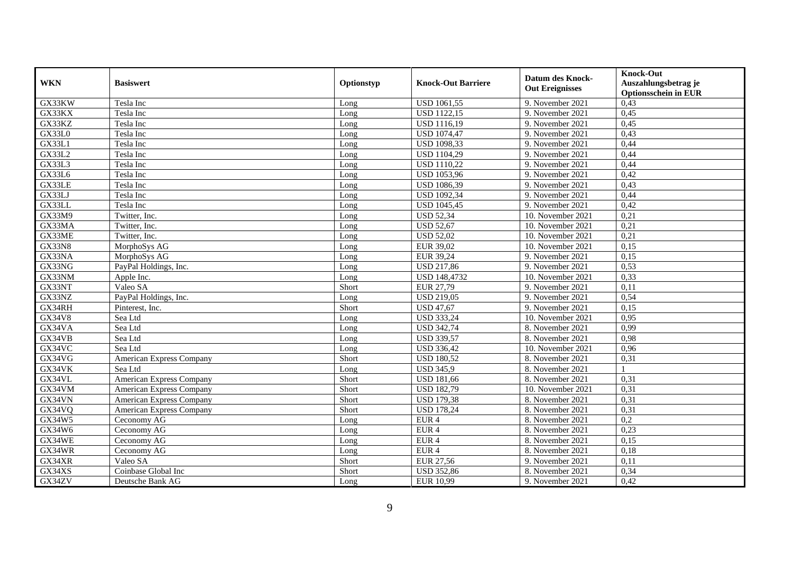| <b>WKN</b>    | <b>Basiswert</b>                | Optionstyp | <b>Knock-Out Barriere</b> | <b>Datum des Knock-</b><br><b>Out Ereignisses</b> | <b>Knock-Out</b><br>Auszahlungsbetrag je<br><b>Optionsschein in EUR</b> |
|---------------|---------------------------------|------------|---------------------------|---------------------------------------------------|-------------------------------------------------------------------------|
| GX33KW        | Tesla Inc                       | Long       | <b>USD 1061,55</b>        | 9. November 2021                                  | 0,43                                                                    |
| GX33KX        | Tesla Inc                       | Long       | <b>USD 1122,15</b>        | 9. November 2021                                  | 0,45                                                                    |
| GX33KZ        | Tesla Inc                       | Long       | <b>USD 1116,19</b>        | 9. November 2021                                  | 0,45                                                                    |
| GX33L0        | Tesla Inc                       | Long       | <b>USD 1074,47</b>        | 9. November 2021                                  | 0,43                                                                    |
| GX33L1        | Tesla Inc                       | Long       | <b>USD 1098,33</b>        | 9. November 2021                                  | 0,44                                                                    |
| GX33L2        | Tesla Inc                       | Long       | <b>USD 1104,29</b>        | 9. November 2021                                  | 0,44                                                                    |
| GX33L3        | Tesla Inc                       | Long       | <b>USD 1110,22</b>        | 9. November 2021                                  | 0,44                                                                    |
| GX33L6        | Tesla Inc                       | Long       | <b>USD 1053,96</b>        | 9. November 2021                                  | 0,42                                                                    |
| GX33LE        | Tesla Inc                       | Long       | <b>USD 1086,39</b>        | 9. November 2021                                  | 0,43                                                                    |
| GX33LJ        | Tesla Inc                       | Long       | <b>USD 1092,34</b>        | 9. November 2021                                  | 0,44                                                                    |
| GX33LL        | Tesla Inc                       | Long       | <b>USD 1045,45</b>        | 9. November 2021                                  | 0,42                                                                    |
| GX33M9        | Twitter, Inc.                   | Long       | <b>USD 52,34</b>          | 10. November 2021                                 | 0,21                                                                    |
| GX33MA        | Twitter, Inc.                   | Long       | <b>USD 52,67</b>          | 10. November 2021                                 | 0,21                                                                    |
| GX33ME        | Twitter, Inc.                   | Long       | <b>USD 52,02</b>          | 10. November 2021                                 | 0,21                                                                    |
| <b>GX33N8</b> | MorphoSys AG                    | Long       | EUR 39,02                 | 10. November 2021                                 | 0,15                                                                    |
| GX33NA        | MorphoSys AG                    | Long       | <b>EUR 39,24</b>          | 9. November 2021                                  | 0,15                                                                    |
| GX33NG        | PayPal Holdings, Inc.           | Long       | <b>USD 217,86</b>         | 9. November 2021                                  | 0,53                                                                    |
| GX33NM        | Apple Inc.                      | Long       | <b>USD 148,4732</b>       | 10. November 2021                                 | 0,33                                                                    |
| GX33NT        | Valeo SA                        | Short      | EUR 27,79                 | 9. November 2021                                  | 0,11                                                                    |
| GX33NZ        | PayPal Holdings, Inc.           | Long       | <b>USD 219,05</b>         | 9. November 2021                                  | 0,54                                                                    |
| GX34RH        | Pinterest, Inc.                 | Short      | <b>USD 47,67</b>          | 9. November 2021                                  | 0,15                                                                    |
| GX34V8        | Sea Ltd                         | Long       | <b>USD 333,24</b>         | 10. November 2021                                 | 0,95                                                                    |
| GX34VA        | Sea Ltd                         | Long       | <b>USD 342,74</b>         | 8. November 2021                                  | 0,99                                                                    |
| GX34VB        | Sea Ltd                         | Long       | <b>USD 339,57</b>         | 8. November 2021                                  | 0,98                                                                    |
| GX34VC        | Sea Ltd                         | Long       | <b>USD 336,42</b>         | 10. November 2021                                 | 0,96                                                                    |
| GX34VG        | American Express Company        | Short      | <b>USD 180,52</b>         | 8. November 2021                                  | 0,31                                                                    |
| GX34VK        | Sea Ltd                         | Long       | <b>USD 345,9</b>          | 8. November 2021                                  |                                                                         |
| GX34VL        | <b>American Express Company</b> | Short      | <b>USD 181,66</b>         | 8. November 2021                                  | 0,31                                                                    |
| GX34VM        | <b>American Express Company</b> | Short      | <b>USD 182,79</b>         | 10. November 2021                                 | 0,31                                                                    |
| GX34VN        | <b>American Express Company</b> | Short      | <b>USD 179.38</b>         | 8. November 2021                                  | 0.31                                                                    |
| GX34VQ        | <b>American Express Company</b> | Short      | <b>USD 178,24</b>         | 8. November 2021                                  | 0,31                                                                    |
| GX34W5        | Ceconomy AG                     | Long       | EUR <sub>4</sub>          | 8. November 2021                                  | 0,2                                                                     |
| GX34W6        | Ceconomy AG                     | Long       | EUR <sub>4</sub>          | 8. November 2021                                  | 0,23                                                                    |
| GX34WE        | Ceconomy AG                     | Long       | EUR <sub>4</sub>          | 8. November 2021                                  | 0,15                                                                    |
| GX34WR        | Ceconomy AG                     | Long       | EUR <sub>4</sub>          | 8. November 2021                                  | 0,18                                                                    |
| GX34XR        | Valeo SA                        | Short      | <b>EUR 27,56</b>          | 9. November 2021                                  | 0,11                                                                    |
| GX34XS        | Coinbase Global Inc             | Short      | <b>USD 352,86</b>         | 8. November 2021                                  | 0,34                                                                    |
| GX34ZV        | Deutsche Bank AG                | Long       | EUR 10,99                 | 9. November 2021                                  | 0,42                                                                    |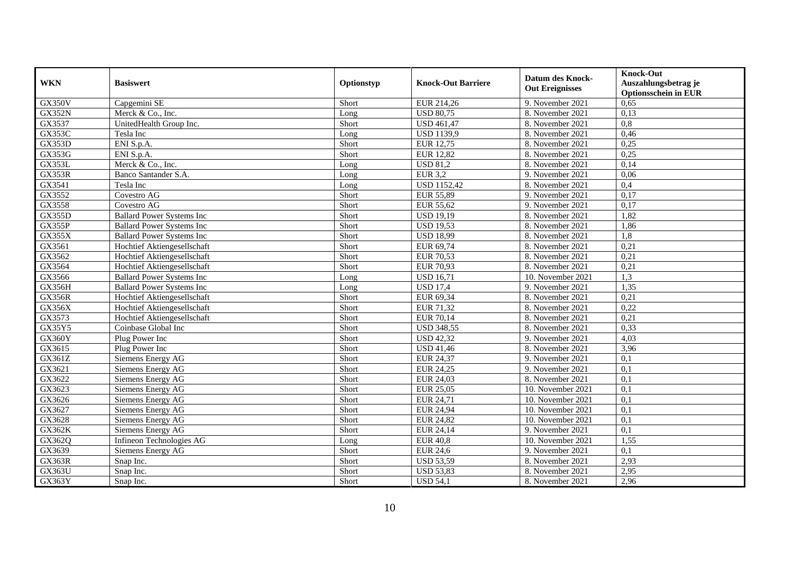| <b>WKN</b>          | <b>Basiswert</b>                  | Optionstyp | <b>Knock-Out Barriere</b> | <b>Datum des Knock-</b><br><b>Out Ereignisses</b> | <b>Knock-Out</b><br>Auszahlungsbetrag je<br><b>Optionsschein in EUR</b> |
|---------------------|-----------------------------------|------------|---------------------------|---------------------------------------------------|-------------------------------------------------------------------------|
| GX350V              | Capgemini SE                      | Short      | EUR 214,26                | 9. November 2021                                  | 0,65                                                                    |
| <b>GX352N</b>       | Merck & Co., Inc.                 | Long       | <b>USD 80.75</b>          | 8. November 2021                                  | 0,13                                                                    |
| GX3537              | UnitedHealth Group Inc.           | Short      | <b>USD 461,47</b>         | 8. November 2021                                  | 0,8                                                                     |
| GX353C              | Tesla Inc                         | Long       | <b>USD 1139,9</b>         | 8. November 2021                                  | 0,46                                                                    |
| <b>GX353D</b>       | ENI S.p.A.                        | Short      | EUR 12,75                 | 8. November 2021                                  | 0,25                                                                    |
| GX353G              | ENI S.p.A.                        | Short      | <b>EUR 12,82</b>          | 8. November 2021                                  | 0,25                                                                    |
| GX353L              | Merck & Co., Inc.                 | Long       | <b>USD 81,2</b>           | 8. November 2021                                  | 0,14                                                                    |
| <b>GX353R</b>       | Banco Santander S.A.              | Long       | <b>EUR 3,2</b>            | 9. November 2021                                  | 0,06                                                                    |
| GX3541              | Tesla Inc                         | Long       | <b>USD 1152,42</b>        | 8. November 2021                                  | 0,4                                                                     |
| GX3552              | Covestro AG                       | Short      | <b>EUR 55,89</b>          | 9. November 2021                                  | 0,17                                                                    |
| GX3558              | Covestro AG                       | Short      | EUR 55,62                 | 9. November 2021                                  | 0,17                                                                    |
| <b>GX355D</b>       | <b>Ballard Power Systems Inc</b>  | Short      | <b>USD 19,19</b>          | 8. November 2021                                  | 1,82                                                                    |
| $G\overline{X355P}$ | <b>Ballard Power Systems Inc</b>  | Short      | <b>USD 19,53</b>          | 8. November 2021                                  | 1,86                                                                    |
| <b>GX355X</b>       | <b>Ballard Power Systems Inc</b>  | Short      | <b>USD 18,99</b>          | 8. November 2021                                  | 1,8                                                                     |
| GX3561              | Hochtief Aktiengesellschaft       | Short      | EUR 69,74                 | 8. November 2021                                  | 0,21                                                                    |
| GX3562              | Hochtief Aktiengesellschaft       | Short      | <b>EUR 70,53</b>          | 8. November 2021                                  | 0,21                                                                    |
| GX3564              | Hochtief Aktiengesellschaft       | Short      | <b>EUR 70,93</b>          | 8. November 2021                                  | 0,21                                                                    |
| GX3566              | <b>Ballard Power Systems Inc.</b> | Long       | <b>USD 16,71</b>          | 10. November 2021                                 | 1.3                                                                     |
| GX356H              | <b>Ballard Power Systems Inc</b>  | Long       | <b>USD 17,4</b>           | 9. November 2021                                  | 1,35                                                                    |
| <b>GX356R</b>       | Hochtief Aktiengesellschaft       | Short      | EUR 69,34                 | 8. November 2021                                  | 0,21                                                                    |
| GX356X              | Hochtief Aktiengesellschaft       | Short      | EUR 71,32                 | 8. November 2021                                  | 0,22                                                                    |
| GX3573              | Hochtief Aktiengesellschaft       | Short      | <b>EUR 70,14</b>          | 8. November 2021                                  | 0,21                                                                    |
| GX35Y5              | Coinbase Global Inc               | Short      | <b>USD 348,55</b>         | 8. November 2021                                  | 0,33                                                                    |
| GX360Y              | Plug Power Inc                    | Short      | <b>USD 42,32</b>          | 9. November 2021                                  | 4,03                                                                    |
| GX3615              | Plug Power Inc                    | Short      | <b>USD 41,46</b>          | 8. November 2021                                  | 3,96                                                                    |
| GX361Z              | Siemens Energy AG                 | Short      | <b>EUR 24,37</b>          | 9. November 2021                                  | 0,1                                                                     |
| GX3621              | Siemens Energy AG                 | Short      | <b>EUR 24,25</b>          | 9. November 2021                                  | 0,1                                                                     |
| GX3622              | Siemens Energy AG                 | Short      | EUR 24,03                 | 8. November 2021                                  | 0,1                                                                     |
| GX3623              | Siemens Energy AG                 | Short      | <b>EUR 25,05</b>          | 10. November 2021                                 | 0,1                                                                     |
| GX3626              | Siemens Energy AG                 | Short      | EUR 24,71                 | 10. November 2021                                 | 0,1                                                                     |
| GX3627              | Siemens Energy AG                 | Short      | <b>EUR 24,94</b>          | 10. November 2021                                 | 0,1                                                                     |
| GX3628              | Siemens Energy AG                 | Short      | <b>EUR 24,82</b>          | 10. November 2021                                 | 0,1                                                                     |
| <b>GX362K</b>       | Siemens Energy AG                 | Short      | EUR 24,14                 | 9. November 2021                                  | 0,1                                                                     |
| GX362Q              | Infineon Technologies AG          | Long       | <b>EUR 40,8</b>           | 10. November 2021                                 | 1,55                                                                    |
| GX3639              | Siemens Energy AG                 | Short      | <b>EUR 24,6</b>           | 9. November 2021                                  | 0,1                                                                     |
| <b>GX363R</b>       | Snap Inc.                         | Short      | <b>USD 53,59</b>          | 8. November 2021                                  | 2,93                                                                    |
| GX363U              | Snap Inc.                         | Short      | <b>USD 53,83</b>          | 8. November 2021                                  | 2,95                                                                    |
| GX363Y              | Snap Inc.                         | Short      | <b>USD 54,1</b>           | 8. November 2021                                  | 2,96                                                                    |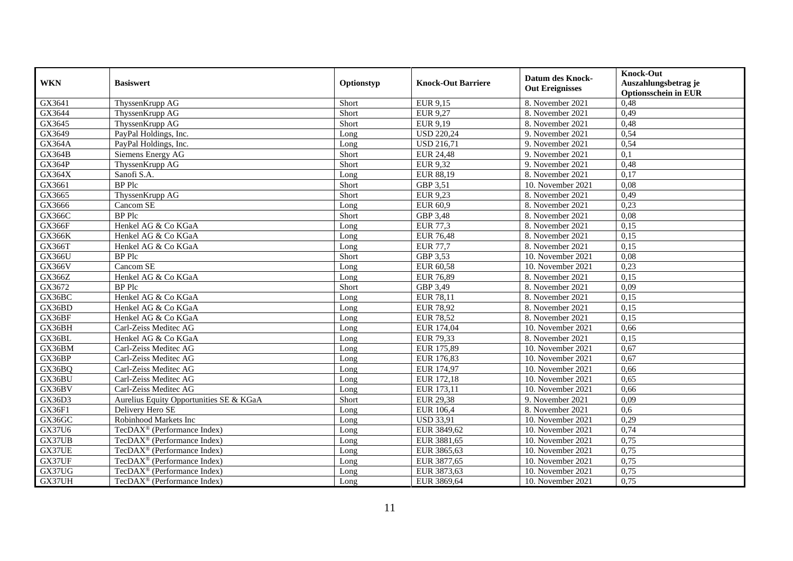| <b>WKN</b>    | <b>Basiswert</b>                        | Optionstyp | <b>Knock-Out Barriere</b> | <b>Datum des Knock-</b><br><b>Out Ereignisses</b> | <b>Knock-Out</b><br>Auszahlungsbetrag je<br><b>Optionsschein in EUR</b> |
|---------------|-----------------------------------------|------------|---------------------------|---------------------------------------------------|-------------------------------------------------------------------------|
| GX3641        | ThyssenKrupp AG                         | Short      | EUR 9,15                  | 8. November 2021                                  | 0,48                                                                    |
| GX3644        | ThyssenKrupp AG                         | Short      | <b>EUR 9,27</b>           | 8. November 2021                                  | 0,49                                                                    |
| GX3645        | ThyssenKrupp AG                         | Short      | EUR 9,19                  | 8. November 2021                                  | 0,48                                                                    |
| GX3649        | PayPal Holdings, Inc.                   | Long       | <b>USD 220,24</b>         | 9. November 2021                                  | 0,54                                                                    |
| GX364A        | PayPal Holdings, Inc.                   | Long       | <b>USD 216,71</b>         | 9. November 2021                                  | 0,54                                                                    |
| <b>GX364B</b> | Siemens Energy AG                       | Short      | <b>EUR 24,48</b>          | 9. November 2021                                  | 0,1                                                                     |
| GX364P        | ThyssenKrupp AG                         | Short      | <b>EUR 9,32</b>           | 9. November 2021                                  | 0,48                                                                    |
| GX364X        | Sanofi S.A.                             | Long       | EUR 88,19                 | 8. November 2021                                  | 0,17                                                                    |
| GX3661        | <b>BP</b> Plc                           | Short      | GBP 3,51                  | 10. November 2021                                 | 0,08                                                                    |
| GX3665        | ThyssenKrupp AG                         | Short      | <b>EUR 9,23</b>           | 8. November 2021                                  | 0,49                                                                    |
| GX3666        | Cancom SE                               | Long       | <b>EUR 60,9</b>           | 8. November 2021                                  | 0,23                                                                    |
| GX366C        | <b>BP</b> Plc                           | Short      | GBP 3,48                  | 8. November 2021                                  | 0,08                                                                    |
| GX366F        | Henkel AG & Co KGaA                     | Long       | <b>EUR 77,3</b>           | 8. November 2021                                  | 0,15                                                                    |
| <b>GX366K</b> | Henkel AG & Co KGaA                     | Long       | <b>EUR 76,48</b>          | 8. November 2021                                  | 0,15                                                                    |
| GX366T        | Henkel AG & Co KGaA                     | Long       | <b>EUR 77,7</b>           | 8. November 2021                                  | 0,15                                                                    |
| GX366U        | <b>BP</b> Plc                           | Short      | GBP 3,53                  | 10. November 2021                                 | 0,08                                                                    |
| <b>GX366V</b> | Cancom SE                               | Long       | EUR 60,58                 | 10. November 2021                                 | 0,23                                                                    |
| GX366Z        | Henkel AG & Co KGaA                     | Long       | <b>EUR 76.89</b>          | 8. November 2021                                  | 0,15                                                                    |
| GX3672        | <b>BP</b> Plc                           | Short      | GBP 3,49                  | 8. November 2021                                  | 0,09                                                                    |
| GX36BC        | Henkel AG & Co KGaA                     | Long       | <b>EUR 78,11</b>          | 8. November 2021                                  | 0,15                                                                    |
| GX36BD        | Henkel AG & Co KGaA                     | Long       | <b>EUR 78,92</b>          | 8. November 2021                                  | 0,15                                                                    |
| GX36BF        | Henkel AG & Co KGaA                     | Long       | <b>EUR 78,52</b>          | 8. November 2021                                  | 0,15                                                                    |
| GX36BH        | Carl-Zeiss Meditec AG                   | Long       | EUR 174,04                | 10. November 2021                                 | 0,66                                                                    |
| GX36BL        | Henkel AG & Co KGaA                     | Long       | EUR 79,33                 | 8. November 2021                                  | 0,15                                                                    |
| GX36BM        | Carl-Zeiss Meditec AG                   | Long       | EUR 175,89                | 10. November 2021                                 | 0,67                                                                    |
| GX36BP        | Carl-Zeiss Meditec AG                   | Long       | EUR 176,83                | 10. November 2021                                 | 0,67                                                                    |
| GX36BQ        | Carl-Zeiss Meditec AG                   | Long       | EUR 174,97                | 10. November 2021                                 | 0,66                                                                    |
| GX36BU        | Carl-Zeiss Meditec AG                   | Long       | EUR 172,18                | 10. November 2021                                 | 0.65                                                                    |
| GX36BV        | Carl-Zeiss Meditec AG                   | Long       | EUR 173,11                | 10. November 2021                                 | 0,66                                                                    |
| GX36D3        | Aurelius Equity Opportunities SE & KGaA | Short      | <b>EUR 29,38</b>          | 9. November 2021                                  | 0,09                                                                    |
| GX36F1        | Delivery Hero SE                        | Long       | <b>EUR 106,4</b>          | 8. November 2021                                  | 0,6                                                                     |
| GX36GC        | Robinhood Markets Inc                   | Long       | <b>USD 33,91</b>          | 10. November 2021                                 | 0,29                                                                    |
| GX37U6        | TecDAX <sup>®</sup> (Performance Index) | Long       | EUR 3849,62               | 10. November 2021                                 | 0,74                                                                    |
| GX37UB        | TecDAX <sup>®</sup> (Performance Index) | Long       | EUR 3881,65               | 10. November 2021                                 | 0,75                                                                    |
| GX37UE        | TecDAX <sup>®</sup> (Performance Index) | Long       | EUR 3865,63               | 10. November 2021                                 | 0,75                                                                    |
| GX37UF        | TecDAX <sup>®</sup> (Performance Index) | Long       | EUR 3877,65               | 10. November 2021                                 | 0,75                                                                    |
| GX37UG        | TecDAX <sup>®</sup> (Performance Index) | Long       | EUR 3873,63               | 10. November 2021                                 | 0,75                                                                    |
| GX37UH        | TecDAX <sup>®</sup> (Performance Index) | Long       | EUR 3869,64               | 10. November 2021                                 | 0,75                                                                    |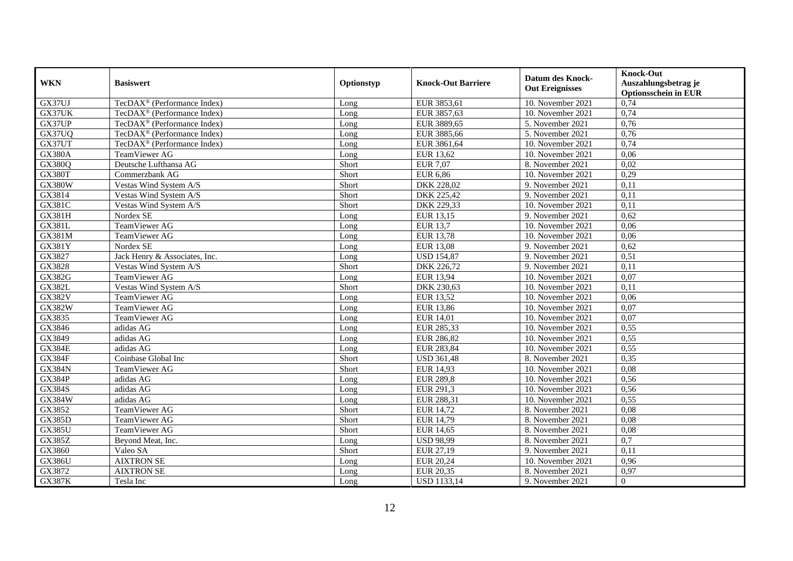|               |                                         |            |                           |                                 | <b>Knock-Out</b>            |
|---------------|-----------------------------------------|------------|---------------------------|---------------------------------|-----------------------------|
| <b>WKN</b>    | <b>Basiswert</b>                        | Optionstyp | <b>Knock-Out Barriere</b> | <b>Datum des Knock-</b>         | Auszahlungsbetrag je        |
|               |                                         |            |                           | <b>Out Ereignisses</b>          | <b>Optionsschein in EUR</b> |
| GX37UJ        | TecDAX <sup>®</sup> (Performance Index) | Long       | EUR 3853,61               | 10. November 2021               | 0,74                        |
| GX37UK        | TecDAX <sup>®</sup> (Performance Index) | Long       | EUR 3857,63               | 10. November 2021               | 0,74                        |
| GX37UP        | TecDAX <sup>®</sup> (Performance Index) | Long       | EUR 3889,65               | 5. November 2021                | 0,76                        |
| GX37UQ        | TecDAX <sup>®</sup> (Performance Index) | Long       | EUR 3885,66               | 5. November 2021                | 0,76                        |
| GX37UT        | TecDAX <sup>®</sup> (Performance Index) | Long       | EUR 3861,64               | 10. November 2021               | 0,74                        |
| GX380A        | TeamViewer AG                           | Long       | EUR 13,62                 | 10. November 2021               | 0,06                        |
| GX380Q        | Deutsche Lufthansa AG                   | Short      | <b>EUR 7,07</b>           | 8. November 2021                | 0,02                        |
| GX380T        | Commerzbank AG                          | Short      | <b>EUR 6,86</b>           | 10. November 2021               | 0,29                        |
| <b>GX380W</b> | Vestas Wind System A/S                  | Short      | DKK 228,02                | 9. November 2021                | 0,11                        |
| GX3814        | Vestas Wind System A/S                  | Short      | <b>DKK 225,42</b>         | 9. November 2021                | 0,11                        |
| <b>GX381C</b> | Vestas Wind System A/S                  | Short      | DKK 229,33                | 10. November 2021               | 0,11                        |
| GX381H        | Nordex SE                               | Long       | EUR 13,15                 | 9. November 2021                | 0,62                        |
| <b>GX381L</b> | TeamViewer AG                           | Long       | <b>EUR</b> 13,7           | 10. November 2021               | 0,06                        |
| GX381M        | TeamViewer AG                           | Long       | <b>EUR 13,78</b>          | 10. November 2021               | 0,06                        |
| GX381Y        | Nordex SE                               | Long       | <b>EUR 13,08</b>          | 9. November 2021                | 0,62                        |
| GX3827        | Jack Henry & Associates, Inc.           | Long       | <b>USD 154,87</b>         | 9. November 2021                | 0,51                        |
| GX3828        | Vestas Wind System A/S                  | Short      | DKK 226,72                | 9. November 2021                | 0,11                        |
| <b>GX382G</b> | TeamViewer AG                           | Long       | <b>EUR 13,94</b>          | 10. November 2021               | 0,07                        |
| <b>GX382L</b> | Vestas Wind System A/S                  | Short      | DKK 230,63                | 10. November 2021               | 0,11                        |
| GX382V        | TeamViewer AG                           | Long       | <b>EUR 13,52</b>          | $\overline{10}$ . November 2021 | 0,06                        |
| GX382W        | TeamViewer AG                           | Long       | <b>EUR 13,86</b>          | 10. November 2021               | 0,07                        |
| GX3835        | TeamViewer AG                           | Long       | EUR $14,01$               | 10. November 2021               | 0.07                        |
| GX3846        | adidas AG                               | Long       | EUR 285,33                | 10. November 2021               | 0,55                        |
| GX3849        | adidas AG                               | Long       | <b>EUR 286,82</b>         | 10. November 2021               | 0,55                        |
| <b>GX384E</b> | adidas AG                               | Long       | <b>EUR 283,84</b>         | 10. November 2021               | 0,55                        |
| <b>GX384F</b> | Coinbase Global Inc                     | Short      | <b>USD 361,48</b>         | 8. November 2021                | 0,35                        |
| <b>GX384N</b> | TeamViewer AG                           | Short      | <b>EUR 14,93</b>          | 10. November 2021               | 0,08                        |
| <b>GX384P</b> | adidas AG                               | Long       | <b>EUR 289,8</b>          | 10. November 2021               | 0.56                        |
| <b>GX384S</b> | adidas AG                               | Long       | EUR 291,3                 | 10. November 2021               | 0,56                        |
| <b>GX384W</b> | adidas AG                               | Long       | EUR 288,31                | 10. November 2021               | 0,55                        |
| GX3852        | TeamViewer AG                           | Short      | <b>EUR 14,72</b>          | 8. November 2021                | 0,08                        |
| <b>GX385D</b> | TeamViewer AG                           | Short      | <b>EUR 14,79</b>          | 8. November 2021                | 0.08                        |
| <b>GX385U</b> | TeamViewer AG                           | Short      | <b>EUR 14,65</b>          | 8. November 2021                | 0,08                        |
| <b>GX385Z</b> | Beyond Meat, Inc.                       | Long       | <b>USD 98,99</b>          | 8. November 2021                | 0,7                         |
| GX3860        | Valeo SA                                | Short      | EUR 27,19                 | 9. November 2021                | 0.11                        |
| <b>GX386U</b> | <b>AIXTRON SE</b>                       | Long       | <b>EUR 20,24</b>          | 10. November 2021               | 0,96                        |
| GX3872        | <b>AIXTRON SE</b>                       | Long       | <b>EUR 20,35</b>          | 8. November 2021                | 0,97                        |
| <b>GX387K</b> | Tesla Inc                               | Long       | <b>USD 1133,14</b>        | 9. November 2021                | $\overline{0}$              |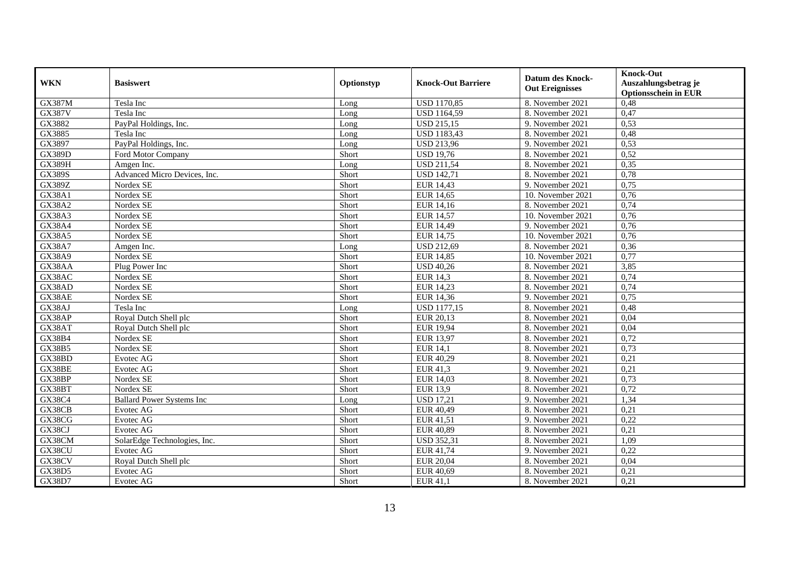| <b>WKN</b>    | <b>Basiswert</b>                 | Optionstyp | <b>Knock-Out Barriere</b> | <b>Datum des Knock-</b><br><b>Out Ereignisses</b> | <b>Knock-Out</b><br>Auszahlungsbetrag je<br><b>Optionsschein in EUR</b> |
|---------------|----------------------------------|------------|---------------------------|---------------------------------------------------|-------------------------------------------------------------------------|
| <b>GX387M</b> | Tesla Inc                        | Long       | <b>USD 1170,85</b>        | 8. November 2021                                  | 0,48                                                                    |
| <b>GX387V</b> | Tesla Inc                        | Long       | <b>USD</b> 1164,59        | 8. November 2021                                  | 0,47                                                                    |
| GX3882        | PayPal Holdings, Inc.            | Long       | <b>USD 215,15</b>         | 9. November 2021                                  | 0,53                                                                    |
| GX3885        | Tesla Inc                        | Long       | <b>USD 1183,43</b>        | 8. November 2021                                  | 0,48                                                                    |
| GX3897        | PayPal Holdings, Inc.            | Long       | USD 213,96                | 9. November 2021                                  | 0,53                                                                    |
| <b>GX389D</b> | Ford Motor Company               | Short      | <b>USD 19.76</b>          | 8. November 2021                                  | 0,52                                                                    |
| <b>GX389H</b> | Amgen Inc.                       | Long       | <b>USD 211,54</b>         | 8. November 2021                                  | 0,35                                                                    |
| <b>GX389S</b> | Advanced Micro Devices, Inc.     | Short      | <b>USD 142,71</b>         | 8. November 2021                                  | 0,78                                                                    |
| <b>GX389Z</b> | Nordex SE                        | Short      | <b>EUR 14,43</b>          | 9. November 2021                                  | 0,75                                                                    |
| GX38A1        | Nordex SE                        | Short      | <b>EUR 14,65</b>          | 10. November 2021                                 | 0,76                                                                    |
| <b>GX38A2</b> | Nordex SE                        | Short      | EUR 14,16                 | 8. November 2021                                  | 0,74                                                                    |
| <b>GX38A3</b> | Nordex SE                        | Short      | <b>EUR 14,57</b>          | 10. November 2021                                 | 0,76                                                                    |
| <b>GX38A4</b> | Nordex SE                        | Short      | <b>EUR 14,49</b>          | 9. November 2021                                  | 0,76                                                                    |
| <b>GX38A5</b> | Nordex SE                        | Short      | <b>EUR 14,75</b>          | 10. November 2021                                 | 0,76                                                                    |
| <b>GX38A7</b> | Amgen Inc.                       | Long       | <b>USD 212,69</b>         | 8. November 2021                                  | 0,36                                                                    |
| GX38A9        | Nordex SE                        | Short      | <b>EUR 14,85</b>          | 10. November 2021                                 | 0,77                                                                    |
| GX38AA        | Plug Power Inc                   | Short      | <b>USD 40,26</b>          | 8. November 2021                                  | 3,85                                                                    |
| GX38AC        | Nordex SE                        | Short      | <b>EUR 14,3</b>           | 8. November 2021                                  | 0,74                                                                    |
| GX38AD        | Nordex SE                        | Short      | EUR 14,23                 | 8. November 2021                                  | 0,74                                                                    |
| GX38AE        | Nordex SE                        | Short      | EUR 14,36                 | 9. November 2021                                  | 0,75                                                                    |
| GX38AJ        | Tesla Inc                        | Long       | <b>USD 1177,15</b>        | 8. November 2021                                  | 0,48                                                                    |
| GX38AP        | Royal Dutch Shell plc            | Short      | EUR 20,13                 | 8. November 2021                                  | 0,04                                                                    |
| GX38AT        | Royal Dutch Shell plc            | Short      | <b>EUR 19,94</b>          | 8. November 2021                                  | 0,04                                                                    |
| GX38B4        | Nordex SE                        | Short      | <b>EUR 13,97</b>          | 8. November 2021                                  | 0,72                                                                    |
| GX38B5        | Nordex SE                        | Short      | <b>EUR 14,1</b>           | 8. November 2021                                  | 0,73                                                                    |
| GX38BD        | Evotec AG                        | Short      | EUR 40,29                 | 8. November 2021                                  | 0,21                                                                    |
| GX38BE        | Evotec AG                        | Short      | EUR 41,3                  | 9. November 2021                                  | 0,21                                                                    |
| GX38BP        | Nordex SE                        | Short      | <b>EUR 14,03</b>          | 8. November 2021                                  | 0,73                                                                    |
| GX38BT        | Nordex SE                        | Short      | <b>EUR 13,9</b>           | 8. November 2021                                  | 0,72                                                                    |
| GX38C4        | <b>Ballard Power Systems Inc</b> | Long       | <b>USD 17,21</b>          | 9. November 2021                                  | 1,34                                                                    |
| GX38CB        | Evotec AG                        | Short      | EUR 40,49                 | 8. November 2021                                  | 0,21                                                                    |
| GX38CG        | Evotec AG                        | Short      | EUR 41,51                 | 9. November 2021                                  | 0,22                                                                    |
| GX38CJ        | Evotec AG                        | Short      | <b>EUR 40,89</b>          | 8. November 2021                                  | 0,21                                                                    |
| GX38CM        | SolarEdge Technologies, Inc.     | Short      | <b>USD 352,31</b>         | 8. November 2021                                  | 1,09                                                                    |
| GX38CU        | Evotec AG                        | Short      | EUR 41,74                 | 9. November 2021                                  | 0,22                                                                    |
| GX38CV        | Royal Dutch Shell plc            | Short      | <b>EUR 20,04</b>          | 8. November 2021                                  | 0,04                                                                    |
| GX38D5        | Evotec AG                        | Short      | <b>EUR 40,69</b>          | 8. November 2021                                  | 0,21                                                                    |
| GX38D7        | Evotec AG                        | Short      | <b>EUR 41,1</b>           | 8. November 2021                                  | 0,21                                                                    |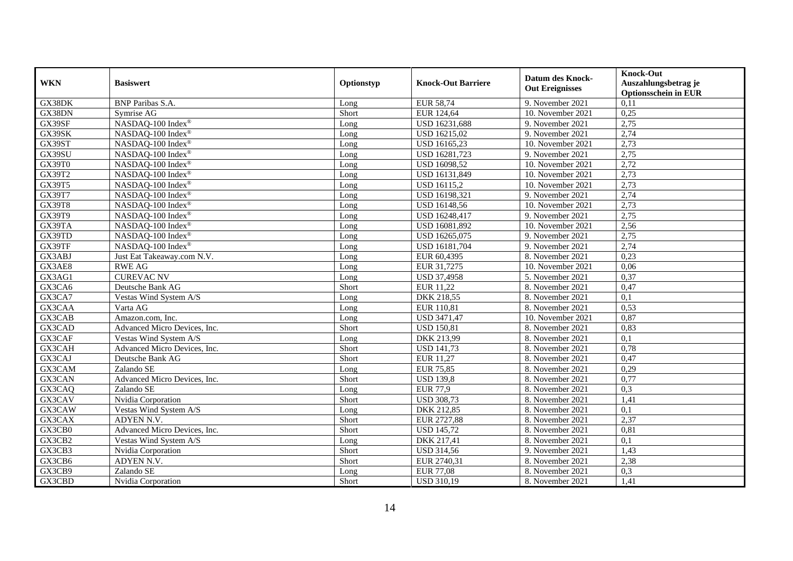| <b>WKN</b> | <b>Basiswert</b>             | Optionstyp | <b>Knock-Out Barriere</b> | <b>Datum des Knock-</b><br><b>Out Ereignisses</b> | <b>Knock-Out</b><br>Auszahlungsbetrag je<br><b>Optionsschein in EUR</b> |
|------------|------------------------------|------------|---------------------------|---------------------------------------------------|-------------------------------------------------------------------------|
| GX38DK     | <b>BNP</b> Paribas S.A.      | Long       | <b>EUR 58,74</b>          | 9. November 2021                                  | 0,11                                                                    |
| GX38DN     | Symrise AG                   | Short      | EUR 124,64                | 10. November 2021                                 | 0,25                                                                    |
| GX39SF     | NASDAQ-100 Index®            | Long       | USD 16231,688             | 9. November 2021                                  | 2,75                                                                    |
| GX39SK     | NASDAQ-100 Index®            | Long       | USD 16215,02              | 9. November 2021                                  | 2,74                                                                    |
| GX39ST     | NASDAQ-100 Index®            | Long       | USD 16165,23              | 10. November 2021                                 | 2,73                                                                    |
| GX39SU     | NASDAQ-100 Index®            | Long       | USD 16281,723             | 9. November 2021                                  | 2,75                                                                    |
| GX39T0     | NASDAQ-100 Index®            | Long       | USD 16098,52              | 10. November 2021                                 | 2,72                                                                    |
| GX39T2     | NASDAQ-100 Index®            | Long       | USD 16131,849             | 10. November 2021                                 | 2,73                                                                    |
| GX39T5     | NASDAQ-100 Index®            | Long       | USD 16115,2               | 10. November 2021                                 | 2,73                                                                    |
| GX39T7     | NASDAQ-100 Index®            | Long       | USD 16198,321             | 9. November 2021                                  | 2,74                                                                    |
| GX39T8     | NASDAQ-100 Index®            | Long       | USD 16148,56              | 10. November 2021                                 | 2,73                                                                    |
| GX39T9     | NASDAQ-100 Index®            | Long       | <b>USD 16248,417</b>      | 9. November 2021                                  | 2,75                                                                    |
| GX39TA     | NASDAQ-100 Index®            | Long       | USD 16081,892             | 10. November 2021                                 | 2,56                                                                    |
| GX39TD     | NASDAQ-100 Index®            | Long       | USD 16265,075             | 9. November 2021                                  | 2,75                                                                    |
| GX39TF     | NASDAQ-100 Index®            | Long       | USD 16181,704             | 9. November 2021                                  | 2,74                                                                    |
| GX3ABJ     | Just Eat Takeaway.com N.V.   | Long       | EUR 60,4395               | 8. November 2021                                  | 0,23                                                                    |
| GX3AE8     | <b>RWE AG</b>                | Long       | EUR 31,7275               | 10. November 2021                                 | 0,06                                                                    |
| GX3AG1     | <b>CUREVAC NV</b>            | Long       | <b>USD 37,4958</b>        | 5. November 2021                                  | 0,37                                                                    |
| GX3CA6     | Deutsche Bank AG             | Short      | EUR 11,22                 | 8. November 2021                                  | 0,47                                                                    |
| GX3CA7     | Vestas Wind System A/S       | Long       | DKK 218,55                | 8. November 2021                                  | 0,1                                                                     |
| GX3CAA     | Varta AG                     | Long       | EUR 110,81                | 8. November 2021                                  | 0,53                                                                    |
| GX3CAB     | Amazon.com, Inc.             | Long       | <b>USD 3471,47</b>        | 10. November 2021                                 | 0,87                                                                    |
| GX3CAD     | Advanced Micro Devices, Inc. | Short      | <b>USD 150,81</b>         | 8. November 2021                                  | 0,83                                                                    |
| GX3CAF     | Vestas Wind System A/S       | Long       | DKK 213,99                | 8. November 2021                                  | 0,1                                                                     |
| GX3CAH     | Advanced Micro Devices, Inc. | Short      | <b>USD 141,73</b>         | 8. November 2021                                  | 0,78                                                                    |
| GX3CAJ     | Deutsche Bank AG             | Short      | <b>EUR 11,27</b>          | 8. November 2021                                  | 0,47                                                                    |
| GX3CAM     | Zalando SE                   | Long       | <b>EUR 75,85</b>          | 8. November 2021                                  | 0,29                                                                    |
| GX3CAN     | Advanced Micro Devices, Inc. | Short      | <b>USD 139,8</b>          | 8. November 2021                                  | 0,77                                                                    |
| GX3CAQ     | Zalando SE                   | Long       | <b>EUR 77,9</b>           | 8. November 2021                                  | 0,3                                                                     |
| GX3CAV     | Nvidia Corporation           | Short      | <b>USD 308,73</b>         | 8. November 2021                                  | 1,41                                                                    |
| GX3CAW     | Vestas Wind System A/S       | Long       | DKK 212,85                | 8. November 2021                                  | 0,1                                                                     |
| GX3CAX     | ADYEN N.V.                   | Short      | EUR 2727,88               | 8. November 2021                                  | 2,37                                                                    |
| GX3CB0     | Advanced Micro Devices, Inc. | Short      | <b>USD 145,72</b>         | 8. November 2021                                  | 0,81                                                                    |
| GX3CB2     | Vestas Wind System A/S       | Long       | DKK 217,41                | 8. November 2021                                  | 0,1                                                                     |
| GX3CB3     | Nvidia Corporation           | Short      | <b>USD 314,56</b>         | 9. November 2021                                  | 1,43                                                                    |
| GX3CB6     | ADYEN N.V.                   | Short      | EUR 2740,31               | 8. November 2021                                  | 2,38                                                                    |
| GX3CB9     | Zalando SE                   | Long       | <b>EUR 77,08</b>          | 8. November 2021                                  | 0,3                                                                     |
| GX3CBD     | Nvidia Corporation           | Short      | <b>USD 310,19</b>         | 8. November 2021                                  | 1,41                                                                    |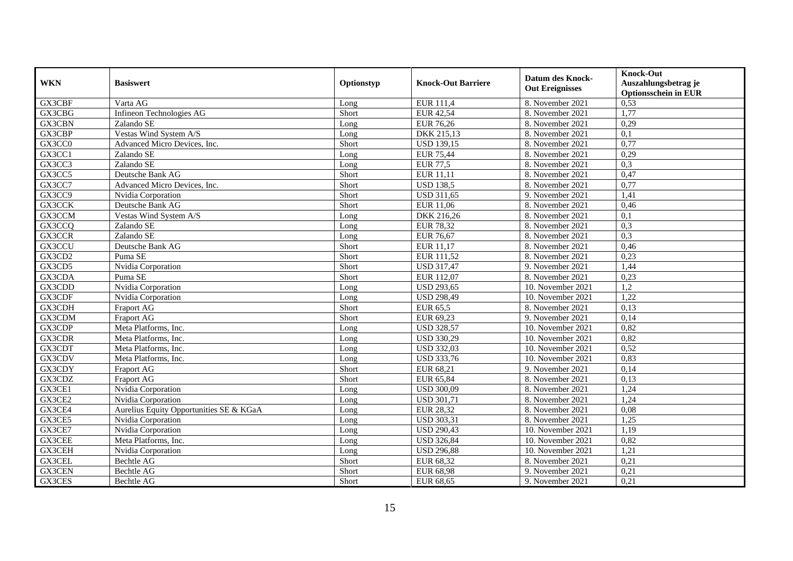|            |                                         |            |                           |                         | <b>Knock-Out</b>            |
|------------|-----------------------------------------|------------|---------------------------|-------------------------|-----------------------------|
| <b>WKN</b> | <b>Basiswert</b>                        | Optionstyp | <b>Knock-Out Barriere</b> | <b>Datum des Knock-</b> | Auszahlungsbetrag je        |
|            |                                         |            |                           | <b>Out Ereignisses</b>  | <b>Optionsschein in EUR</b> |
| GX3CBF     | Varta AG                                | Long       | EUR 111,4                 | 8. November 2021        | 0,53                        |
| GX3CBG     | Infineon Technologies AG                | Short      | <b>EUR 42,54</b>          | 8. November 2021        | 1,77                        |
| GX3CBN     | Zalando SE                              | Long       | <b>EUR 76,26</b>          | 8. November 2021        | 0,29                        |
| GX3CBP     | Vestas Wind System A/S                  | Long       | DKK 215,13                | 8. November 2021        | 0,1                         |
| GX3CC0     | Advanced Micro Devices, Inc.            | Short      | <b>USD 139,15</b>         | 8. November 2021        | 0,77                        |
| GX3CC1     | Zalando SE                              | Long       | <b>EUR 75,44</b>          | 8. November 2021        | 0,29                        |
| GX3CC3     | Zalando SE                              | Long       | <b>EUR 77,5</b>           | 8. November 2021        | 0,3                         |
| GX3CC5     | Deutsche Bank AG                        | Short      | EUR 11,11                 | 8. November 2021        | 0,47                        |
| GX3CC7     | Advanced Micro Devices, Inc.            | Short      | <b>USD 138,5</b>          | 8. November 2021        | 0,77                        |
| GX3CC9     | Nvidia Corporation                      | Short      | <b>USD 311,65</b>         | 9. November 2021        | 1,41                        |
| GX3CCK     | Deutsche Bank AG                        | Short      | <b>EUR 11,06</b>          | 8. November 2021        | 0,46                        |
| GX3CCM     | Vestas Wind System A/S                  | Long       | DKK 216,26                | 8. November 2021        | 0,1                         |
| GX3CCQ     | Zalando SE                              | Long       | <b>EUR 78,32</b>          | 8. November 2021        | 0,3                         |
| GX3CCR     | Zalando SE                              | Long       | <b>EUR 76,67</b>          | 8. November 2021        | 0,3                         |
| GX3CCU     | Deutsche Bank AG                        | Short      | EUR 11,17                 | 8. November 2021        | 0,46                        |
| GX3CD2     | Puma SE                                 | Short      | EUR 111,52                | 8. November 2021        | 0,23                        |
| GX3CD5     | Nvidia Corporation                      | Short      | <b>USD 317,47</b>         | 9. November 2021        | 1,44                        |
| GX3CDA     | Puma SE                                 | Short      | EUR 112.07                | 8. November 2021        | 0,23                        |
| GX3CDD     | Nvidia Corporation                      | Long       | <b>USD 293,65</b>         | 10. November 2021       | 1,2                         |
| GX3CDF     | Nvidia Corporation                      | Long       | <b>USD 298,49</b>         | 10. November 2021       | 1,22                        |
| GX3CDH     | <b>Fraport AG</b>                       | Short      | EUR 65,5                  | 8. November 2021        | 0,13                        |
| GX3CDM     | Fraport AG                              | Short      | EUR 69,23                 | 9. November 2021        | 0,14                        |
| GX3CDP     | Meta Platforms, Inc.                    | Long       | <b>USD 328,57</b>         | 10. November 2021       | 0,82                        |
| GX3CDR     | Meta Platforms, Inc.                    | Long       | <b>USD 330,29</b>         | 10. November 2021       | 0,82                        |
| GX3CDT     | Meta Platforms, Inc.                    | Long       | <b>USD 332,03</b>         | 10. November 2021       | 0,52                        |
| GX3CDV     | Meta Platforms, Inc.                    | Long       | <b>USD 333,76</b>         | 10. November 2021       | 0,83                        |
| GX3CDY     | Fraport AG                              | Short      | EUR 68,21                 | 9. November 2021        | 0,14                        |
| GX3CDZ     | <b>Fraport AG</b>                       | Short      | EUR 65,84                 | 8. November 2021        | 0,13                        |
| GX3CE1     | Nvidia Corporation                      | Long       | <b>USD 300,09</b>         | 8. November 2021        | 1,24                        |
| GX3CE2     | Nvidia Corporation                      | Long       | <b>USD 301,71</b>         | 8. November 2021        | 1,24                        |
| GX3CE4     | Aurelius Equity Opportunities SE & KGaA | Long       | <b>EUR 28,32</b>          | 8. November 2021        | 0,08                        |
| GX3CE5     | Nvidia Corporation                      | Long       | <b>USD 303,31</b>         | 8. November 2021        | 1,25                        |
| GX3CE7     | Nvidia Corporation                      | Long       | <b>USD 290,43</b>         | 10. November 2021       | 1,19                        |
| GX3CEE     | Meta Platforms, Inc.                    | Long       | <b>USD 326,84</b>         | 10. November 2021       | 0,82                        |
| GX3CEH     | Nvidia Corporation                      | Long       | <b>USD 296,88</b>         | 10. November 2021       | 1,21                        |
| GX3CEL     | Bechtle AG                              | Short      | EUR 68,32                 | 8. November 2021        | 0,21                        |
| GX3CEN     | Bechtle AG                              | Short      | EUR 68,98                 | 9. November 2021        | 0,21                        |
| GX3CES     | Bechtle AG                              | Short      | EUR 68,65                 | 9. November 2021        | 0,21                        |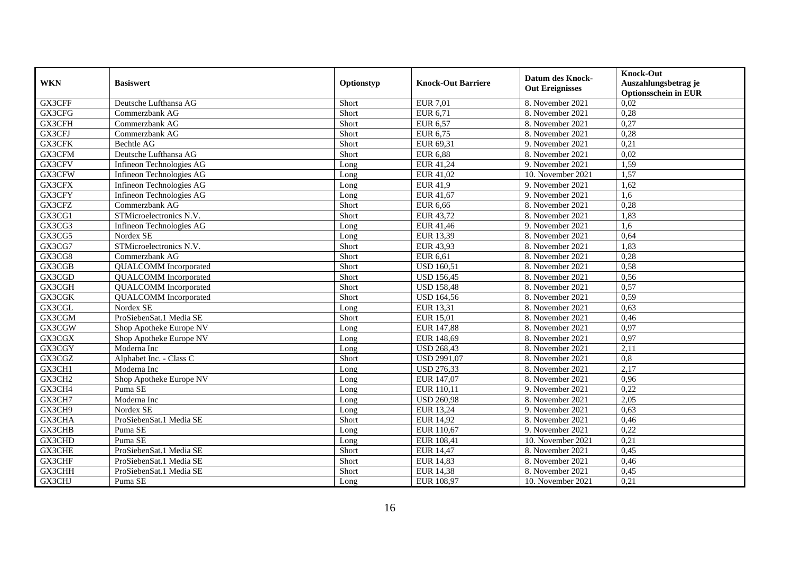| <b>WKN</b>    | <b>Basiswert</b>             | Optionstyp | <b>Knock-Out Barriere</b> | <b>Datum des Knock-</b><br><b>Out Ereignisses</b> | <b>Knock-Out</b><br>Auszahlungsbetrag je<br><b>Optionsschein in EUR</b> |
|---------------|------------------------------|------------|---------------------------|---------------------------------------------------|-------------------------------------------------------------------------|
| GX3CFF        | Deutsche Lufthansa AG        | Short      | <b>EUR 7,01</b>           | 8. November 2021                                  | 0,02                                                                    |
| GX3CFG        | Commerzbank AG               | Short      | EUR 6,71                  | 8. November 2021                                  | 0,28                                                                    |
| GX3CFH        | Commerzbank AG               | Short      | <b>EUR 6,57</b>           | 8. November 2021                                  | 0,27                                                                    |
| GX3CFJ        | Commerzbank AG               | Short      | EUR 6,75                  | 8. November 2021                                  | 0,28                                                                    |
| GX3CFK        | Bechtle AG                   | Short      | EUR 69,31                 | 9. November 2021                                  | 0,21                                                                    |
| GX3CFM        | Deutsche Lufthansa AG        | Short      | <b>EUR 6,88</b>           | 8. November 2021                                  | 0,02                                                                    |
| GX3CFV        | Infineon Technologies AG     | Long       | EUR 41,24                 | 9. November 2021                                  | 1,59                                                                    |
| GX3CFW        | Infineon Technologies AG     | Long       | EUR 41,02                 | 10. November 2021                                 | 1,57                                                                    |
| GX3CFX        | Infineon Technologies AG     | Long       | <b>EUR 41,9</b>           | 9. November 2021                                  | 1,62                                                                    |
| GX3CFY        | Infineon Technologies AG     | Long       | EUR 41,67                 | 9. November 2021                                  | 1,6                                                                     |
| GX3CFZ        | Commerzbank AG               | Short      | <b>EUR 6,66</b>           | 8. November 2021                                  | 0,28                                                                    |
| GX3CG1        | STMicroelectronics N.V.      | Short      | EUR 43,72                 | 8. November 2021                                  | 1,83                                                                    |
| GX3CG3        | Infineon Technologies AG     | Long       | EUR 41,46                 | 9. November 2021                                  | 1,6                                                                     |
| GX3CG5        | Nordex SE                    | Long       | EUR 13,39                 | 8. November 2021                                  | 0,64                                                                    |
| GX3CG7        | STMicroelectronics N.V.      | Short      | EUR 43,93                 | 8. November 2021                                  | 1,83                                                                    |
| GX3CG8        | Commerzbank AG               | Short      | <b>EUR 6,61</b>           | 8. November 2021                                  | 0,28                                                                    |
| GX3CGB        | <b>QUALCOMM</b> Incorporated | Short      | <b>USD 160,51</b>         | 8. November 2021                                  | 0,58                                                                    |
| GX3CGD        | <b>QUALCOMM</b> Incorporated | Short      | <b>USD 156,45</b>         | 8. November 2021                                  | 0,56                                                                    |
| GX3CGH        | <b>QUALCOMM</b> Incorporated | Short      | <b>USD 158,48</b>         | 8. November 2021                                  | 0,57                                                                    |
| GX3CGK        | <b>QUALCOMM</b> Incorporated | Short      | <b>USD 164,56</b>         | 8. November 2021                                  | 0,59                                                                    |
| GX3CGL        | Nordex SE                    | Long       | EUR 13,31                 | 8. November 2021                                  | 0,63                                                                    |
| GX3CGM        | ProSiebenSat.1 Media SE      | Short      | <b>EUR 15,01</b>          | 8. November 2021                                  | 0,46                                                                    |
| GX3CGW        | Shop Apotheke Europe NV      | Long       | EUR 147,88                | 8. November 2021                                  | 0,97                                                                    |
| GX3CGX        | Shop Apotheke Europe NV      | Long       | EUR 148,69                | 8. November 2021                                  | 0,97                                                                    |
| GX3CGY        | Moderna Inc                  | Long       | <b>USD 268,43</b>         | 8. November 2021                                  | 2,11                                                                    |
| GX3CGZ        | Alphabet Inc. - Class C      | Short      | <b>USD 2991,07</b>        | 8. November 2021                                  | 0,8                                                                     |
| GX3CH1        | Moderna Inc                  | Long       | <b>USD 276,33</b>         | 8. November 2021                                  | 2,17                                                                    |
| GX3CH2        | Shop Apotheke Europe NV      | Long       | EUR 147,07                | 8. November 2021                                  | 0,96                                                                    |
| GX3CH4        | Puma SE                      | Long       | EUR 110,11                | 9. November 2021                                  | 0,22                                                                    |
| GX3CH7        | Moderna Inc                  | Long       | <b>USD 260,98</b>         | 8. November 2021                                  | 2,05                                                                    |
| GX3CH9        | Nordex SE                    | Long       | <b>EUR 13,24</b>          | 9. November 2021                                  | 0,63                                                                    |
| GX3CHA        | ProSiebenSat.1 Media SE      | Short      | <b>EUR 14,92</b>          | 8. November 2021                                  | 0,46                                                                    |
| <b>GX3CHB</b> | Puma SE                      | Long       | EUR 110,67                | 9. November 2021                                  | 0,22                                                                    |
| GX3CHD        | Puma SE                      | Long       | EUR 108,41                | 10. November 2021                                 | 0,21                                                                    |
| GX3CHE        | ProSiebenSat.1 Media SE      | Short      | <b>EUR 14,47</b>          | 8. November 2021                                  | 0,45                                                                    |
| GX3CHF        | ProSiebenSat.1 Media SE      | Short      | <b>EUR 14,83</b>          | 8. November 2021                                  | 0,46                                                                    |
| GX3CHH        | ProSiebenSat.1 Media SE      | Short      | <b>EUR 14,38</b>          | 8. November 2021                                  | 0,45                                                                    |
| GX3CHJ        | Puma SE                      | Long       | EUR 108,97                | 10. November 2021                                 | 0,21                                                                    |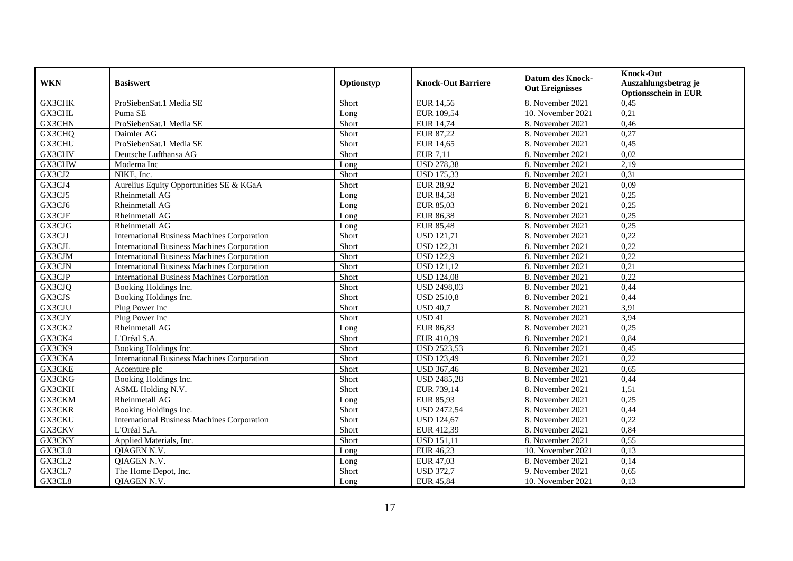| <b>WKN</b>    | <b>Basiswert</b>                                   | Optionstyp | <b>Knock-Out Barriere</b> | <b>Datum des Knock-</b><br><b>Out Ereignisses</b> | <b>Knock-Out</b><br>Auszahlungsbetrag je<br><b>Optionsschein in EUR</b> |
|---------------|----------------------------------------------------|------------|---------------------------|---------------------------------------------------|-------------------------------------------------------------------------|
| <b>GX3CHK</b> | ProSiebenSat.1 Media SE                            | Short      | <b>EUR 14,56</b>          | 8. November 2021                                  | 0,45                                                                    |
| GX3CHL        | Puma SE                                            | Long       | EUR 109,54                | 10. November 2021                                 | 0,21                                                                    |
| GX3CHN        | ProSiebenSat.1 Media SE                            | Short      | <b>EUR 14,74</b>          | 8. November 2021                                  | 0,46                                                                    |
| GX3CHQ        | Daimler AG                                         | Short      | <b>EUR 87,22</b>          | 8. November 2021                                  | 0,27                                                                    |
| GX3CHU        | ProSiebenSat.1 Media SE                            | Short      | <b>EUR 14,65</b>          | 8. November 2021                                  | 0,45                                                                    |
| GX3CHV        | Deutsche Lufthansa AG                              | Short      | <b>EUR 7,11</b>           | 8. November 2021                                  | 0,02                                                                    |
| GX3CHW        | Moderna Inc                                        | Long       | <b>USD 278,38</b>         | 8. November 2021                                  | 2,19                                                                    |
| GX3CJ2        | NIKE, Inc.                                         | Short      | <b>USD 175,33</b>         | 8. November 2021                                  | 0,31                                                                    |
| GX3CJ4        | Aurelius Equity Opportunities SE & KGaA            | Short      | <b>EUR 28,92</b>          | 8. November 2021                                  | 0,09                                                                    |
| GX3CJ5        | Rheinmetall AG                                     | Long       | <b>EUR 84,58</b>          | 8. November 2021                                  | 0,25                                                                    |
| GX3CJ6        | Rheinmetall AG                                     | Long       | <b>EUR 85,03</b>          | 8. November 2021                                  | 0,25                                                                    |
| GX3CJF        | Rheinmetall AG                                     | Long       | <b>EUR 86,38</b>          | 8. November 2021                                  | 0,25                                                                    |
| GX3CJG        | Rheinmetall AG                                     | Long       | <b>EUR 85,48</b>          | 8. November 2021                                  | 0,25                                                                    |
| GX3CJJ        | <b>International Business Machines Corporation</b> | Short      | <b>USD 121,71</b>         | 8. November 2021                                  | 0,22                                                                    |
| GX3CJL        | <b>International Business Machines Corporation</b> | Short      | <b>USD 122,31</b>         | 8. November 2021                                  | 0,22                                                                    |
| GX3CJM        | <b>International Business Machines Corporation</b> | Short      | <b>USD 122,9</b>          | 8. November 2021                                  | 0,22                                                                    |
| GX3CJN        | <b>International Business Machines Corporation</b> | Short      | <b>USD 121,12</b>         | 8. November 2021                                  | 0,21                                                                    |
| GX3CJP        | <b>International Business Machines Corporation</b> | Short      | <b>USD 124,08</b>         | 8. November 2021                                  | 0,22                                                                    |
| GX3CJQ        | Booking Holdings Inc.                              | Short      | <b>USD 2498,03</b>        | 8. November 2021                                  | 0,44                                                                    |
| GX3CJS        | Booking Holdings Inc.                              | Short      | <b>USD 2510,8</b>         | 8. November 2021                                  | 0,44                                                                    |
| GX3CJU        | Plug Power Inc                                     | Short      | <b>USD 40,7</b>           | 8. November 2021                                  | 3,91                                                                    |
| GX3CJY        | Plug Power Inc                                     | Short      | USD <sub>41</sub>         | 8. November 2021                                  | 3,94                                                                    |
| GX3CK2        | Rheinmetall AG                                     | Long       | <b>EUR 86,83</b>          | 8. November 2021                                  | 0,25                                                                    |
| GX3CK4        | L'Oréal S.A.                                       | Short      | EUR 410,39                | 8. November 2021                                  | 0,84                                                                    |
| GX3CK9        | Booking Holdings Inc.                              | Short      | <b>USD 2523,53</b>        | 8. November 2021                                  | 0,45                                                                    |
| GX3CKA        | <b>International Business Machines Corporation</b> | Short      | <b>USD 123,49</b>         | 8. November 2021                                  | 0,22                                                                    |
| GX3CKE        | Accenture plc                                      | Short      | <b>USD 367,46</b>         | 8. November 2021                                  | 0,65                                                                    |
| GX3CKG        | Booking Holdings Inc.                              | Short      | <b>USD 2485,28</b>        | 8. November 2021                                  | 0,44                                                                    |
| GX3CKH        | ASML Holding N.V.                                  | Short      | EUR 739,14                | 8. November 2021                                  | 1,51                                                                    |
| GX3CKM        | Rheinmetall AG                                     | Long       | <b>EUR 85,93</b>          | 8. November 2021                                  | 0,25                                                                    |
| GX3CKR        | Booking Holdings Inc.                              | Short      | <b>USD 2472,54</b>        | 8. November 2021                                  | 0,44                                                                    |
| GX3CKU        | <b>International Business Machines Corporation</b> | Short      | <b>USD 124,67</b>         | 8. November 2021                                  | 0,22                                                                    |
| GX3CKV        | L'Oréal S.A.                                       | Short      | EUR 412,39                | 8. November 2021                                  | 0,84                                                                    |
| GX3CKY        | Applied Materials, Inc.                            | Short      | <b>USD 151,11</b>         | 8. November 2021                                  | 0,55                                                                    |
| GX3CL0        | QIAGEN N.V.                                        | Long       | EUR 46,23                 | 10. November 2021                                 | 0,13                                                                    |
| GX3CL2        | QIAGEN N.V.                                        | Long       | <b>EUR 47,03</b>          | 8. November 2021                                  | 0,14                                                                    |
| GX3CL7        | The Home Depot, Inc.                               | Short      | <b>USD 372,7</b>          | 9. November 2021                                  | 0,65                                                                    |
| GX3CL8        | QIAGEN N.V.                                        | Long       | <b>EUR 45,84</b>          | 10. November 2021                                 | 0,13                                                                    |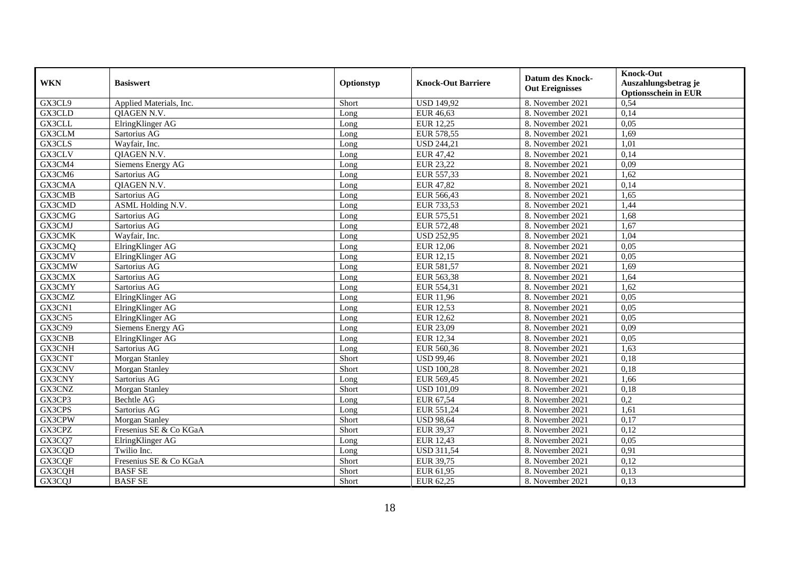|            |                         |            |                           |                         | <b>Knock-Out</b>            |
|------------|-------------------------|------------|---------------------------|-------------------------|-----------------------------|
| <b>WKN</b> | <b>Basiswert</b>        | Optionstyp | <b>Knock-Out Barriere</b> | <b>Datum des Knock-</b> | Auszahlungsbetrag je        |
|            |                         |            |                           | <b>Out Ereignisses</b>  | <b>Optionsschein in EUR</b> |
| GX3CL9     | Applied Materials, Inc. | Short      | <b>USD 149,92</b>         | 8. November 2021        | 0,54                        |
| GX3CLD     | <b>OIAGEN N.V.</b>      | Long       | EUR 46,63                 | 8. November 2021        | 0,14                        |
| GX3CLL     | ElringKlinger AG        | Long       | <b>EUR 12,25</b>          | 8. November 2021        | 0,05                        |
| GX3CLM     | Sartorius AG            | Long       | EUR 578,55                | 8. November 2021        | 1,69                        |
| GX3CLS     | Wayfair, Inc.           | Long       | <b>USD 244,21</b>         | 8. November 2021        | 1,01                        |
| GX3CLV     | QIAGEN N.V.             | Long       | EUR 47,42                 | 8. November 2021        | 0,14                        |
| GX3CM4     | Siemens Energy AG       | Long       | EUR 23,22                 | 8. November 2021        | 0,09                        |
| GX3CM6     | Sartorius AG            | Long       | EUR 557,33                | 8. November 2021        | 1,62                        |
| GX3CMA     | QIAGEN N.V.             | Long       | <b>EUR 47,82</b>          | 8. November 2021        | 0,14                        |
| GX3CMB     | Sartorius AG            | Long       | EUR 566,43                | 8. November 2021        | 1,65                        |
| GX3CMD     | ASML Holding N.V.       | Long       | EUR 733,53                | 8. November 2021        | 1,44                        |
| GX3CMG     | Sartorius AG            | Long       | EUR 575,51                | 8. November 2021        | 1,68                        |
| GX3CMJ     | Sartorius AG            | Long       | <b>EUR 572,48</b>         | 8. November 2021        | 1,67                        |
| GX3CMK     | Wavfair, Inc.           | Long       | <b>USD 252,95</b>         | 8. November 2021        | 1,04                        |
| GX3CMQ     | ElringKlinger AG        | Long       | <b>EUR 12,06</b>          | 8. November 2021        | 0.05                        |
| GX3CMV     | ElringKlinger AG        | Long       | EUR 12,15                 | 8. November 2021        | 0,05                        |
| GX3CMW     | Sartorius AG            | Long       | EUR 581,57                | 8. November 2021        | 1,69                        |
| GX3CMX     | Sartorius AG            | Long       | EUR 563,38                | 8. November 2021        | 1.64                        |
| GX3CMY     | Sartorius AG            | Long       | EUR 554,31                | 8. November 2021        | 1,62                        |
| GX3CMZ     | ElringKlinger AG        | Long       | EUR 11,96                 | 8. November 2021        | 0,05                        |
| GX3CN1     | ElringKlinger AG        | Long       | <b>EUR 12,53</b>          | 8. November 2021        | 0,05                        |
| GX3CN5     | ElringKlinger AG        | Long       | EUR $12,62$               | 8. November 2021        | 0.05                        |
| GX3CN9     | Siemens Energy AG       | Long       | EUR 23,09                 | 8. November 2021        | 0,09                        |
| GX3CNB     | ElringKlinger AG        | Long       | <b>EUR 12,34</b>          | 8. November 2021        | 0,05                        |
| GX3CNH     | Sartorius AG            | Long       | EUR 560,36                | 8. November 2021        | 1,63                        |
| GX3CNT     | Morgan Stanley          | Short      | <b>USD 99,46</b>          | 8. November 2021        | 0,18                        |
| GX3CNV     | Morgan Stanley          | Short      | <b>USD 100,28</b>         | 8. November 2021        | 0,18                        |
| GX3CNY     | Sartorius AG            | Long       | EUR 569,45                | 8. November 2021        | 1.66                        |
| GX3CNZ     | Morgan Stanley          | Short      | <b>USD 101,09</b>         | 8. November 2021        | 0,18                        |
| GX3CP3     | <b>Bechtle AG</b>       | Long       | EUR 67,54                 | 8. November 2021        | $\overline{0.2}$            |
| GX3CPS     | Sartorius AG            | Long       | EUR 551,24                | 8. November 2021        | 1,61                        |
| GX3CPW     | Morgan Stanley          | Short      | <b>USD 98,64</b>          | 8. November 2021        | 0,17                        |
| GX3CPZ     | Fresenius SE & Co KGaA  | Short      | EUR 39,37                 | 8. November 2021        | 0,12                        |
| GX3CQ7     | ElringKlinger AG        | Long       | <b>EUR 12,43</b>          | 8. November 2021        | 0.05                        |
| GX3CQD     | Twilio Inc.             | Long       | <b>USD 311,54</b>         | 8. November 2021        | 0,91                        |
| GX3CQF     | Fresenius SE & Co KGaA  | Short      | <b>EUR 39,75</b>          | 8. November 2021        | 0,12                        |
| GX3CQH     | <b>BASF SE</b>          | Short      | EUR 61,95                 | 8. November 2021        | 0,13                        |
| GX3CQJ     | <b>BASF SE</b>          | Short      | EUR 62,25                 | 8. November 2021        | 0,13                        |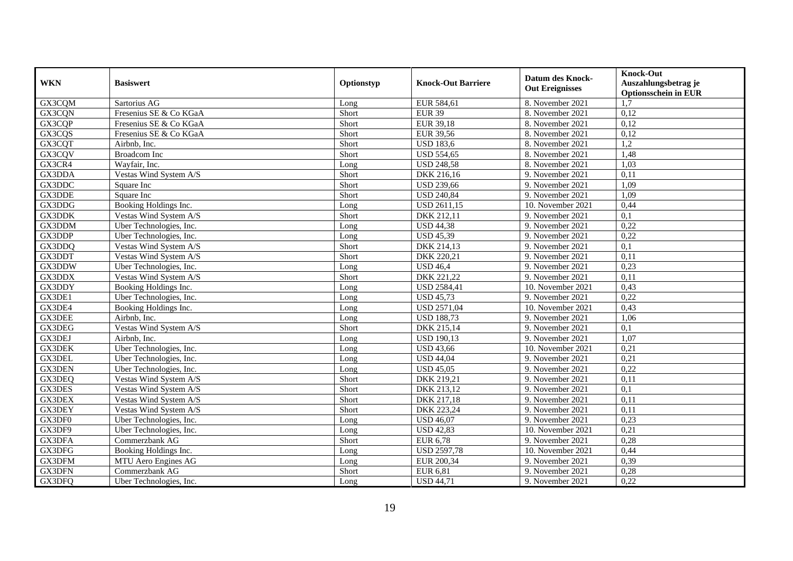|               |                         |            |                           | <b>Datum des Knock-</b> | <b>Knock-Out</b>            |
|---------------|-------------------------|------------|---------------------------|-------------------------|-----------------------------|
| <b>WKN</b>    | <b>Basiswert</b>        | Optionstyp | <b>Knock-Out Barriere</b> | <b>Out Ereignisses</b>  | Auszahlungsbetrag je        |
|               |                         |            |                           |                         | <b>Optionsschein in EUR</b> |
| GX3CQM        | Sartorius AG            | Long       | EUR 584,61                | 8. November 2021        | 1.7                         |
| GX3CQN        | Fresenius SE & Co KGaA  | Short      | <b>EUR 39</b>             | 8. November 2021        | 0,12                        |
| GX3CQP        | Fresenius SE & Co KGaA  | Short      | <b>EUR 39,18</b>          | 8. November 2021        | 0,12                        |
| GX3CQS        | Fresenius SE & Co KGaA  | Short      | <b>EUR 39,56</b>          | 8. November 2021        | 0,12                        |
| GX3CQT        | Airbnb, Inc.            | Short      | <b>USD 183,6</b>          | 8. November 2021        | 1,2                         |
| GX3CQV        | Broadcom Inc            | Short      | <b>USD 554,65</b>         | 8. November 2021        | 1,48                        |
| GX3CR4        | Wayfair, Inc.           | Long       | <b>USD 248,58</b>         | 8. November 2021        | 1,03                        |
| GX3DDA        | Vestas Wind System A/S  | Short      | DKK 216,16                | 9. November 2021        | 0,11                        |
| GX3DDC        | Square Inc              | Short      | <b>USD 239,66</b>         | 9. November 2021        | 1,09                        |
| GX3DDE        | Square Inc              | Short      | <b>USD 240,84</b>         | 9. November 2021        | 1,09                        |
| GX3DDG        | Booking Holdings Inc.   | Long       | <b>USD 2611,15</b>        | 10. November 2021       | 0,44                        |
| GX3DDK        | Vestas Wind System A/S  | Short      | DKK 212,11                | 9. November 2021        | 0,1                         |
| GX3DDM        | Uber Technologies, Inc. | Long       | <b>USD 44,38</b>          | 9. November 2021        | 0,22                        |
| GX3DDP        | Uber Technologies, Inc. | Long       | <b>USD 45,39</b>          | 9. November 2021        | 0,22                        |
| GX3DDQ        | Vestas Wind System A/S  | Short      | DKK 214,13                | 9. November 2021        | 0,1                         |
| GX3DDT        | Vestas Wind System A/S  | Short      | DKK 220,21                | 9. November 2021        | 0,11                        |
| GX3DDW        | Uber Technologies, Inc. | Long       | <b>USD 46,4</b>           | 9. November 2021        | 0,23                        |
| GX3DDX        | Vestas Wind System A/S  | Short      | DKK 221,22                | 9. November 2021        | 0,11                        |
| GX3DDY        | Booking Holdings Inc.   | Long       | <b>USD 2584,41</b>        | 10. November 2021       | 0,43                        |
| GX3DE1        | Uber Technologies, Inc. | Long       | <b>USD 45,73</b>          | 9. November 2021        | 0,22                        |
| GX3DE4        | Booking Holdings Inc.   | Long       | <b>USD 2571,04</b>        | 10. November 2021       | 0,43                        |
| <b>GX3DEE</b> | Airbnb, Inc.            | Long       | <b>USD 188,73</b>         | 9. November 2021        | 1,06                        |
| GX3DEG        | Vestas Wind System A/S  | Short      | DKK 215,14                | 9. November 2021        | 0,1                         |
| GX3DEJ        | Airbnb, Inc.            | Long       | <b>USD 190,13</b>         | 9. November 2021        | 1,07                        |
| <b>GX3DEK</b> | Uber Technologies, Inc. | Long       | <b>USD 43,66</b>          | 10. November 2021       | 0,21                        |
| GX3DEL        | Uber Technologies, Inc. | Long       | <b>USD 44,04</b>          | 9. November 2021        | 0,21                        |
| <b>GX3DEN</b> | Uber Technologies, Inc. | Long       | <b>USD 45,05</b>          | 9. November 2021        | 0,22                        |
| GX3DEQ        | Vestas Wind System A/S  | Short      | DKK 219,21                | 9. November 2021        | 0,11                        |
| GX3DES        | Vestas Wind System A/S  | Short      | DKK 213,12                | 9. November 2021        | $\overline{0,1}$            |
| <b>GX3DEX</b> | Vestas Wind System A/S  | Short      | DKK 217,18                | 9. November 2021        | 0,11                        |
| GX3DEY        | Vestas Wind System A/S  | Short      | DKK 223,24                | 9. November 2021        | 0,11                        |
| GX3DF0        | Uber Technologies, Inc. | Long       | <b>USD 46,07</b>          | 9. November 2021        | 0,23                        |
| GX3DF9        | Uber Technologies, Inc. | Long       | <b>USD 42,83</b>          | 10. November 2021       | 0,21                        |
| GX3DFA        | Commerzbank AG          | Short      | <b>EUR 6,78</b>           | 9. November 2021        | 0,28                        |
| GX3DFG        | Booking Holdings Inc.   | Long       | <b>USD 2597,78</b>        | 10. November 2021       | 0,44                        |
| GX3DFM        | MTU Aero Engines AG     | Long       | EUR 200,34                | 9. November 2021        | 0,39                        |
| GX3DFN        | Commerzbank AG          | Short      | <b>EUR 6,81</b>           | 9. November 2021        | 0,28                        |
| GX3DFQ        | Uber Technologies, Inc. | Long       | <b>USD 44,71</b>          | 9. November 2021        | 0,22                        |
|               |                         |            |                           |                         |                             |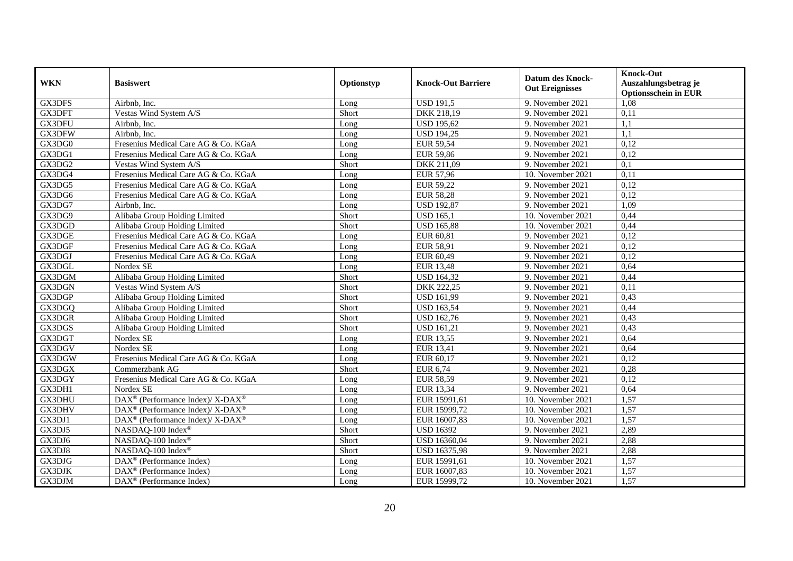| <b>WKN</b> | <b>Basiswert</b>                                         | Optionstyp | <b>Knock-Out Barriere</b> | <b>Datum des Knock-</b><br><b>Out Ereignisses</b> | <b>Knock-Out</b><br>Auszahlungsbetrag je<br><b>Optionsschein in EUR</b> |
|------------|----------------------------------------------------------|------------|---------------------------|---------------------------------------------------|-------------------------------------------------------------------------|
| GX3DFS     | Airbnb, Inc.                                             | Long       | <b>USD 191,5</b>          | 9. November 2021                                  | 1,08                                                                    |
| GX3DFT     | Vestas Wind System A/S                                   | Short      | DKK 218,19                | 9. November 2021                                  | 0,11                                                                    |
| GX3DFU     | Airbnb, Inc.                                             | Long       | <b>USD 195,62</b>         | 9. November 2021                                  | 1.1                                                                     |
| GX3DFW     | Airbnb, Inc.                                             | Long       | <b>USD 194,25</b>         | 9. November 2021                                  | 1.1                                                                     |
| GX3DG0     | Fresenius Medical Care AG & Co. KGaA                     | Long       | <b>EUR 59,54</b>          | 9. November 2021                                  | 0,12                                                                    |
| GX3DG1     | Fresenius Medical Care AG & Co. KGaA                     | Long       | <b>EUR 59,86</b>          | 9. November 2021                                  | 0,12                                                                    |
| GX3DG2     | Vestas Wind System A/S                                   | Short      | DKK 211,09                | 9. November 2021                                  | 0,1                                                                     |
| GX3DG4     | Fresenius Medical Care AG & Co. KGaA                     | Long       | <b>EUR 57,96</b>          | 10. November 2021                                 | 0,11                                                                    |
| GX3DG5     | Fresenius Medical Care AG & Co. KGaA                     | Long       | <b>EUR 59,22</b>          | 9. November 2021                                  | 0,12                                                                    |
| GX3DG6     | Fresenius Medical Care AG & Co. KGaA                     | Long       | <b>EUR 58,28</b>          | 9. November 2021                                  | 0,12                                                                    |
| GX3DG7     | Airbnb, Inc.                                             | Long       | <b>USD 192,87</b>         | 9. November 2021                                  | 1,09                                                                    |
| GX3DG9     | Alibaba Group Holding Limited                            | Short      | <b>USD 165,1</b>          | 10. November 2021                                 | 0,44                                                                    |
| GX3DGD     | Alibaba Group Holding Limited                            | Short      | <b>USD 165,88</b>         | 10. November 2021                                 | 0,44                                                                    |
| GX3DGE     | Fresenius Medical Care AG & Co. KGaA                     | Long       | EUR 60,81                 | 9. November 2021                                  | 0,12                                                                    |
| GX3DGF     | Fresenius Medical Care AG & Co. KGaA                     | Long       | <b>EUR 58,91</b>          | 9. November 2021                                  | 0,12                                                                    |
| GX3DGJ     | Fresenius Medical Care AG & Co. KGaA                     | Long       | EUR 60,49                 | 9. November 2021                                  | 0,12                                                                    |
| GX3DGL     | Nordex SE                                                | Long       | <b>EUR 13,48</b>          | 9. November 2021                                  | 0,64                                                                    |
| GX3DGM     | Alibaba Group Holding Limited                            | Short      | <b>USD 164,32</b>         | 9. November 2021                                  | 0,44                                                                    |
| GX3DGN     | Vestas Wind System A/S                                   | Short      | DKK 222,25                | 9. November 2021                                  | 0,11                                                                    |
| GX3DGP     | Alibaba Group Holding Limited                            | Short      | <b>USD 161,99</b>         | 9. November 2021                                  | 0,43                                                                    |
| GX3DGQ     | Alibaba Group Holding Limited                            | Short      | <b>USD 163,54</b>         | 9. November 2021                                  | 0,44                                                                    |
| GX3DGR     | Alibaba Group Holding Limited                            | Short      | <b>USD 162,76</b>         | 9. November 2021                                  | 0,43                                                                    |
| GX3DGS     | Alibaba Group Holding Limited                            | Short      | <b>USD 161,21</b>         | 9. November 2021                                  | 0,43                                                                    |
| GX3DGT     | Nordex SE                                                | Long       | EUR 13,55                 | 9. November 2021                                  | 0,64                                                                    |
| GX3DGV     | Nordex SE                                                | Long       | <b>EUR 13,41</b>          | 9. November 2021                                  | 0,64                                                                    |
| GX3DGW     | Fresenius Medical Care AG & Co. KGaA                     | Long       | EUR 60,17                 | 9. November 2021                                  | 0,12                                                                    |
| GX3DGX     | Commerzbank AG                                           | Short      | EUR 6,74                  | 9. November 2021                                  | 0,28                                                                    |
| GX3DGY     | Fresenius Medical Care AG & Co. KGaA                     | Long       | <b>EUR 58,59</b>          | 9. November 2021                                  | 0,12                                                                    |
| GX3DH1     | Nordex SE                                                | Long       | EUR 13,34                 | 9. November 2021                                  | 0,64                                                                    |
| GX3DHU     | DAX <sup>®</sup> (Performance Index)/X-DAX <sup>®</sup>  | Long       | EUR 15991,61              | 10. November 2021                                 | 1,57                                                                    |
| GX3DHV     | DAX <sup>®</sup> (Performance Index)/ X-DAX <sup>®</sup> | Long       | EUR 15999,72              | 10. November 2021                                 | 1,57                                                                    |
| GX3DJ1     | DAX <sup>®</sup> (Performance Index)/ X-DAX <sup>®</sup> | Long       | EUR 16007,83              | 10. November 2021                                 | 1,57                                                                    |
| GX3DJ5     | NASDAQ-100 Index®                                        | Short      | <b>USD 16392</b>          | 9. November 2021                                  | 2,89                                                                    |
| GX3DJ6     | NASDAQ-100 Index®                                        | Short      | USD 16360,04              | 9. November 2021                                  | 2,88                                                                    |
| GX3DJ8     | NASDAQ-100 Index®                                        | Short      | USD 16375,98              | 9. November 2021                                  | 2,88                                                                    |
| GX3DJG     | DAX <sup>®</sup> (Performance Index)                     | Long       | EUR 15991,61              | 10. November 2021                                 | 1,57                                                                    |
| GX3DJK     | DAX <sup>®</sup> (Performance Index)                     | Long       | EUR 16007,83              | 10. November 2021                                 | 1,57                                                                    |
| GX3DJM     | $DAX^{\circledast}$ (Performance Index)                  | Long       | EUR 15999,72              | 10. November 2021                                 | 1,57                                                                    |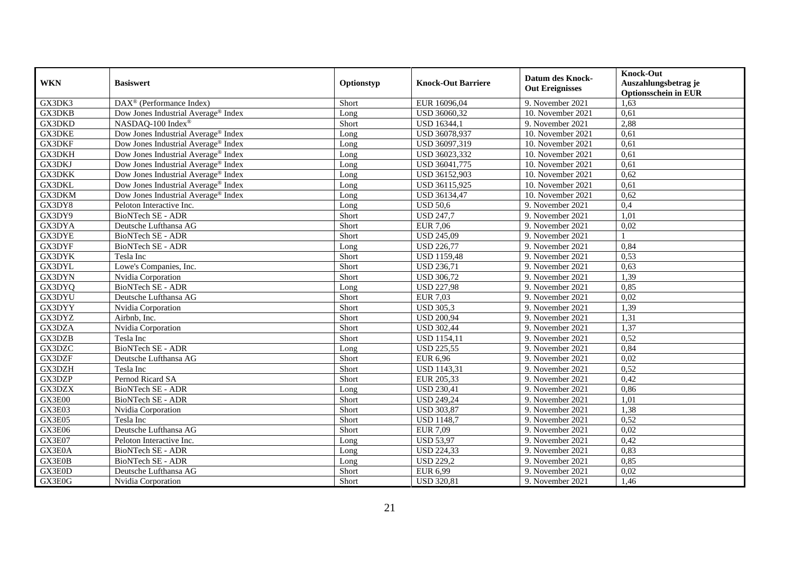|                     |                                                       |            |                           |                         | <b>Knock-Out</b>            |
|---------------------|-------------------------------------------------------|------------|---------------------------|-------------------------|-----------------------------|
| <b>WKN</b>          | <b>Basiswert</b>                                      | Optionstyp | <b>Knock-Out Barriere</b> | <b>Datum des Knock-</b> | Auszahlungsbetrag je        |
|                     |                                                       |            |                           | <b>Out Ereignisses</b>  | <b>Optionsschein in EUR</b> |
| GX3DK3              | $\overline{\text{DAX}^{\otimes}}$ (Performance Index) | Short      | EUR 16096,04              | 9. November 2021        | 1,63                        |
| <b>GX3DKB</b>       | Dow Jones Industrial Average <sup>®</sup> Index       | Long       | USD 36060,32              | 10. November 2021       | 0,61                        |
| GX3DKD              | NASDAQ-100 Index®                                     | Short      | <b>USD 16344,1</b>        | 9. November 2021        | 2,88                        |
| <b>GX3DKE</b>       | Dow Jones Industrial Average <sup>®</sup> Index       | Long       | USD 36078,937             | 10. November 2021       | 0,61                        |
| GX3DKF              | Dow Jones Industrial Average <sup>®</sup> Index       | Long       | USD 36097,319             | 10. November 2021       | 0,61                        |
| <b>GX3DKH</b>       | Dow Jones Industrial Average <sup>®</sup> Index       | Long       | USD 36023,332             | 10. November 2021       | 0,61                        |
| <b>GX3DKJ</b>       | Dow Jones Industrial Average <sup>®</sup> Index       | Long       | USD 36041,775             | 10. November 2021       | 0,61                        |
| GX3DKK              | Dow Jones Industrial Average® Index                   | Long       | USD 36152,903             | 10. November 2021       | 0,62                        |
| GX3DKL              | Dow Jones Industrial Average® Index                   | Long       | USD 36115,925             | 10. November 2021       | 0,61                        |
| GX3DKM              | Dow Jones Industrial Average® Index                   | Long       | USD 36134,47              | 10. November 2021       | 0,62                        |
| GX3DY8              | Peloton Interactive Inc.                              | Long       | <b>USD 50.6</b>           | 9. November 2021        | 0,4                         |
| GX3DY9              | <b>BioNTech SE - ADR</b>                              | Short      | <b>USD 247,7</b>          | 9. November 2021        | 1,01                        |
| GX3DYA              | Deutsche Lufthansa AG                                 | Short      | <b>EUR 7,06</b>           | 9. November 2021        | 0,02                        |
| GX3DYE              | BioNTech SE - ADR                                     | Short      | <b>USD 245,09</b>         | 9. November 2021        |                             |
| GX3DYF              | BioNTech SE - ADR                                     | Long       | <b>USD 226,77</b>         | 9. November 2021        | 0,84                        |
| <b>GX3DYK</b>       | Tesla Inc                                             | Short      | <b>USD 1159,48</b>        | 9. November 2021        | 0,53                        |
| GX3DYL              | Lowe's Companies, Inc.                                | Short      | <b>USD 236,71</b>         | 9. November 2021        | 0,63                        |
| GX3DYN              | Nvidia Corporation                                    | Short      | <b>USD 306,72</b>         | 9. November 2021        | 1,39                        |
| GX3DYQ              | <b>BioNTech SE - ADR</b>                              | Long       | <b>USD 227,98</b>         | 9. November 2021        | 0,85                        |
| GX3DYU              | Deutsche Lufthansa AG                                 | Short      | <b>EUR 7,03</b>           | 9. November 2021        | 0,02                        |
| GX3DYY              | Nvidia Corporation                                    | Short      | <b>USD 305,3</b>          | 9. November 2021        | 1,39                        |
| GX3DYZ              | Airbnb, Inc.                                          | Short      | <b>USD 200,94</b>         | 9. November 2021        | 1,31                        |
| GX3DZA              | Nvidia Corporation                                    | Short      | <b>USD 302,44</b>         | 9. November 2021        | 1,37                        |
| GX3DZB              | Tesla Inc                                             | Short      | <b>USD 1154,11</b>        | 9. November 2021        | 0,52                        |
| GX3DZC              | <b>BioNTech SE - ADR</b>                              | Long       | <b>USD 225,55</b>         | 9. November 2021        | 0,84                        |
| GX3DZF              | Deutsche Lufthansa AG                                 | Short      | <b>EUR 6,96</b>           | 9. November 2021        | 0,02                        |
| GX3DZH              | Tesla Inc                                             | Short      | <b>USD 1143,31</b>        | 9. November 2021        | 0,52                        |
| GX3DZP              | Pernod Ricard SA                                      | Short      | EUR 205,33                | 9. November 2021        | 0,42                        |
| GX3DZX              | <b>BioNTech SE - ADR</b>                              | Long       | <b>USD 230,41</b>         | 9. November 2021        | 0,86                        |
| GX3E00              | BioNTech SE - ADR                                     | Short      | <b>USD 249,24</b>         | 9. November 2021        | 1,01                        |
| GX3E03              | Nvidia Corporation                                    | Short      | <b>USD 303,87</b>         | 9. November 2021        | 1,38                        |
| $G\overline{X3E05}$ | Tesla Inc                                             | Short      | <b>USD 1148,7</b>         | 9. November 2021        | 0,52                        |
| GX3E06              | Deutsche Lufthansa AG                                 | Short      | <b>EUR 7,09</b>           | 9. November 2021        | 0,02                        |
| GX3E07              | Peloton Interactive Inc.                              | Long       | <b>USD 53,97</b>          | 9. November 2021        | 0,42                        |
| GX3E0A              | BioNTech SE - ADR                                     | Long       | <b>USD 224,33</b>         | 9. November 2021        | 0,83                        |
| GX3E0B              | BioNTech SE - ADR                                     | Long       | <b>USD 229,2</b>          | 9. November 2021        | 0,85                        |
| GX3E0D              | Deutsche Lufthansa AG                                 | Short      | <b>EUR 6,99</b>           | 9. November 2021        | 0,02                        |
| GX3E0G              | Nvidia Corporation                                    | Short      | <b>USD 320,81</b>         | 9. November 2021        | 1,46                        |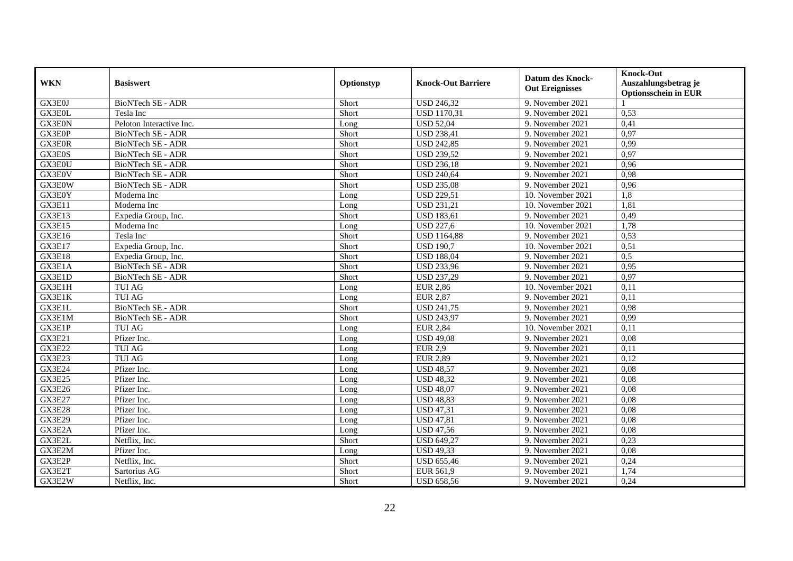| <b>WKN</b>    | <b>Basiswert</b>         | Optionstyp | <b>Knock-Out Barriere</b> | <b>Datum des Knock-</b><br><b>Out Ereignisses</b> | <b>Knock-Out</b><br>Auszahlungsbetrag je<br><b>Optionsschein in EUR</b> |
|---------------|--------------------------|------------|---------------------------|---------------------------------------------------|-------------------------------------------------------------------------|
| GX3E0J        | BioNTech SE - ADR        | Short      | <b>USD 246,32</b>         | 9. November 2021                                  |                                                                         |
| GX3E0L        | Tesla Inc                | Short      | <b>USD 1170,31</b>        | 9. November 2021                                  | 0,53                                                                    |
| GX3E0N        | Peloton Interactive Inc. | Long       | <b>USD 52,04</b>          | 9. November 2021                                  | 0,41                                                                    |
| GX3E0P        | BioNTech SE - ADR        | Short      | <b>USD 238,41</b>         | 9. November 2021                                  | 0,97                                                                    |
| GX3E0R        | BioNTech SE - ADR        | Short      | <b>USD 242,85</b>         | 9. November 2021                                  | 0,99                                                                    |
| GX3E0S        | BioNTech SE - ADR        | Short      | <b>USD 239,52</b>         | 9. November 2021                                  | 0,97                                                                    |
| GX3E0U        | <b>BioNTech SE - ADR</b> | Short      | <b>USD 236,18</b>         | 9. November 2021                                  | 0,96                                                                    |
| GX3E0V        | BioNTech SE - ADR        | Short      | <b>USD 240,64</b>         | 9. November 2021                                  | 0,98                                                                    |
| GX3E0W        | <b>BioNTech SE - ADR</b> | Short      | <b>USD 235,08</b>         | 9. November 2021                                  | 0,96                                                                    |
| GX3E0Y        | Moderna Inc              | Long       | <b>USD 229,51</b>         | 10. November 2021                                 | 1,8                                                                     |
| GX3E11        | Moderna Inc              | Long       | <b>USD 231,21</b>         | 10. November 2021                                 | 1,81                                                                    |
| GX3E13        | Expedia Group, Inc.      | Short      | <b>USD 183,61</b>         | 9. November 2021                                  | 0,49                                                                    |
| GX3E15        | Moderna Inc              | Long       | <b>USD 227,6</b>          | $10.$ November 2021                               | 1,78                                                                    |
| GX3E16        | Tesla Inc                | Short      | <b>USD 1164,88</b>        | 9. November 2021                                  | 0,53                                                                    |
| GX3E17        | Expedia Group, Inc.      | Short      | <b>USD 190,7</b>          | 10. November 2021                                 | 0,51                                                                    |
| GX3E18        | Expedia Group, Inc.      | Short      | <b>USD 188,04</b>         | 9. November 2021                                  | 0,5                                                                     |
| GX3E1A        | BioNTech SE - ADR        | Short      | <b>USD 233,96</b>         | 9. November 2021                                  | 0,95                                                                    |
| GX3E1D        | <b>BioNTech SE - ADR</b> | Short      | <b>USD 237,29</b>         | 9. November 2021                                  | 0.97                                                                    |
| GX3E1H        | <b>TUI AG</b>            | Long       | <b>EUR 2,86</b>           | 10. November 2021                                 | 0,11                                                                    |
| GX3E1K        | <b>TUI AG</b>            | Long       | <b>EUR 2,87</b>           | 9. November 2021                                  | 0,11                                                                    |
| GX3E1L        | <b>BioNTech SE - ADR</b> | Short      | <b>USD 241,75</b>         | 9. November 2021                                  | 0,98                                                                    |
| GX3E1M        | BioNTech SE - ADR        | Short      | <b>USD 243,97</b>         | 9. November 2021                                  | 0,99                                                                    |
| GX3E1P        | <b>TUI AG</b>            | Long       | <b>EUR 2,84</b>           | 10. November 2021                                 | 0,11                                                                    |
| <b>GX3E21</b> | Pfizer Inc.              | Long       | <b>USD 49,08</b>          | 9. November 2021                                  | 0,08                                                                    |
| <b>GX3E22</b> | <b>TUI AG</b>            | Long       | <b>EUR 2,9</b>            | 9. November 2021                                  | 0,11                                                                    |
| GX3E23        | <b>TUI AG</b>            | Long       | <b>EUR 2,89</b>           | 9. November 2021                                  | 0,12                                                                    |
| <b>GX3E24</b> | Pfizer Inc.              | Long       | <b>USD 48,57</b>          | 9. November 2021                                  | 0,08                                                                    |
| <b>GX3E25</b> | Pfizer Inc.              | Long       | <b>USD 48,32</b>          | 9. November 2021                                  | 0.08                                                                    |
| GX3E26        | Pfizer Inc.              | Long       | <b>USD 48,07</b>          | 9. November 2021                                  | 0.08                                                                    |
| <b>GX3E27</b> | Pfizer Inc.              | Long       | <b>USD 48,83</b>          | 9. November 2021                                  | 0.08                                                                    |
| <b>GX3E28</b> | Pfizer Inc.              | Long       | <b>USD 47,31</b>          | 9. November 2021                                  | 0,08                                                                    |
| <b>GX3E29</b> | Pfizer Inc.              | Long       | <b>USD 47,81</b>          | 9. November 2021                                  | 0.08                                                                    |
| GX3E2A        | Pfizer Inc.              | Long       | <b>USD 47,56</b>          | 9. November 2021                                  | 0,08                                                                    |
| GX3E2L        | Netflix, Inc.            | Short      | <b>USD 649,27</b>         | 9. November 2021                                  | 0,23                                                                    |
| GX3E2M        | Pfizer Inc.              | Long       | <b>USD 49,33</b>          | 9. November 2021                                  | 0,08                                                                    |
| GX3E2P        | Netflix, Inc.            | Short      | <b>USD 655,46</b>         | 9. November 2021                                  | 0,24                                                                    |
| GX3E2T        | Sartorius AG             | Short      | EUR 561,9                 | 9. November 2021                                  | 1,74                                                                    |
| GX3E2W        | Netflix, Inc.            | Short      | <b>USD 658,56</b>         | 9. November 2021                                  | 0,24                                                                    |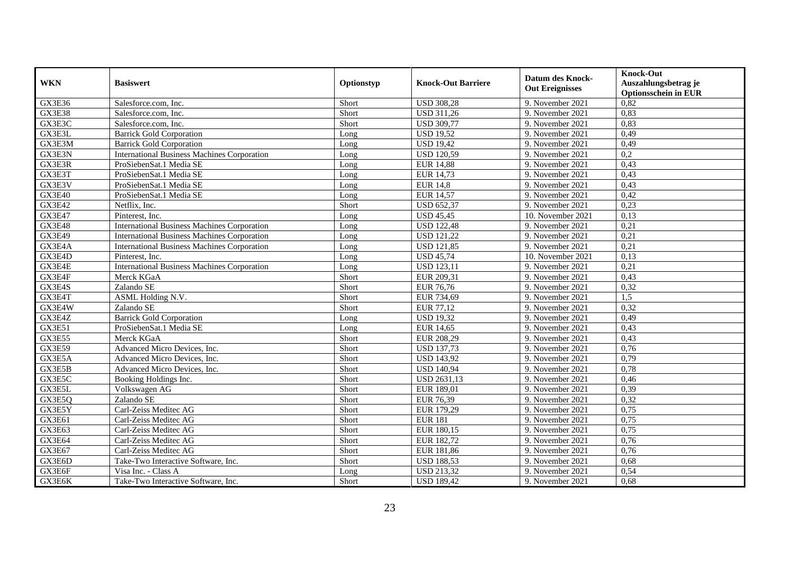| <b>WKN</b>    | <b>Basiswert</b>                                   | Optionstyp | <b>Knock-Out Barriere</b> | <b>Datum des Knock-</b><br><b>Out Ereignisses</b> | <b>Knock-Out</b><br>Auszahlungsbetrag je<br><b>Optionsschein in EUR</b> |
|---------------|----------------------------------------------------|------------|---------------------------|---------------------------------------------------|-------------------------------------------------------------------------|
| GX3E36        | Salesforce.com, Inc.                               | Short      | <b>USD 308,28</b>         | 9. November 2021                                  | 0,82                                                                    |
| GX3E38        | Salesforce.com. Inc.                               | Short      | <b>USD 311,26</b>         | 9. November 2021                                  | 0,83                                                                    |
| GX3E3C        | Salesforce.com, Inc.                               | Short      | <b>USD 309,77</b>         | 9. November 2021                                  | 0,83                                                                    |
| GX3E3L        | <b>Barrick Gold Corporation</b>                    | Long       | <b>USD 19,52</b>          | 9. November 2021                                  | 0,49                                                                    |
| GX3E3M        | <b>Barrick Gold Corporation</b>                    | Long       | <b>USD 19,42</b>          | 9. November 2021                                  | 0,49                                                                    |
| GX3E3N        | <b>International Business Machines Corporation</b> | Long       | <b>USD 120,59</b>         | 9. November 2021                                  | 0,2                                                                     |
| GX3E3R        | ProSiebenSat.1 Media SE                            | Long       | <b>EUR 14,88</b>          | 9. November 2021                                  | 0,43                                                                    |
| GX3E3T        | ProSiebenSat.1 Media SE                            | Long       | <b>EUR 14,73</b>          | 9. November 2021                                  | 0,43                                                                    |
| GX3E3V        | ProSiebenSat.1 Media SE                            | Long       | <b>EUR 14,8</b>           | 9. November 2021                                  | 0,43                                                                    |
| GX3E40        | ProSiebenSat.1 Media SE                            | Long       | <b>EUR 14,57</b>          | 9. November 2021                                  | 0,42                                                                    |
| <b>GX3E42</b> | Netflix, Inc.                                      | Short      | <b>USD 652,37</b>         | 9. November 2021                                  | 0,23                                                                    |
| GX3E47        | Pinterest, Inc.                                    | Long       | <b>USD 45,45</b>          | 10. November 2021                                 | 0,13                                                                    |
| GX3E48        | <b>International Business Machines Corporation</b> | Long       | <b>USD 122,48</b>         | 9. November 2021                                  | 0,21                                                                    |
| GX3E49        | <b>International Business Machines Corporation</b> | Long       | <b>USD 121,22</b>         | 9. November 2021                                  | 0,21                                                                    |
| GX3E4A        | <b>International Business Machines Corporation</b> | Long       | <b>USD 121,85</b>         | 9. November 2021                                  | 0,21                                                                    |
| GX3E4D        | Pinterest, Inc.                                    | Long       | <b>USD 45,74</b>          | 10. November 2021                                 | 0,13                                                                    |
| GX3E4E        | <b>International Business Machines Corporation</b> | Long       | <b>USD 123,11</b>         | 9. November 2021                                  | 0,21                                                                    |
| GX3E4F        | Merck KGaA                                         | Short      | EUR 209,31                | 9. November 2021                                  | 0.43                                                                    |
| GX3E4S        | Zalando SE                                         | Short      | <b>EUR 76,76</b>          | 9. November 2021                                  | 0,32                                                                    |
| GX3E4T        | ASML Holding N.V.                                  | Short      | EUR 734,69                | 9. November 2021                                  | 1,5                                                                     |
| GX3E4W        | Zalando SE                                         | Short      | EUR 77,12                 | 9. November 2021                                  | 0,32                                                                    |
| GX3E4Z        | <b>Barrick Gold Corporation</b>                    | Long       | <b>USD 19,32</b>          | 9. November 2021                                  | $0,\overline{49}$                                                       |
| GX3E51        | ProSiebenSat.1 Media SE                            | Long       | <b>EUR 14,65</b>          | 9. November 2021                                  | 0,43                                                                    |
| GX3E55        | Merck KGaA                                         | Short      | EUR 208,29                | 9. November 2021                                  | 0,43                                                                    |
| GX3E59        | Advanced Micro Devices, Inc.                       | Short      | <b>USD 137,73</b>         | 9. November 2021                                  | 0,76                                                                    |
| GX3E5A        | Advanced Micro Devices, Inc.                       | Short      | <b>USD 143,92</b>         | 9. November 2021                                  | 0,79                                                                    |
| GX3E5B        | Advanced Micro Devices, Inc.                       | Short      | <b>USD 140,94</b>         | 9. November 2021                                  | 0,78                                                                    |
| GX3E5C        | Booking Holdings Inc.                              | Short      | <b>USD 2631,13</b>        | 9. November 2021                                  | 0,46                                                                    |
| GX3E5L        | Volkswagen AG                                      | Short      | EUR 189,01                | 9. November 2021                                  | 0,39                                                                    |
| GX3E5Q        | Zalando SE                                         | Short      | EUR 76,39                 | 9. November 2021                                  | 0,32                                                                    |
| GX3E5Y        | Carl-Zeiss Meditec AG                              | Short      | EUR 179,29                | 9. November 2021                                  | 0,75                                                                    |
| GX3E61        | Carl-Zeiss Meditec AG                              | Short      | <b>EUR 181</b>            | 9. November 2021                                  | 0,75                                                                    |
| GX3E63        | Carl-Zeiss Meditec AG                              | Short      | EUR 180,15                | 9. November 2021                                  | 0,75                                                                    |
| GX3E64        | Carl-Zeiss Meditec AG                              | Short      | EUR 182,72                | 9. November 2021                                  | 0,76                                                                    |
| GX3E67        | Carl-Zeiss Meditec AG                              | Short      | EUR 181,86                | 9. November 2021                                  | 0,76                                                                    |
| GX3E6D        | Take-Two Interactive Software, Inc.                | Short      | <b>USD 188,53</b>         | 9. November 2021                                  | 0,68                                                                    |
| GX3E6F        | Visa Inc. - Class A                                | Long       | <b>USD 213,32</b>         | 9. November 2021                                  | 0,54                                                                    |
| GX3E6K        | Take-Two Interactive Software, Inc.                | Short      | <b>USD 189,42</b>         | 9. November 2021                                  | 0,68                                                                    |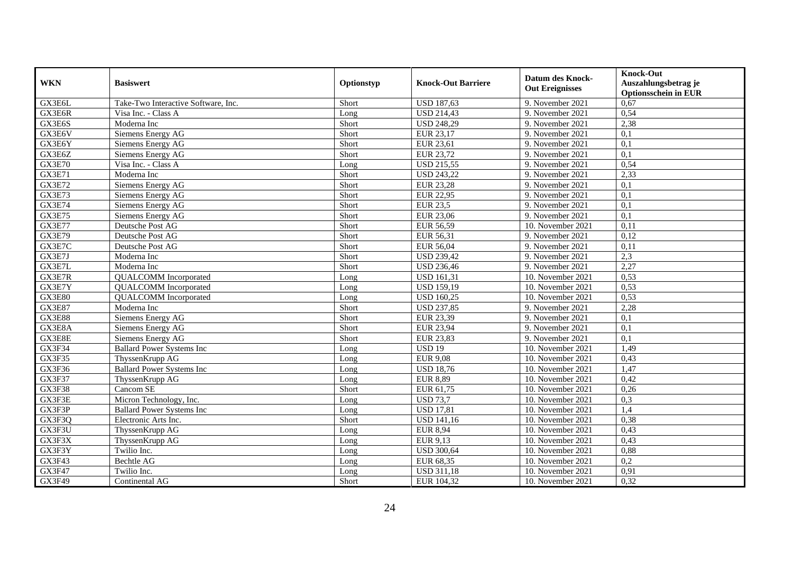| <b>WKN</b>    | <b>Basiswert</b>                    | Optionstyp | <b>Knock-Out Barriere</b> | <b>Datum des Knock-</b><br><b>Out Ereignisses</b> | <b>Knock-Out</b><br>Auszahlungsbetrag je<br><b>Optionsschein in EUR</b> |
|---------------|-------------------------------------|------------|---------------------------|---------------------------------------------------|-------------------------------------------------------------------------|
| GX3E6L        | Take-Two Interactive Software, Inc. | Short      | <b>USD 187,63</b>         | 9. November 2021                                  | 0,67                                                                    |
| GX3E6R        | Visa Inc. - Class A                 | Long       | <b>USD 214,43</b>         | 9. November 2021                                  | 0,54                                                                    |
| GX3E6S        | Moderna Inc                         | Short      | <b>USD 248,29</b>         | 9. November 2021                                  | 2,38                                                                    |
| GX3E6V        | Siemens Energy AG                   | Short      | EUR 23,17                 | 9. November 2021                                  | 0,1                                                                     |
| GX3E6Y        | Siemens Energy AG                   | Short      | EUR 23,61                 | 9. November 2021                                  | 0,1                                                                     |
| GX3E6Z        | Siemens Energy AG                   | Short      | <b>EUR 23,72</b>          | 9. November 2021                                  | 0,1                                                                     |
| <b>GX3E70</b> | Visa Inc. - Class A                 | Long       | <b>USD 215,55</b>         | 9. November 2021                                  | 0,54                                                                    |
| <b>GX3E71</b> | Moderna Inc                         | Short      | <b>USD 243,22</b>         | 9. November 2021                                  | 2,33                                                                    |
| <b>GX3E72</b> | Siemens Energy AG                   | Short      | <b>EUR 23,28</b>          | 9. November 2021                                  | 0,1                                                                     |
| <b>GX3E73</b> | Siemens Energy AG                   | Short      | <b>EUR 22,95</b>          | 9. November 2021                                  | 0,1                                                                     |
| <b>GX3E74</b> | Siemens Energy AG                   | Short      | <b>EUR 23,5</b>           | 9. November 2021                                  | 0,1                                                                     |
| <b>GX3E75</b> | Siemens Energy AG                   | Short      | <b>EUR 23,06</b>          | 9. November 2021                                  | 0,1                                                                     |
| <b>GX3E77</b> | Deutsche Post AG                    | Short      | EUR 56,59                 | 10. November 2021                                 | 0,11                                                                    |
| <b>GX3E79</b> | Deutsche Post AG                    | Short      | EUR 56,31                 | 9. November 2021                                  | 0,12                                                                    |
| GX3E7C        | Deutsche Post AG                    | Short      | EUR 56,04                 | 9. November 2021                                  | 0,11                                                                    |
| GX3E7J        | Moderna Inc                         | Short      | <b>USD 239,42</b>         | 9. November 2021                                  | 2,3                                                                     |
| GX3E7L        | Moderna Inc                         | Short      | <b>USD 236,46</b>         | 9. November 2021                                  | 2,27                                                                    |
| GX3E7R        | <b>QUALCOMM</b> Incorporated        | Long       | <b>USD 161,31</b>         | 10. November 2021                                 | 0.53                                                                    |
| GX3E7Y        | <b>QUALCOMM</b> Incorporated        | Long       | <b>USD 159,19</b>         | 10. November 2021                                 | 0,53                                                                    |
| <b>GX3E80</b> | <b>QUALCOMM</b> Incorporated        | Long       | <b>USD 160,25</b>         | 10. November 2021                                 | 0,53                                                                    |
| <b>GX3E87</b> | Moderna Inc                         | Short      | <b>USD 237,85</b>         | 9. November 2021                                  | 2,28                                                                    |
| <b>GX3E88</b> | Siemens Energy AG                   | Short      | EUR 23,39                 | 9. November 2021                                  | 0,1                                                                     |
| GX3E8A        | Siemens Energy AG                   | Short      | <b>EUR 23,94</b>          | 9. November 2021                                  | 0,1                                                                     |
| GX3E8E        | Siemens Energy AG                   | Short      | <b>EUR 23,83</b>          | 9. November 2021                                  | 0,1                                                                     |
| GX3F34        | <b>Ballard Power Systems Inc</b>    | Long       | <b>USD 19</b>             | 10. November 2021                                 | 1,49                                                                    |
| GX3F35        | ThyssenKrupp AG                     | Long       | <b>EUR 9,08</b>           | 10. November 2021                                 | 0,43                                                                    |
| GX3F36        | <b>Ballard Power Systems Inc</b>    | Long       | <b>USD 18,76</b>          | 10. November 2021                                 | 1,47                                                                    |
| GX3F37        | ThyssenKrupp AG                     | Long       | <b>EUR 8,89</b>           | 10. November 2021                                 | 0,42                                                                    |
| GX3F38        | Cancom SE                           | Short      | EUR 61,75                 | 10. November 2021                                 | 0,26                                                                    |
| GX3F3E        | Micron Technology, Inc.             | Long       | <b>USD 73,7</b>           | 10. November 2021                                 | 0,3                                                                     |
| GX3F3P        | <b>Ballard Power Systems Inc</b>    | Long       | <b>USD 17,81</b>          | 10. November 2021                                 | 1,4                                                                     |
| GX3F3Q        | Electronic Arts Inc.                | Short      | <b>USD 141,16</b>         | 10. November 2021                                 | 0,38                                                                    |
| GX3F3U        | ThyssenKrupp AG                     | Long       | <b>EUR 8,94</b>           | 10. November 2021                                 | 0,43                                                                    |
| GX3F3X        | ThyssenKrupp AG                     | Long       | EUR 9,13                  | 10. November 2021                                 | 0,43                                                                    |
| GX3F3Y        | Twilio Inc.                         | Long       | <b>USD 300,64</b>         | 10. November 2021                                 | 0,88                                                                    |
| GX3F43        | Bechtle AG                          | Long       | EUR 68,35                 | 10. November 2021                                 | 0,2                                                                     |
| <b>GX3F47</b> | Twilio Inc.                         | Long       | <b>USD 311,18</b>         | 10. November 2021                                 | 0,91                                                                    |
| GX3F49        | Continental AG                      | Short      | EUR 104,32                | 10. November 2021                                 | 0,32                                                                    |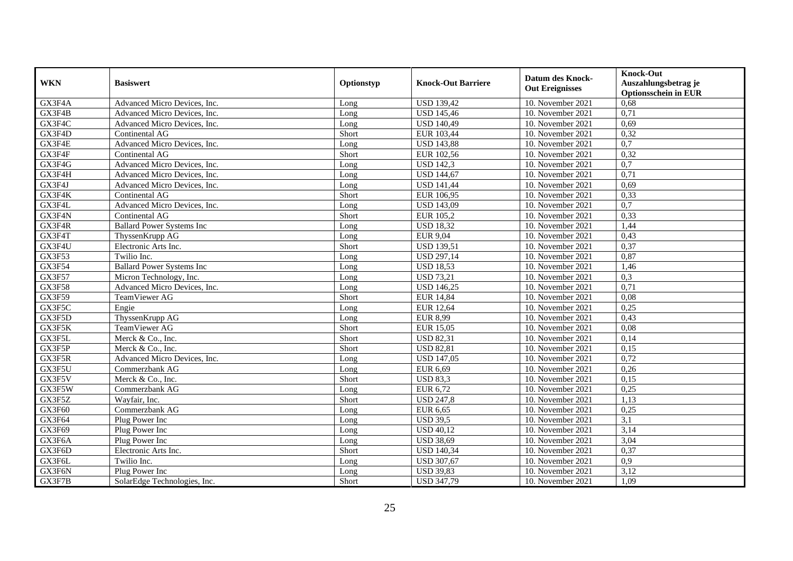| <b>WKN</b>          | <b>Basiswert</b>                 | Optionstyp | <b>Knock-Out Barriere</b> | <b>Datum des Knock-</b><br><b>Out Ereignisses</b> | <b>Knock-Out</b><br>Auszahlungsbetrag je<br><b>Optionsschein in EUR</b> |
|---------------------|----------------------------------|------------|---------------------------|---------------------------------------------------|-------------------------------------------------------------------------|
| GX3F4A              | Advanced Micro Devices, Inc.     | Long       | <b>USD 139,42</b>         | 10. November 2021                                 | 0,68                                                                    |
| GX3F4B              | Advanced Micro Devices, Inc.     | Long       | <b>USD 145,46</b>         | 10. November 2021                                 | 0,71                                                                    |
| GX3F4C              | Advanced Micro Devices, Inc.     | Long       | <b>USD 140,49</b>         | 10. November 2021                                 | 0,69                                                                    |
| GX3F4D              | Continental AG                   | Short      | EUR 103,44                | 10. November 2021                                 | 0,32                                                                    |
| GX3F4E              | Advanced Micro Devices, Inc.     | Long       | <b>USD 143,88</b>         | 10. November 2021                                 | $\overline{0,7}$                                                        |
| GX3F4F              | Continental AG                   | Short      | EUR 102,56                | 10. November 2021                                 | 0,32                                                                    |
| GX3F4G              | Advanced Micro Devices, Inc.     | Long       | <b>USD 142,3</b>          | 10. November 2021                                 | 0,7                                                                     |
| GX3F4H              | Advanced Micro Devices, Inc.     | Long       | <b>USD 144,67</b>         | 10. November 2021                                 | 0,71                                                                    |
| GX3F4J              | Advanced Micro Devices, Inc.     | Long       | <b>USD 141,44</b>         | 10. November 2021                                 | 0,69                                                                    |
| GX3F4K              | Continental AG                   | Short      | EUR 106,95                | 10. November 2021                                 | 0,33                                                                    |
| GX3F4L              | Advanced Micro Devices, Inc.     | Long       | <b>USD 143,09</b>         | 10. November 2021                                 | $\overline{0,7}$                                                        |
| GX3F4N              | Continental AG                   | Short      | EUR 105,2                 | 10. November 2021                                 | 0,33                                                                    |
| GX3F4R              | <b>Ballard Power Systems Inc</b> | Long       | <b>USD 18,32</b>          | 10. November 2021                                 | 1,44                                                                    |
| GX3F4T              | ThyssenKrupp AG                  | Long       | <b>EUR 9,04</b>           | 10. November 2021                                 | 0,43                                                                    |
| GX3F4U              | Electronic Arts Inc.             | Short      | <b>USD 139,51</b>         | 10. November 2021                                 | 0,37                                                                    |
| GX3F53              | Twilio Inc.                      | Long       | <b>USD 297,14</b>         | 10. November 2021                                 | 0,87                                                                    |
| $GX3F\overline{54}$ | <b>Ballard Power Systems Inc</b> | Long       | <b>USD 18,53</b>          | 10. November 2021                                 | 1,46                                                                    |
| <b>GX3F57</b>       | Micron Technology, Inc.          | Long       | <b>USD 73,21</b>          | 10. November 2021                                 | 0.3                                                                     |
| GX3F58              | Advanced Micro Devices, Inc.     | Long       | <b>USD 146,25</b>         | 10. November 2021                                 | 0,71                                                                    |
| <b>GX3F59</b>       | TeamViewer AG                    | Short      | <b>EUR 14,84</b>          | 10. November 2021                                 | 0,08                                                                    |
| GX3F5C              | Engie                            | Long       | <b>EUR 12,64</b>          | 10. November 2021                                 | 0,25                                                                    |
| GX3F5D              | ThyssenKrupp AG                  | Long       | <b>EUR 8,99</b>           | 10. November 2021                                 | 0,43                                                                    |
| GX3F5K              | TeamViewer AG                    | Short      | <b>EUR 15,05</b>          | 10. November 2021                                 | 0,08                                                                    |
| GX3F5L              | Merck & Co., Inc.                | Short      | <b>USD 82,31</b>          | 10. November 2021                                 | 0,14                                                                    |
| GX3F5P              | Merck & Co., Inc.                | Short      | <b>USD 82,81</b>          | 10. November 2021                                 | 0,15                                                                    |
| GX3F5R              | Advanced Micro Devices, Inc.     | Long       | <b>USD 147,05</b>         | 10. November 2021                                 | 0,72                                                                    |
| GX3F5U              | Commerzbank AG                   | Long       | <b>EUR 6,69</b>           | 10. November 2021                                 | 0,26                                                                    |
| GX3F5V              | Merck & Co., Inc.                | Short      | <b>USD 83.3</b>           | 10. November 2021                                 | 0,15                                                                    |
| GX3F5W              | Commerzbank AG                   | Long       | EUR 6,72                  | 10. November 2021                                 | 0,25                                                                    |
| GX3F5Z              | Wayfair, Inc.                    | Short      | <b>USD 247,8</b>          | 10. November 2021                                 | 1,13                                                                    |
| GX3F60              | Commerzbank AG                   | Long       | <b>EUR 6,65</b>           | 10. November 2021                                 | 0,25                                                                    |
| GX3F64              | Plug Power Inc                   | Long       | <b>USD 39,5</b>           | 10. November 2021                                 | $\overline{3,1}$                                                        |
| GX3F69              | Plug Power Inc                   | Long       | <b>USD 40,12</b>          | 10. November 2021                                 | 3,14                                                                    |
| GX3F6A              | Plug Power Inc                   | Long       | <b>USD 38,69</b>          | 10. November 2021                                 | 3,04                                                                    |
| GX3F6D              | Electronic Arts Inc.             | Short      | <b>USD 140,34</b>         | 10. November 2021                                 | 0,37                                                                    |
| GX3F6L              | Twilio Inc.                      | Long       | <b>USD 307,67</b>         | 10. November 2021                                 | 0,9                                                                     |
| GX3F6N              | Plug Power Inc                   | Long       | <b>USD 39,83</b>          | 10. November 2021                                 | 3,12                                                                    |
| GX3F7B              | SolarEdge Technologies, Inc.     | Short      | <b>USD 347,79</b>         | 10. November 2021                                 | 1,09                                                                    |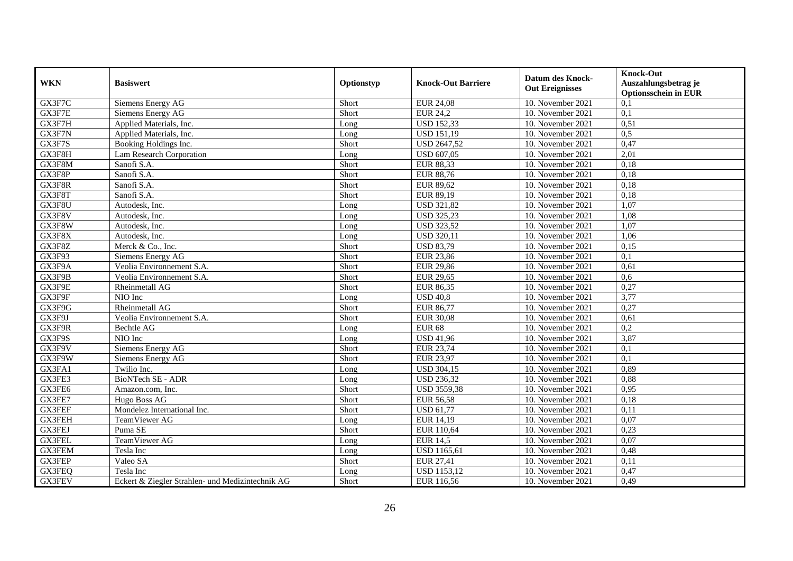| <b>WKN</b>    | <b>Basiswert</b>                                 | Optionstyp | <b>Knock-Out Barriere</b> | <b>Datum des Knock-</b><br><b>Out Ereignisses</b> | <b>Knock-Out</b><br>Auszahlungsbetrag je<br><b>Optionsschein in EUR</b> |
|---------------|--------------------------------------------------|------------|---------------------------|---------------------------------------------------|-------------------------------------------------------------------------|
| GX3F7C        | Siemens Energy AG                                | Short      | <b>EUR 24,08</b>          | 10. November 2021                                 | 0,1                                                                     |
| GX3F7E        | Siemens Energy AG                                | Short      | <b>EUR 24,2</b>           | 10. November 2021                                 | 0,1                                                                     |
| GX3F7H        | Applied Materials, Inc.                          | Long       | <b>USD 152,33</b>         | 10. November 2021                                 | 0,51                                                                    |
| GX3F7N        | Applied Materials, Inc.                          | Long       | <b>USD 151,19</b>         | 10. November 2021                                 | 0,5                                                                     |
| GX3F7S        | Booking Holdings Inc.                            | Short      | <b>USD 2647,52</b>        | 10. November 2021                                 | 0,47                                                                    |
| GX3F8H        | Lam Research Corporation                         | Long       | <b>USD 607,05</b>         | 10. November 2021                                 | $\overline{2,01}$                                                       |
| GX3F8M        | Sanofi S.A.                                      | Short      | <b>EUR 88,33</b>          | 10. November 2021                                 | 0,18                                                                    |
| GX3F8P        | Sanofi S.A.                                      | Short      | <b>EUR 88,76</b>          | 10. November 2021                                 | 0,18                                                                    |
| GX3F8R        | Sanofi S.A.                                      | Short      | EUR 89,62                 | 10. November 2021                                 | 0,18                                                                    |
| GX3F8T        | Sanofi S.A.                                      | Short      | EUR 89,19                 | 10. November 2021                                 | 0,18                                                                    |
| GX3F8U        | Autodesk, Inc.                                   | Long       | <b>USD 321,82</b>         | 10. November 2021                                 | 1,07                                                                    |
| GX3F8V        | Autodesk, Inc.                                   | Long       | <b>USD 325,23</b>         | 10. November 2021                                 | 1,08                                                                    |
| GX3F8W        | Autodesk, Inc.                                   | Long       | <b>USD 323,52</b>         | 10. November 2021                                 | 1,07                                                                    |
| GX3F8X        | Autodesk. Inc.                                   | Long       | <b>USD 320,11</b>         | 10. November 2021                                 | 1,06                                                                    |
| GX3F8Z        | Merck & Co., Inc.                                | Short      | <b>USD 83,79</b>          | 10. November 2021                                 | 0,15                                                                    |
| GX3F93        | Siemens Energy AG                                | Short      | <b>EUR 23,86</b>          | 10. November 2021                                 | $\overline{0,1}$                                                        |
| GX3F9A        | Veolia Environnement S.A.                        | Short      | <b>EUR 29,86</b>          | 10. November 2021                                 | 0.61                                                                    |
| GX3F9B        | Veolia Environnement S.A.                        | Short      | <b>EUR 29,65</b>          | 10. November 2021                                 | 0,6                                                                     |
| GX3F9E        | Rheinmetall AG                                   | Short      | <b>EUR 86,35</b>          | 10. November 2021                                 | 0,27                                                                    |
| GX3F9F        | $\overline{NIO}$ Inc                             | Long       | <b>USD 40,8</b>           | 10. November 2021                                 | 3,77                                                                    |
| GX3F9G        | Rheinmetall AG                                   | Short      | <b>EUR 86,77</b>          | 10. November 2021                                 | 0,27                                                                    |
| GX3F9J        | Veolia Environnement S.A.                        | Short      | <b>EUR 30,08</b>          | 10. November 2021                                 | 0.61                                                                    |
| GX3F9R        | <b>Bechtle AG</b>                                | Long       | <b>EUR 68</b>             | 10. November 2021                                 | 0,2                                                                     |
| GX3F9S        | NIO Inc                                          | Long       | <b>USD 41,96</b>          | 10. November 2021                                 | 3,87                                                                    |
| GX3F9V        | Siemens Energy AG                                | Short      | EUR 23,74                 | 10. November 2021                                 | 0,1                                                                     |
| GX3F9W        | Siemens Energy AG                                | Short      | <b>EUR 23,97</b>          | 10. November 2021                                 | 0,1                                                                     |
| GX3FA1        | Twilio Inc.                                      | Long       | <b>USD 304,15</b>         | 10. November 2021                                 | 0,89                                                                    |
| GX3FE3        | BioNTech SE - ADR                                | Long       | <b>USD 236,32</b>         | 10. November 2021                                 | 0,88                                                                    |
| GX3FE6        | Amazon.com, Inc.                                 | Short      | <b>USD 3559,38</b>        | 10. November 2021                                 | 0,95                                                                    |
| GX3FE7        | Hugo Boss AG                                     | Short      | <b>EUR 56,58</b>          | 10. November 2021                                 | 0,18                                                                    |
| GX3FEF        | Mondelez International Inc.                      | Short      | <b>USD 61,77</b>          | 10. November 2021                                 | 0,11                                                                    |
| <b>GX3FEH</b> | TeamViewer AG                                    | Long       | <b>EUR 14,19</b>          | 10. November 2021                                 | 0.07                                                                    |
| <b>GX3FEJ</b> | Puma SE                                          | Short      | EUR 110,64                | 10. November 2021                                 | 0,23                                                                    |
| <b>GX3FEL</b> | TeamViewer AG                                    | Long       | <b>EUR 14,5</b>           | 10. November 2021                                 | 0,07                                                                    |
| <b>GX3FEM</b> | Tesla Inc                                        | Long       | <b>USD 1165,61</b>        | 10. November 2021                                 | 0,48                                                                    |
| GX3FEP        | Valeo SA                                         | Short      | <b>EUR 27,41</b>          | 10. November 2021                                 | 0,11                                                                    |
| GX3FEQ        | Tesla Inc                                        | Long       | <b>USD 1153,12</b>        | 10. November 2021                                 | 0,47                                                                    |
| GX3FEV        | Eckert & Ziegler Strahlen- und Medizintechnik AG | Short      | EUR 116,56                | 10. November 2021                                 | 0,49                                                                    |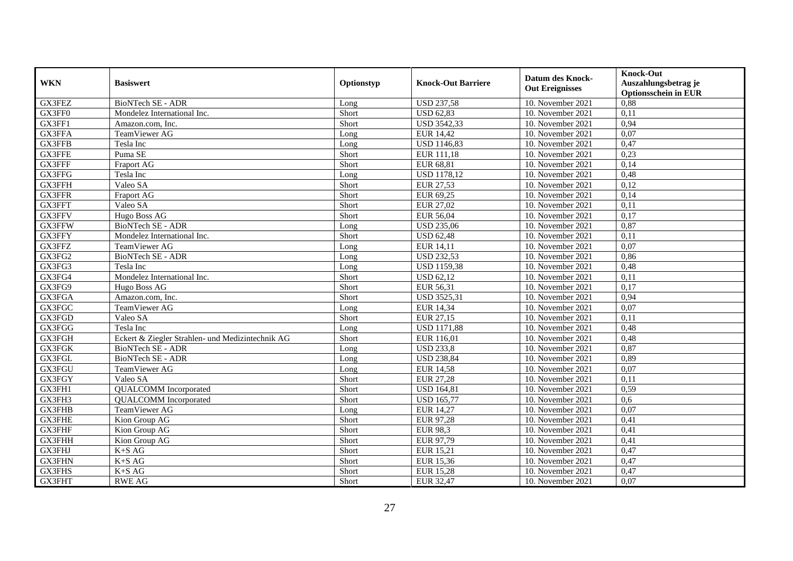| <b>WKN</b>    | <b>Basiswert</b>                                 | Optionstyp | <b>Knock-Out Barriere</b> | <b>Datum des Knock-</b><br><b>Out Ereignisses</b> | <b>Knock-Out</b><br>Auszahlungsbetrag je<br><b>Optionsschein in EUR</b> |
|---------------|--------------------------------------------------|------------|---------------------------|---------------------------------------------------|-------------------------------------------------------------------------|
| GX3FEZ        | <b>BioNTech SE - ADR</b>                         | Long       | <b>USD 237,58</b>         | 10. November 2021                                 | 0,88                                                                    |
| GX3FF0        | Mondelez International Inc.                      | Short      | <b>USD 62,83</b>          | 10. November 2021                                 | 0,11                                                                    |
| GX3FF1        | Amazon.com, Inc.                                 | Short      | <b>USD 3542,33</b>        | 10. November 2021                                 | 0,94                                                                    |
| GX3FFA        | TeamViewer AG                                    | Long       | <b>EUR 14,42</b>          | 10. November 2021                                 | 0,07                                                                    |
| GX3FFB        | Tesla Inc                                        | Long       | <b>USD 1146,83</b>        | 10. November 2021                                 | 0,47                                                                    |
| GX3FFE        | Puma SE                                          | Short      | EUR 111,18                | 10. November 2021                                 | 0,23                                                                    |
| GX3FFF        | Fraport AG                                       | Short      | EUR 68,81                 | $\overline{10}$ . November 2021                   | 0,14                                                                    |
| GX3FFG        | Tesla Inc                                        | Long       | <b>USD 1178,12</b>        | 10. November 2021                                 | 0,48                                                                    |
| GX3FFH        | Valeo SA                                         | Short      | EUR 27,53                 | 10. November 2021                                 | 0,12                                                                    |
| GX3FFR        | Fraport AG                                       | Short      | EUR 69,25                 | 10. November 2021                                 | 0,14                                                                    |
| GX3FFT        | Valeo SA                                         | Short      | EUR 27,02                 | 10. November 2021                                 | 0,11                                                                    |
| <b>GX3FFV</b> | Hugo Boss AG                                     | Short      | <b>EUR 56,04</b>          | 10. November 2021                                 | 0,17                                                                    |
| GX3FFW        | <b>BioNTech SE - ADR</b>                         | Long       | <b>USD 235,06</b>         | 10. November 2021                                 | 0,87                                                                    |
| GX3FFY        | Mondelez International Inc.                      | Short      | <b>USD 62,48</b>          | 10. November 2021                                 | 0,11                                                                    |
| GX3FFZ        | TeamViewer AG                                    | Long       | EUR 14,11                 | 10. November 2021                                 | 0,07                                                                    |
| GX3FG2        | BioNTech SE - ADR                                | Long       | <b>USD 232,53</b>         | 10. November 2021                                 | 0,86                                                                    |
| GX3FG3        | Tesla Inc                                        | Long       | <b>USD 1159,38</b>        | 10. November 2021                                 | 0,48                                                                    |
| GX3FG4        | Mondelez International Inc.                      | Short      | <b>USD 62,12</b>          | 10. November 2021                                 | 0,11                                                                    |
| GX3FG9        | Hugo Boss AG                                     | Short      | EUR 56,31                 | 10. November 2021                                 | 0,17                                                                    |
| GX3FGA        | Amazon.com, Inc.                                 | Short      | <b>USD 3525,31</b>        | 10. November 2021                                 | 0,94                                                                    |
| GX3FGC        | TeamViewer AG                                    | Long       | <b>EUR 14,34</b>          | 10. November 2021                                 | 0.07                                                                    |
| GX3FGD        | Valeo SA                                         | Short      | EUR 27,15                 | 10. November 2021                                 | 0,11                                                                    |
| GX3FGG        | Tesla Inc                                        | Long       | <b>USD 1171,88</b>        | 10. November 2021                                 | 0,48                                                                    |
| <b>GX3FGH</b> | Eckert & Ziegler Strahlen- und Medizintechnik AG | Short      | EUR 116,01                | 10. November 2021                                 | 0,48                                                                    |
| GX3FGK        | <b>BioNTech SE - ADR</b>                         | Long       | <b>USD 233,8</b>          | 10. November 2021                                 | 0,87                                                                    |
| GX3FGL        | BioNTech SE - ADR                                | Long       | <b>USD 238,84</b>         | 10. November 2021                                 | 0,89                                                                    |
| GX3FGU        | TeamViewer AG                                    | Long       | <b>EUR 14,58</b>          | 10. November 2021                                 | 0,07                                                                    |
| GX3FGY        | Valeo SA                                         | Short      | <b>EUR 27,28</b>          | 10. November 2021                                 | 0,11                                                                    |
| GX3FH1        | <b>QUALCOMM</b> Incorporated                     | Short      | <b>USD 164,81</b>         | 10. November 2021                                 | 0,59                                                                    |
| GX3FH3        | <b>OUALCOMM</b> Incorporated                     | Short      | <b>USD 165,77</b>         | 10. November 2021                                 | 0.6                                                                     |
| GX3FHB        | TeamViewer AG                                    | Long       | <b>EUR 14,27</b>          | 10. November 2021                                 | 0,07                                                                    |
| GX3FHE        | Kion Group AG                                    | Short      | <b>EUR 97,28</b>          | 10. November 2021                                 | 0,41                                                                    |
| GX3FHF        | Kion Group AG                                    | Short      | <b>EUR 98,3</b>           | 10. November 2021                                 | 0,41                                                                    |
| <b>GX3FHH</b> | Kion Group AG                                    | Short      | EUR 97,79                 | 10. November 2021                                 | 0,41                                                                    |
| GX3FHJ        | $K+SAG$                                          | Short      | EUR 15,21                 | 10. November 2021                                 | 0,47                                                                    |
| GX3FHN        | $K+SAG$                                          | Short      | <b>EUR 15,36</b>          | 10. November 2021                                 | 0,47                                                                    |
| GX3FHS        | $K\text{+}S$ AG                                  | Short      | <b>EUR 15,28</b>          | 10. November 2021                                 | 0,47                                                                    |
| GX3FHT        | <b>RWE AG</b>                                    | Short      | <b>EUR 32,47</b>          | 10. November 2021                                 | 0,07                                                                    |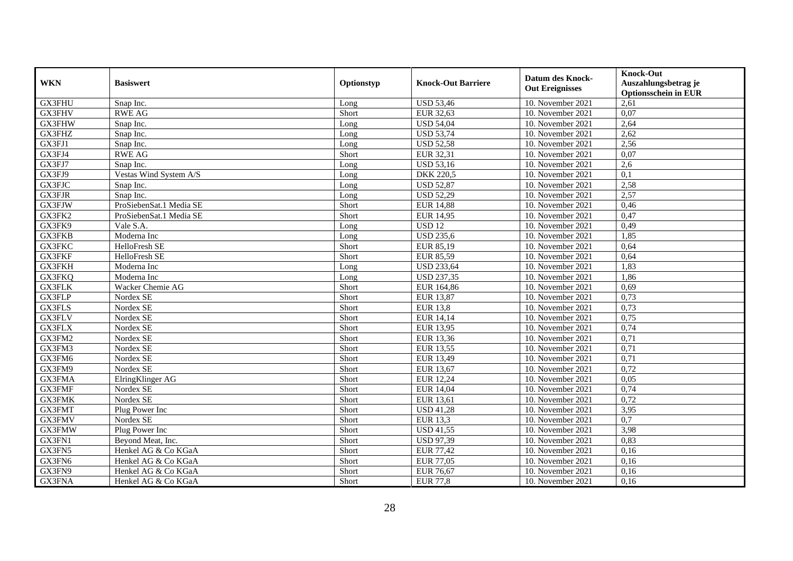| <b>WKN</b>    | <b>Basiswert</b>        | Optionstyp | <b>Knock-Out Barriere</b> | <b>Datum des Knock-</b><br><b>Out Ereignisses</b> | <b>Knock-Out</b><br>Auszahlungsbetrag je<br><b>Optionsschein in EUR</b> |
|---------------|-------------------------|------------|---------------------------|---------------------------------------------------|-------------------------------------------------------------------------|
| GX3FHU        | Snap Inc.               | Long       | <b>USD 53,46</b>          | 10. November 2021                                 | 2,61                                                                    |
| GX3FHV        | <b>RWE AG</b>           | Short      | EUR 32,63                 | 10. November 2021                                 | 0.07                                                                    |
| <b>GX3FHW</b> | Snap Inc.               | Long       | <b>USD 54,04</b>          | 10. November 2021                                 | 2,64                                                                    |
| GX3FHZ        | Snap Inc.               | Long       | <b>USD 53,74</b>          | 10. November 2021                                 | 2,62                                                                    |
| GX3FJ1        | Snap Inc.               | Long       | <b>USD 52,58</b>          | 10. November 2021                                 | 2,56                                                                    |
| GX3FJ4        | <b>RWE AG</b>           | Short      | EUR 32,31                 | 10. November 2021                                 | 0.07                                                                    |
| GX3FJ7        | Snap Inc.               | Long       | <b>USD 53,16</b>          | 10. November 2021                                 | 2,6                                                                     |
| GX3FJ9        | Vestas Wind System A/S  | Long       | <b>DKK 220,5</b>          | 10. November 2021                                 | 0,1                                                                     |
| GX3FJC        | Snap Inc.               | Long       | <b>USD 52,87</b>          | 10. November 2021                                 | 2,58                                                                    |
| <b>GX3FJR</b> | Snap Inc.               | Long       | <b>USD 52,29</b>          | 10. November 2021                                 | 2,57                                                                    |
| GX3FJW        | ProSiebenSat.1 Media SE | Short      | EUR 14,88                 | 10. November 2021                                 | 0,46                                                                    |
| GX3FK2        | ProSiebenSat.1 Media SE | Short      | <b>EUR 14,95</b>          | 10. November 2021                                 | 0,47                                                                    |
| GX3FK9        | Vale S.A.               | Long       | <b>USD 12</b>             | 10. November 2021                                 | 0,49                                                                    |
| GX3FKB        | Moderna Inc             | Long       | <b>USD 235,6</b>          | 10. November 2021                                 | 1,85                                                                    |
| GX3FKC        | HelloFresh SE           | Short      | EUR 85,19                 | 10. November 2021                                 | 0,64                                                                    |
| GX3FKF        | HelloFresh SE           | Short      | <b>EUR 85,59</b>          | 10. November 2021                                 | 0,64                                                                    |
| GX3FKH        | Moderna Inc             | Long       | <b>USD 233,64</b>         | 10. November 2021                                 | 1,83                                                                    |
| <b>GX3FKQ</b> | Moderna Inc             | Long       | <b>USD 237,35</b>         | 10. November 2021                                 | 1,86                                                                    |
| GX3FLK        | Wacker Chemie AG        | Short      | EUR 164,86                | 10. November 2021                                 | 0,69                                                                    |
| GX3FLP        | Nordex SE               | Short      | <b>EUR 13,87</b>          | 10. November 2021                                 | 0,73                                                                    |
| <b>GX3FLS</b> | Nordex SE               | Short      | <b>EUR 13,8</b>           | 10. November 2021                                 | 0,73                                                                    |
| GX3FLV        | Nordex SE               | Short      | <b>EUR 14,14</b>          | 10. November 2021                                 | 0,75                                                                    |
| GX3FLX        | Nordex SE               | Short      | <b>EUR 13,95</b>          | 10. November 2021                                 | 0,74                                                                    |
| GX3FM2        | Nordex SE               | Short      | EUR 13,36                 | 10. November 2021                                 | 0,71                                                                    |
| GX3FM3        | Nordex SE               | Short      | <b>EUR 13,55</b>          | 10. November 2021                                 | 0,71                                                                    |
| GX3FM6        | Nordex SE               | Short      | EUR 13,49                 | 10. November 2021                                 | 0,71                                                                    |
| GX3FM9        | Nordex SE               | Short      | EUR 13,67                 | 10. November 2021                                 | 0,72                                                                    |
| GX3FMA        | ElringKlinger AG        | Short      | <b>EUR 12,24</b>          | 10. November 2021                                 | 0,05                                                                    |
| GX3FMF        | Nordex SE               | Short      | <b>EUR 14,04</b>          | 10. November 2021                                 | 0,74                                                                    |
| GX3FMK        | Nordex SE               | Short      | EUR 13,61                 | 10. November 2021                                 | 0,72                                                                    |
| GX3FMT        | Plug Power Inc          | Short      | <b>USD 41,28</b>          | 10. November 2021                                 | 3,95                                                                    |
| GX3FMV        | Nordex SE               | Short      | <b>EUR 13,3</b>           | 10. November 2021                                 | $\overline{0,7}$                                                        |
| GX3FMW        | Plug Power Inc          | Short      | <b>USD 41,55</b>          | 10. November 2021                                 | 3,98                                                                    |
| GX3FN1        | Beyond Meat, Inc.       | Short      | <b>USD 97,39</b>          | 10. November 2021                                 | 0,83                                                                    |
| GX3FN5        | Henkel AG & Co KGaA     | Short      | <b>EUR 77,42</b>          | 10. November 2021                                 | 0,16                                                                    |
| GX3FN6        | Henkel AG & Co KGaA     | Short      | <b>EUR 77,05</b>          | 10. November 2021                                 | 0,16                                                                    |
| GX3FN9        | Henkel AG & Co KGaA     | Short      | <b>EUR 76,67</b>          | 10. November 2021                                 | 0,16                                                                    |
| GX3FNA        | Henkel AG & Co KGaA     | Short      | <b>EUR 77,8</b>           | 10. November 2021                                 | 0,16                                                                    |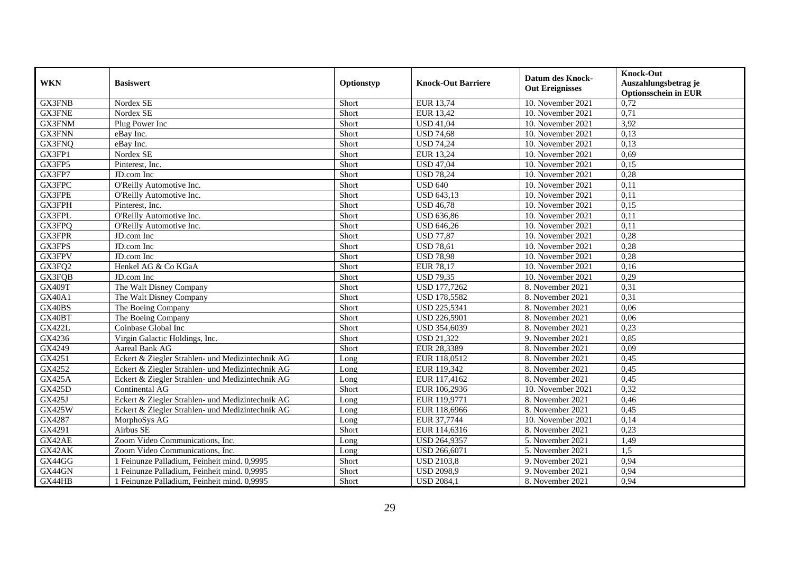| <b>WKN</b>    | <b>Basiswert</b>                                 | Optionstyp | <b>Knock-Out Barriere</b> | <b>Datum des Knock-</b><br><b>Out Ereignisses</b> | <b>Knock-Out</b><br>Auszahlungsbetrag je<br><b>Optionsschein in EUR</b> |
|---------------|--------------------------------------------------|------------|---------------------------|---------------------------------------------------|-------------------------------------------------------------------------|
| <b>GX3FNB</b> | Nordex SE                                        | Short      | EUR 13,74                 | 10. November 2021                                 | 0,72                                                                    |
| <b>GX3FNE</b> | Nordex SE                                        | Short      | <b>EUR 13,42</b>          | 10. November 2021                                 | 0,71                                                                    |
| GX3FNM        | Plug Power Inc                                   | Short      | <b>USD 41,04</b>          | 10. November 2021                                 | 3,92                                                                    |
| <b>GX3FNN</b> | eBay Inc.                                        | Short      | <b>USD 74,68</b>          | 10. November 2021                                 | 0,13                                                                    |
| GX3FNQ        | eBay Inc.                                        | Short      | <b>USD 74,24</b>          | 10. November 2021                                 | 0,13                                                                    |
| GX3FP1        | Nordex SE                                        | Short      | EUR 13,24                 | 10. November 2021                                 | 0.69                                                                    |
| GX3FP5        | Pinterest, Inc.                                  | Short      | <b>USD 47,04</b>          | 10. November 2021                                 | 0,15                                                                    |
| GX3FP7        | JD.com Inc                                       | Short      | <b>USD 78,24</b>          | 10. November 2021                                 | 0,28                                                                    |
| GX3FPC        | O'Reilly Automotive Inc.                         | Short      | <b>USD 640</b>            | 10. November 2021                                 | 0,11                                                                    |
| GX3FPE        | O'Reilly Automotive Inc.                         | Short      | <b>USD 643,13</b>         | 10. November 2021                                 | 0,11                                                                    |
| GX3FPH        | Pinterest, Inc.                                  | Short      | <b>USD 46,78</b>          | 10. November 2021                                 | 0,15                                                                    |
| GX3FPL        | O'Reilly Automotive Inc.                         | Short      | <b>USD 636,86</b>         | 10. November 2021                                 | 0,11                                                                    |
| GX3FPQ        | O'Reilly Automotive Inc.                         | Short      | <b>USD 646,26</b>         | 10. November 2021                                 | 0,11                                                                    |
| GX3FPR        | JD.com Inc                                       | Short      | <b>USD 77,87</b>          | 10. November 2021                                 | 0,28                                                                    |
| GX3FPS        | JD.com Inc                                       | Short      | <b>USD 78,61</b>          | 10. November 2021                                 | 0,28                                                                    |
| GX3FPV        | JD.com Inc                                       | Short      | <b>USD 78,98</b>          | 10. November 2021                                 | 0,28                                                                    |
| GX3FQ2        | Henkel AG & Co KGaA                              | Short      | <b>EUR 78,17</b>          | 10. November 2021                                 | 0,16                                                                    |
| GX3FQB        | JD.com Inc                                       | Short      | <b>USD 79,35</b>          | 10. November 2021                                 | 0,29                                                                    |
| <b>GX409T</b> | The Walt Disney Company                          | Short      | USD 177,7262              | 8. November 2021                                  | 0,31                                                                    |
| GX40A1        | The Walt Disney Company                          | Short      | <b>USD 178,5582</b>       | 8. November 2021                                  | 0,31                                                                    |
| GX40BS        | The Boeing Company                               | Short      | USD 225,5341              | 8. November 2021                                  | 0,06                                                                    |
| GX40BT        | The Boeing Company                               | Short      | <b>USD 226,5901</b>       | 8. November 2021                                  | 0,06                                                                    |
| <b>GX422L</b> | Coinbase Global Inc                              | Short      | USD 354,6039              | 8. November 2021                                  | 0,23                                                                    |
| GX4236        | Virgin Galactic Holdings, Inc.                   | Short      | <b>USD 21,322</b>         | 9. November 2021                                  | 0,85                                                                    |
| GX4249        | Aareal Bank AG                                   | Short      | EUR 28,3389               | 8. November 2021                                  | 0,09                                                                    |
| GX4251        | Eckert & Ziegler Strahlen- und Medizintechnik AG | Long       | EUR 118,0512              | 8. November 2021                                  | 0,45                                                                    |
| GX4252        | Eckert & Ziegler Strahlen- und Medizintechnik AG | Long       | EUR 119,342               | 8. November 2021                                  | 0,45                                                                    |
| <b>GX425A</b> | Eckert & Ziegler Strahlen- und Medizintechnik AG | Long       | EUR 117,4162              | 8. November 2021                                  | 0,45                                                                    |
| <b>GX425D</b> | Continental AG                                   | Short      | EUR 106,2936              | 10. November 2021                                 | 0,32                                                                    |
| GX425J        | Eckert & Ziegler Strahlen- und Medizintechnik AG | Long       | EUR 119,9771              | 8. November 2021                                  | 0,46                                                                    |
| GX425W        | Eckert & Ziegler Strahlen- und Medizintechnik AG | Long       | EUR 118,6966              | 8. November 2021                                  | 0,45                                                                    |
| GX4287        | MorphoSys AG                                     | Long       | EUR 37,7744               | 10. November 2021                                 | 0,14                                                                    |
| GX4291        | Airbus SE                                        | Short      | EUR 114,6316              | 8. November 2021                                  | 0,23                                                                    |
| GX42AE        | Zoom Video Communications, Inc.                  | Long       | USD 264,9357              | 5. November 2021                                  | 1,49                                                                    |
| GX42AK        | Zoom Video Communications, Inc.                  | Long       | USD 266,6071              | 5. November 2021                                  | 1,5                                                                     |
| GX44GG        | 1 Feinunze Palladium, Feinheit mind. 0,9995      | Short      | <b>USD 2103,8</b>         | 9. November 2021                                  | 0,94                                                                    |
| GX44GN        | 1 Feinunze Palladium, Feinheit mind. 0,9995      | Short      | <b>USD 2098,9</b>         | 9. November 2021                                  | 0,94                                                                    |
| GX44HB        | 1 Feinunze Palladium, Feinheit mind. 0,9995      | Short      | <b>USD 2084,1</b>         | 8. November 2021                                  | 0,94                                                                    |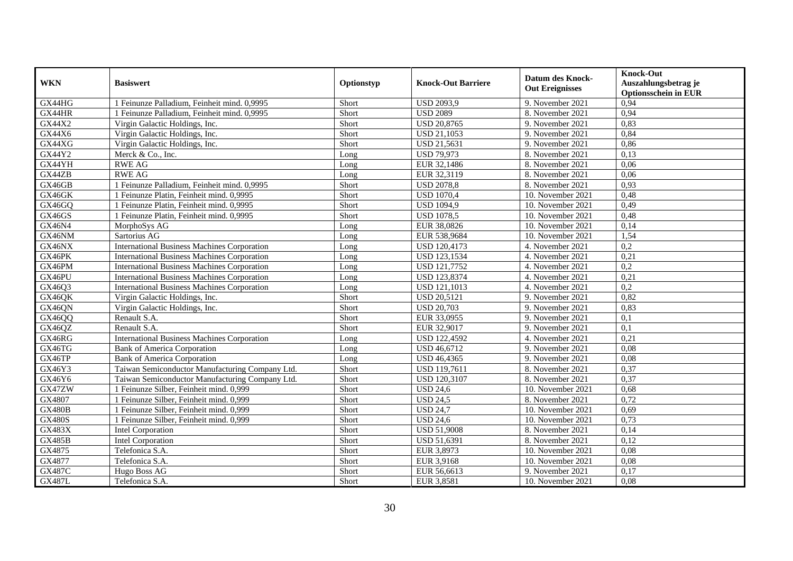| <b>WKN</b>    | <b>Basiswert</b>                                   | Optionstyp | <b>Knock-Out Barriere</b> | <b>Datum des Knock-</b><br><b>Out Ereignisses</b> | <b>Knock-Out</b><br>Auszahlungsbetrag je<br><b>Optionsschein in EUR</b> |
|---------------|----------------------------------------------------|------------|---------------------------|---------------------------------------------------|-------------------------------------------------------------------------|
| GX44HG        | 1 Feinunze Palladium, Feinheit mind. 0,9995        | Short      | <b>USD 2093,9</b>         | 9. November 2021                                  | 0,94                                                                    |
| GX44HR        | 1 Feinunze Palladium, Feinheit mind. 0,9995        | Short      | <b>USD 2089</b>           | 8. November 2021                                  | 0,94                                                                    |
| GX44X2        | Virgin Galactic Holdings, Inc.                     | Short      | <b>USD 20,8765</b>        | 9. November 2021                                  | 0,83                                                                    |
| GX44X6        | Virgin Galactic Holdings, Inc.                     | Short      | <b>USD 21,1053</b>        | 9. November 2021                                  | 0,84                                                                    |
| GX44XG        | Virgin Galactic Holdings, Inc.                     | Short      | <b>USD 21,5631</b>        | 9. November 2021                                  | 0,86                                                                    |
| GX44Y2        | Merck & Co., Inc.                                  | Long       | <b>USD 79,973</b>         | 8. November 2021                                  | 0,13                                                                    |
| GX44YH        | <b>RWE AG</b>                                      | Long       | EUR 32,1486               | 8. November 2021                                  | 0,06                                                                    |
| GX44ZB        | <b>RWE AG</b>                                      | Long       | EUR 32,3119               | 8. November 2021                                  | 0,06                                                                    |
| GX46GB        | 1 Feinunze Palladium, Feinheit mind. 0,9995        | Short      | <b>USD 2078,8</b>         | 8. November 2021                                  | 0,93                                                                    |
| GX46GK        | 1 Feinunze Platin, Feinheit mind. 0,9995           | Short      | <b>USD 1070,4</b>         | 10. November 2021                                 | 0,48                                                                    |
| GX46GQ        | 1 Feinunze Platin, Feinheit mind. 0,9995           | Short      | <b>USD 1094,9</b>         | 10. November 2021                                 | 0,49                                                                    |
| GX46GS        | 1 Feinunze Platin, Feinheit mind. 0,9995           | Short      | <b>USD 1078,5</b>         | 10. November 2021                                 | 0,48                                                                    |
| GX46N4        | MorphoSys AG                                       | Long       | EUR 38,0826               | 10. November 2021                                 | 0,14                                                                    |
| GX46NM        | Sartorius AG                                       | Long       | EUR 538,9684              | 10. November 2021                                 | 1,54                                                                    |
| GX46NX        | <b>International Business Machines Corporation</b> | Long       | USD 120,4173              | 4. November 2021                                  | 0,2                                                                     |
| GX46PK        | <b>International Business Machines Corporation</b> | Long       | <b>USD 123,1534</b>       | 4. November 2021                                  | 0,21                                                                    |
| GX46PM        | <b>International Business Machines Corporation</b> | Long       | <b>USD 121,7752</b>       | 4. November 2021                                  | 0,2                                                                     |
| GX46PU        | <b>International Business Machines Corporation</b> | Long       | USD 123,8374              | 4. November 2021                                  | 0,21                                                                    |
| GX46Q3        | <b>International Business Machines Corporation</b> | Long       | <b>USD 121,1013</b>       | 4. November 2021                                  | $\overline{0,2}$                                                        |
| GX46QK        | Virgin Galactic Holdings, Inc.                     | Short      | <b>USD 20,5121</b>        | 9. November 2021                                  | 0,82                                                                    |
| GX46QN        | Virgin Galactic Holdings, Inc.                     | Short      | <b>USD 20,703</b>         | 9. November 2021                                  | 0,83                                                                    |
| GX46QQ        | Renault S.A.                                       | Short      | EUR 33,0955               | 9. November 2021                                  | 0,1                                                                     |
| GX46QZ        | Renault S.A.                                       | Short      | EUR 32,9017               | 9. November 2021                                  | 0,1                                                                     |
| GX46RG        | <b>International Business Machines Corporation</b> | Long       | <b>USD 122,4592</b>       | 4. November 2021                                  | 0,21                                                                    |
| GX46TG        | <b>Bank of America Corporation</b>                 | Long       | <b>USD 46,6712</b>        | 9. November 2021                                  | 0,08                                                                    |
| GX46TP        | Bank of America Corporation                        | Long       | <b>USD 46,4365</b>        | 9. November 2021                                  | 0,08                                                                    |
| GX46Y3        | Taiwan Semiconductor Manufacturing Company Ltd.    | Short      | USD 119,7611              | 8. November 2021                                  | 0,37                                                                    |
| GX46Y6        | Taiwan Semiconductor Manufacturing Company Ltd.    | Short      | <b>USD 120,3107</b>       | 8. November 2021                                  | 0,37                                                                    |
| GX47ZW        | 1 Feinunze Silber, Feinheit mind. 0,999            | Short      | <b>USD 24,6</b>           | 10. November 2021                                 | 0.68                                                                    |
| GX4807        | 1 Feinunze Silber, Feinheit mind. 0,999            | Short      | <b>USD 24,5</b>           | 8. November 2021                                  | 0,72                                                                    |
| <b>GX480B</b> | 1 Feinunze Silber, Feinheit mind. 0,999            | Short      | <b>USD 24,7</b>           | 10. November 2021                                 | 0,69                                                                    |
| <b>GX480S</b> | 1 Feinunze Silber, Feinheit mind. 0,999            | Short      | <b>USD 24,6</b>           | 10. November 2021                                 | 0,73                                                                    |
| <b>GX483X</b> | Intel Corporation                                  | Short      | <b>USD 51,9008</b>        | 8. November 2021                                  | 0,14                                                                    |
| <b>GX485B</b> | Intel Corporation                                  | Short      | <b>USD 51,6391</b>        | 8. November 2021                                  | 0,12                                                                    |
| GX4875        | Telefonica S.A.                                    | Short      | EUR 3,8973                | 10. November 2021                                 | 0,08                                                                    |
| GX4877        | Telefonica S.A.                                    | Short      | EUR 3,9168                | 10. November 2021                                 | 0,08                                                                    |
| <b>GX487C</b> | Hugo Boss AG                                       | Short      | EUR 56,6613               | 9. November 2021                                  | 0,17                                                                    |
| <b>GX487L</b> | Telefonica S.A.                                    | Short      | EUR 3,8581                | 10. November 2021                                 | 0,08                                                                    |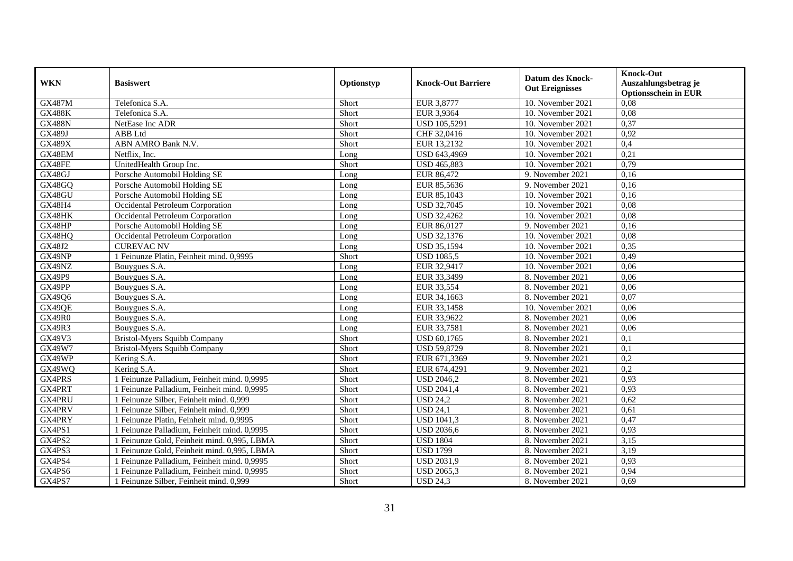| <b>WKN</b>    | <b>Basiswert</b>                            | Optionstyp | <b>Knock-Out Barriere</b> | <b>Datum des Knock-</b><br><b>Out Ereignisses</b> | <b>Knock-Out</b><br>Auszahlungsbetrag je<br><b>Optionsschein in EUR</b> |
|---------------|---------------------------------------------|------------|---------------------------|---------------------------------------------------|-------------------------------------------------------------------------|
| <b>GX487M</b> | Telefonica S.A.                             | Short      | EUR 3,8777                | 10. November 2021                                 | 0,08                                                                    |
| <b>GX488K</b> | Telefonica S.A.                             | Short      | EUR 3,9364                | 10. November 2021                                 | 0.08                                                                    |
| <b>GX488N</b> | NetEase Inc ADR                             | Short      | <b>USD 105,5291</b>       | 10. November 2021                                 | 0,37                                                                    |
| <b>GX489J</b> | ABB Ltd                                     | Short      | CHF 32,0416               | 10. November 2021                                 | 0,92                                                                    |
| <b>GX489X</b> | ABN AMRO Bank N.V.                          | Short      | EUR 13,2132               | 10. November 2021                                 | 0,4                                                                     |
| GX48EM        | Netflix, Inc.                               | Long       | USD 643,4969              | $10.$ November 2021                               | 0,21                                                                    |
| GX48FE        | UnitedHealth Group Inc.                     | Short      | <b>USD 465,883</b>        | 10. November 2021                                 | 0,79                                                                    |
| GX48GJ        | Porsche Automobil Holding SE                | Long       | EUR 86,472                | 9. November 2021                                  | 0,16                                                                    |
| GX48GQ        | Porsche Automobil Holding SE                | Long       | EUR 85,5636               | 9. November 2021                                  | 0,16                                                                    |
| GX48GU        | Porsche Automobil Holding SE                | Long       | EUR 85,1043               | 10. November 2021                                 | 0,16                                                                    |
| GX48H4        | Occidental Petroleum Corporation            | Long       | <b>USD 32,7045</b>        | 10. November 2021                                 | 0,08                                                                    |
| GX48HK        | Occidental Petroleum Corporation            | Long       | <b>USD 32,4262</b>        | 10. November 2021                                 | 0,08                                                                    |
| GX48HP        | Porsche Automobil Holding SE                | Long       | EUR 86,0127               | 9. November 2021                                  | 0,16                                                                    |
| GX48HQ        | Occidental Petroleum Corporation            | Long       | USD 32,1376               | 10. November 2021                                 | 0,08                                                                    |
| GX48J2        | <b>CUREVAC NV</b>                           | Long       | <b>USD 35,1594</b>        | 10. November 2021                                 | 0,35                                                                    |
| GX49NP        | 1 Feinunze Platin, Feinheit mind. 0,9995    | Short      | <b>USD 1085,5</b>         | 10. November 2021                                 | 0,49                                                                    |
| GX49NZ        | Bouygues S.A.                               | Long       | EUR 32,9417               | 10. November 2021                                 | 0,06                                                                    |
| <b>GX49P9</b> | Bouygues S.A.                               | Long       | EUR 33,3499               | 8. November 2021                                  | 0,06                                                                    |
| GX49PP        | Bouygues S.A.                               | Long       | EUR 33,554                | 8. November 2021                                  | 0,06                                                                    |
| GX49Q6        | Bouygues S.A.                               | Long       | EUR 34,1663               | 8. November 2021                                  | 0,07                                                                    |
| GX49QE        | Bouygues S.A.                               | Long       | EUR 33,1458               | 10. November 2021                                 | 0,06                                                                    |
| <b>GX49R0</b> | Bouygues S.A.                               | Long       | EUR 33,9622               | 8. November 2021                                  | 0,06                                                                    |
| <b>GX49R3</b> | Bouygues S.A.                               | Long       | EUR 33,7581               | 8. November 2021                                  | 0,06                                                                    |
| GX49V3        | Bristol-Myers Squibb Company                | Short      | <b>USD 60,1765</b>        | 8. November 2021                                  | 0,1                                                                     |
| GX49W7        | <b>Bristol-Myers Squibb Company</b>         | Short      | <b>USD 59,8729</b>        | 8. November 2021                                  | 0,1                                                                     |
| GX49WP        | Kering S.A.                                 | Short      | EUR 671,3369              | 9. November 2021                                  | 0,2                                                                     |
| GX49WQ        | Kering S.A.                                 | Short      | EUR 674,4291              | 9. November 2021                                  | 0,2                                                                     |
| GX4PRS        | 1 Feinunze Palladium. Feinheit mind. 0.9995 | Short      | <b>USD 2046.2</b>         | 8. November 2021                                  | 0.93                                                                    |
| GX4PRT        | 1 Feinunze Palladium, Feinheit mind. 0,9995 | Short      | <b>USD 2041,4</b>         | 8. November 2021                                  | 0,93                                                                    |
| GX4PRU        | 1 Feinunze Silber, Feinheit mind. 0,999     | Short      | <b>USD 24,2</b>           | 8. November 2021                                  | 0,62                                                                    |
| GX4PRV        | 1 Feinunze Silber, Feinheit mind. 0,999     | Short      | <b>USD 24,1</b>           | 8. November 2021                                  | 0,61                                                                    |
| GX4PRY        | 1 Feinunze Platin, Feinheit mind. 0,9995    | Short      | <b>USD 1041,3</b>         | 8. November 2021                                  | 0,47                                                                    |
| GX4PS1        | 1 Feinunze Palladium, Feinheit mind. 0,9995 | Short      | <b>USD 2036,6</b>         | 8. November 2021                                  | 0,93                                                                    |
| GX4PS2        | 1 Feinunze Gold, Feinheit mind. 0,995, LBMA | Short      | <b>USD 1804</b>           | 8. November 2021                                  | 3,15                                                                    |
| GX4PS3        | 1 Feinunze Gold, Feinheit mind. 0,995, LBMA | Short      | <b>USD 1799</b>           | 8. November 2021                                  | 3,19                                                                    |
| GX4PS4        | 1 Feinunze Palladium, Feinheit mind. 0,9995 | Short      | <b>USD 2031,9</b>         | 8. November 2021                                  | 0,93                                                                    |
| GX4PS6        | 1 Feinunze Palladium, Feinheit mind. 0,9995 | Short      | <b>USD 2065,3</b>         | 8. November 2021                                  | 0,94                                                                    |
| GX4PS7        | 1 Feinunze Silber, Feinheit mind. 0,999     | Short      | <b>USD 24,3</b>           | 8. November 2021                                  | 0,69                                                                    |